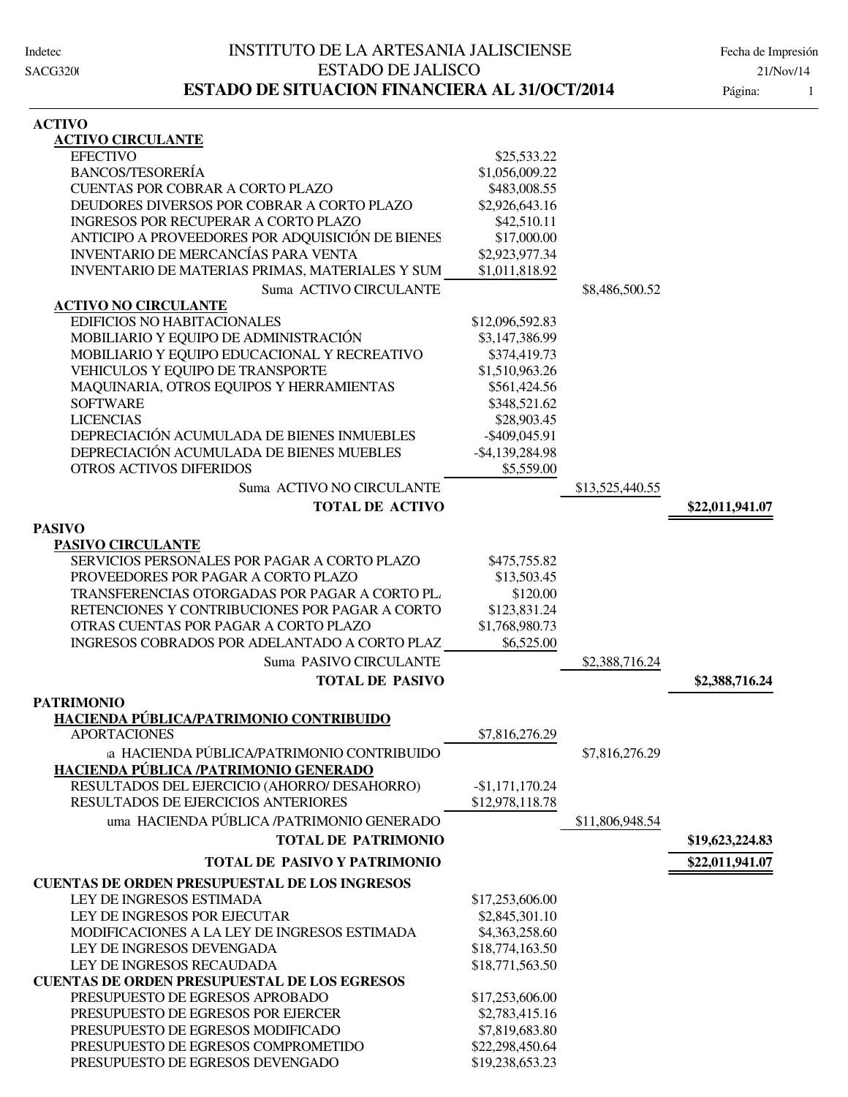| <b>ACTIVO</b>                                          |                    |                 |                 |
|--------------------------------------------------------|--------------------|-----------------|-----------------|
| <b>ACTIVO CIRCULANTE</b>                               |                    |                 |                 |
| <b>EFECTIVO</b>                                        | \$25,533.22        |                 |                 |
| <b>BANCOS/TESORERÍA</b>                                | \$1,056,009.22     |                 |                 |
| <b>CUENTAS POR COBRAR A CORTO PLAZO</b>                | \$483,008.55       |                 |                 |
| DEUDORES DIVERSOS POR COBRAR A CORTO PLAZO             | \$2,926,643.16     |                 |                 |
| <b>INGRESOS POR RECUPERAR A CORTO PLAZO</b>            | \$42,510.11        |                 |                 |
| ANTICIPO A PROVEEDORES POR ADQUISICIÓN DE BIENES       | \$17,000.00        |                 |                 |
| <b>INVENTARIO DE MERCANCÍAS PARA VENTA</b>             | \$2,923,977.34     |                 |                 |
| <b>INVENTARIO DE MATERIAS PRIMAS, MATERIALES Y SUM</b> | \$1,011,818.92     |                 |                 |
| Suma ACTIVO CIRCULANTE                                 |                    | \$8,486,500.52  |                 |
| <b>ACTIVO NO CIRCULANTE</b>                            |                    |                 |                 |
| EDIFICIOS NO HABITACIONALES                            | \$12,096,592.83    |                 |                 |
| MOBILIARIO Y EQUIPO DE ADMINISTRACIÓN                  | \$3,147,386.99     |                 |                 |
| MOBILIARIO Y EQUIPO EDUCACIONAL Y RECREATIVO           | \$374,419.73       |                 |                 |
| VEHICULOS Y EQUIPO DE TRANSPORTE                       | \$1,510,963.26     |                 |                 |
| MAQUINARIA, OTROS EQUIPOS Y HERRAMIENTAS               | \$561,424.56       |                 |                 |
| <b>SOFTWARE</b>                                        | \$348,521.62       |                 |                 |
| <b>LICENCIAS</b>                                       | \$28,903.45        |                 |                 |
| DEPRECIACIÓN ACUMULADA DE BIENES INMUEBLES             | -\$409,045.91      |                 |                 |
| DEPRECIACIÓN ACUMULADA DE BIENES MUEBLES               | $-$ \$4,139,284.98 |                 |                 |
| <b>OTROS ACTIVOS DIFERIDOS</b>                         | \$5,559.00         |                 |                 |
| Suma ACTIVO NO CIRCULANTE                              |                    | \$13,525,440.55 |                 |
| <b>TOTAL DE ACTIVO</b>                                 |                    |                 | \$22,011,941.07 |
| <b>PASIVO</b>                                          |                    |                 |                 |
| <b>PASIVO CIRCULANTE</b>                               |                    |                 |                 |
| SERVICIOS PERSONALES POR PAGAR A CORTO PLAZO           | \$475,755.82       |                 |                 |
| PROVEEDORES POR PAGAR A CORTO PLAZO                    | \$13,503.45        |                 |                 |
| TRANSFERENCIAS OTORGADAS POR PAGAR A CORTO PL.         | \$120.00           |                 |                 |
| RETENCIONES Y CONTRIBUCIONES POR PAGAR A CORTO         | \$123,831.24       |                 |                 |
| OTRAS CUENTAS POR PAGAR A CORTO PLAZO                  | \$1,768,980.73     |                 |                 |
| INGRESOS COBRADOS POR ADELANTADO A CORTO PLAZ          | \$6,525.00         |                 |                 |
| Suma PASIVO CIRCULANTE                                 |                    | \$2,388,716.24  |                 |
| <b>TOTAL DE PASIVO</b>                                 |                    |                 | \$2,388,716.24  |
| <b>PATRIMONIO</b>                                      |                    |                 |                 |
| HACIENDA PÚBLICA/PATRIMONIO CONTRIBUIDO                |                    |                 |                 |
| <b>APORTACIONES</b>                                    | \$7,816,276.29     |                 |                 |
| a HACIENDA PÚBLICA/PATRIMONIO CONTRIBUIDO              |                    | \$7,816,276.29  |                 |
| HACIENDA PÚBLICA /PATRIMONIO GENERADO                  |                    |                 |                 |
| RESULTADOS DEL EJERCICIO (AHORRO/ DESAHORRO)           | $-$1,171,170.24$   |                 |                 |
| RESULTADOS DE EJERCICIOS ANTERIORES                    | \$12,978,118.78    |                 |                 |
| uma HACIENDA PÚBLICA /PATRIMONIO GENERADO              |                    | \$11,806,948.54 |                 |
| <b>TOTAL DE PATRIMONIO</b>                             |                    |                 | \$19,623,224.83 |
| <b>TOTAL DE PASIVO Y PATRIMONIO</b>                    |                    |                 | \$22,011,941.07 |
| <b>CUENTAS DE ORDEN PRESUPUESTAL DE LOS INGRESOS</b>   |                    |                 |                 |
| LEY DE INGRESOS ESTIMADA                               | \$17,253,606.00    |                 |                 |
| LEY DE INGRESOS POR EJECUTAR                           | \$2,845,301.10     |                 |                 |
| MODIFICACIONES A LA LEY DE INGRESOS ESTIMADA           | \$4,363,258.60     |                 |                 |
| LEY DE INGRESOS DEVENGADA                              | \$18,774,163.50    |                 |                 |
| LEY DE INGRESOS RECAUDADA                              | \$18,771,563.50    |                 |                 |
| <b>CUENTAS DE ORDEN PRESUPUESTAL DE LOS EGRESOS</b>    |                    |                 |                 |
| PRESUPUESTO DE EGRESOS APROBADO                        | \$17,253,606.00    |                 |                 |
| PRESUPUESTO DE EGRESOS POR EJERCER                     | \$2,783,415.16     |                 |                 |

PRESUPUESTO DE EGRESOS MODIFICADO \$7,819,683.80 PRESUPUESTO DE EGRESOS COMPROMETIDO \$22,298,450.64 PRESUPUESTO DE EGRESOS DEVENGADO \$19,238,653.23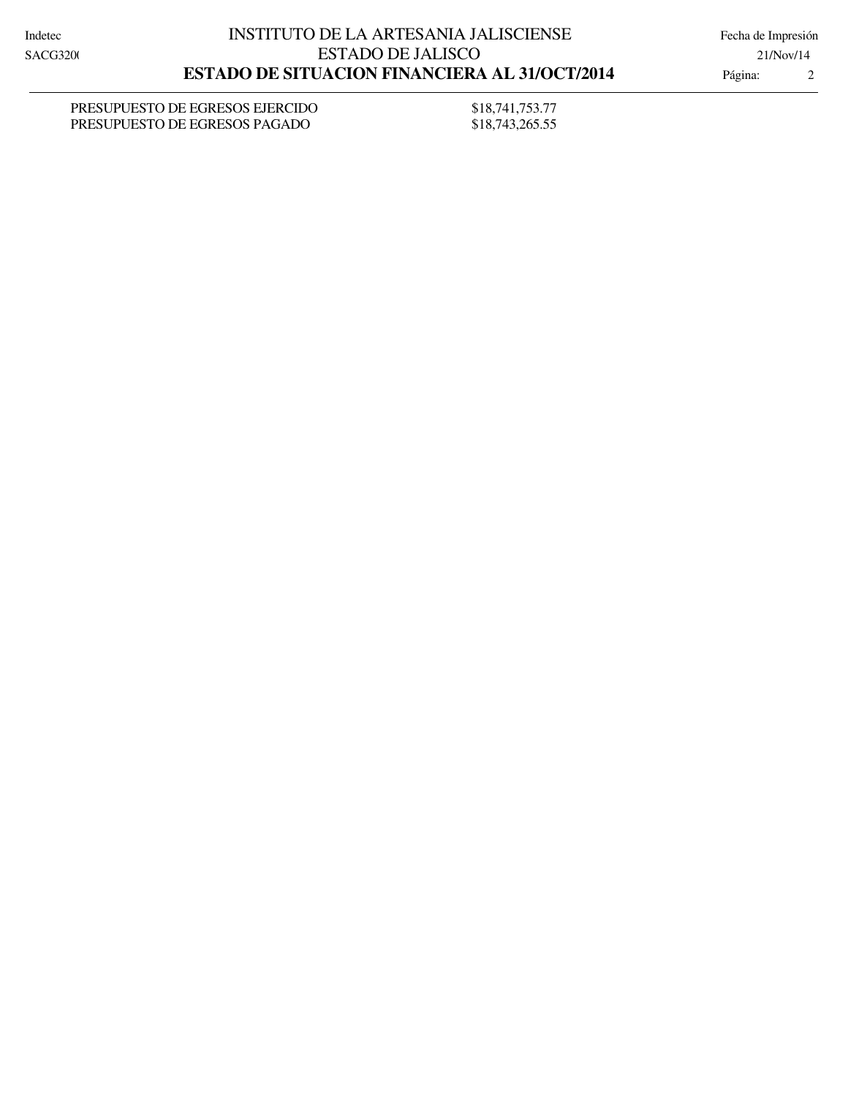PRESUPUESTO DE EGRESOS EJERCIDO \$18,741,753.77 PRESUPUESTO DE EGRESOS PAGADO \$18,743,265.55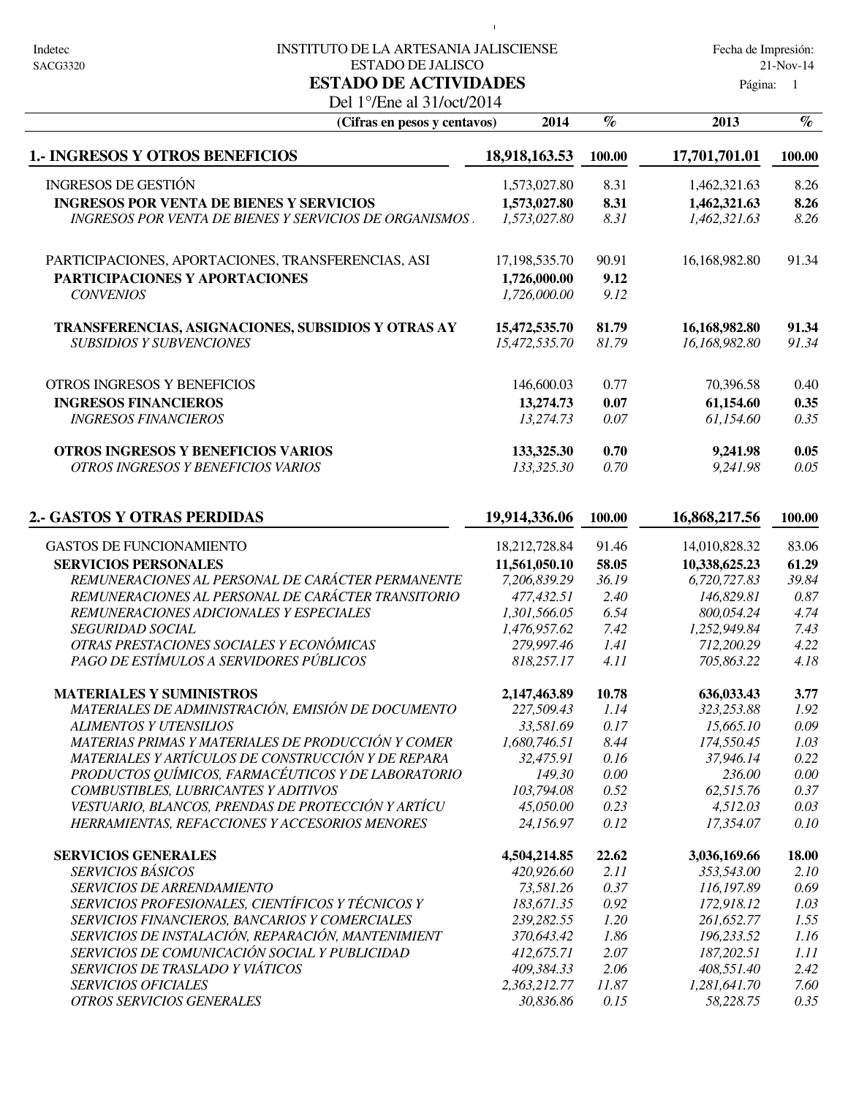#### Indetec 
INSTITUTO DE LA ARTESANIA JALISCIENSE

Indetec

Fecha de Impresión: ESTADO DE JALISCO 21-Nov-14

 $\bar{1}$ 

Página: 1

# Del 1°/Ene al 31/oct/2014 **ESTADO DE ACTIVIDADES**

| (Cifras en pesos y centavos)                            | 2014             | $\mathcal{O}_{\mathcal{O}}$ | 2013          | $\mathcal{O}_{\mathcal{O}}$ |
|---------------------------------------------------------|------------------|-----------------------------|---------------|-----------------------------|
| <b>1.- INGRESOS Y OTROS BENEFICIOS</b>                  | 18,918,163.53    | 100.00                      | 17,701,701.01 | 100.00                      |
| <b>INGRESOS DE GESTIÓN</b>                              | 1,573,027.80     | 8.31                        | 1,462,321.63  | 8.26                        |
| <b>INGRESOS POR VENTA DE BIENES Y SERVICIOS</b>         | 1,573,027.80     | 8.31                        | 1,462,321.63  | 8.26                        |
| INGRESOS POR VENTA DE BIENES Y SERVICIOS DE ORGANISMOS. | 1,573,027.80     | 8.31                        | 1,462,321.63  | 8.26                        |
| PARTICIPACIONES, APORTACIONES, TRANSFERENCIAS, ASI      | 17, 198, 535. 70 | 90.91                       | 16,168,982.80 | 91.34                       |
| <b>PARTICIPACIONES Y APORTACIONES</b>                   | 1,726,000.00     | 9.12                        |               |                             |
| <b>CONVENIOS</b>                                        | 1,726,000.00     | 9.12                        |               |                             |
| TRANSFERENCIAS, ASIGNACIONES, SUBSIDIOS Y OTRAS AY      | 15,472,535.70    | 81.79                       | 16,168,982.80 | 91.34                       |
| <b>SUBSIDIOS Y SUBVENCIONES</b>                         | 15,472,535.70    | 81.79                       | 16,168,982.80 | 91.34                       |
| <b>OTROS INGRESOS Y BENEFICIOS</b>                      | 146,600.03       | 0.77                        | 70,396.58     | 0.40                        |
| <b>INGRESOS FINANCIEROS</b>                             | 13,274.73        | 0.07                        | 61,154.60     | 0.35                        |
| <b>INGRESOS FINANCIEROS</b>                             | 13,274.73        | 0.07                        | 61,154.60     | 0.35                        |
| <b>OTROS INGRESOS Y BENEFICIOS VARIOS</b>               | 133,325.30       | 0.70                        | 9,241.98      | 0.05                        |
| OTROS INGRESOS Y BENEFICIOS VARIOS                      | 133,325.30       | 0.70                        | 9,241.98      | 0.05                        |

| 2.- GASTOS Y OTRAS PERDIDAS                        | 19,914,336.06 | 100.00   | 16,868,217.56 | 100.00 |
|----------------------------------------------------|---------------|----------|---------------|--------|
| <b>GASTOS DE FUNCIONAMIENTO</b>                    | 18,212,728.84 | 91.46    | 14,010,828.32 | 83.06  |
| <b>SERVICIOS PERSONALES</b>                        | 11,561,050.10 | 58.05    | 10,338,625.23 | 61.29  |
| REMUNERACIONES AL PERSONAL DE CARÁCTER PERMANENTE  | 7,206,839.29  | 36.19    | 6,720,727.83  | 39.84  |
| REMUNERACIONES AL PERSONAL DE CARÁCTER TRANSITORIO | 477,432.51    | 2.40     | 146,829.81    | 0.87   |
| REMUNERACIONES ADICIONALES Y ESPECIALES            | 1,301,566.05  | 6.54     | 800,054.24    | 4.74   |
| <b>SEGURIDAD SOCIAL</b>                            | 1,476,957.62  | 7.42     | 1,252,949.84  | 7.43   |
| OTRAS PRESTACIONES SOCIALES Y ECONÓMICAS           | 279,997.46    | 1.41     | 712,200.29    | 4.22   |
| PAGO DE ESTÍMULOS A SERVIDORES PÚBLICOS            | 818,257.17    | 4.11     | 705,863.22    | 4.18   |
| <b>MATERIALES Y SUMINISTROS</b>                    | 2,147,463.89  | 10.78    | 636,033.43    | 3.77   |
| MATERIALES DE ADMINISTRACIÓN, EMISIÓN DE DOCUMENTO | 227,509.43    | 1.14     | 323,253.88    | 1.92   |
| <b>ALIMENTOS Y UTENSILIOS</b>                      | 33,581.69     | 0.17     | 15,665.10     | 0.09   |
| MATERIAS PRIMAS Y MATERIALES DE PRODUCCIÓN Y COMER | 1,680,746.51  | 8.44     | 174,550.45    | 1.03   |
| MATERIALES Y ARTÍCULOS DE CONSTRUCCIÓN Y DE REPARA | 32,475.91     | 0.16     | 37,946.14     | 0.22   |
| PRODUCTOS QUÍMICOS, FARMACÉUTICOS Y DE LABORATORIO | 149.30        | $0.00\,$ | 236.00        | 0.00   |
| COMBUSTIBLES, LUBRICANTES Y ADITIVOS               | 103,794.08    | 0.52     | 62,515.76     | 0.37   |
| VESTUARIO, BLANCOS, PRENDAS DE PROTECCIÓN Y ARTÍCU | 45,050.00     | 0.23     | 4,512.03      | 0.03   |
| HERRAMIENTAS, REFACCIONES Y ACCESORIOS MENORES     | 24,156.97     | 0.12     | 17,354.07     | 0.10   |
| <b>SERVICIOS GENERALES</b>                         | 4,504,214.85  | 22.62    | 3,036,169.66  | 18.00  |
| SERVICIOS BÁSICOS                                  | 420,926.60    | 2.11     | 353,543.00    | 2.10   |
| <b>SERVICIOS DE ARRENDAMIENTO</b>                  | 73,581.26     | 0.37     | 116,197.89    | 0.69   |
| SERVICIOS PROFESIONALES, CIENTÍFICOS Y TÉCNICOS Y  | 183,671.35    | 0.92     | 172,918.12    | 1.03   |
| SERVICIOS FINANCIEROS, BANCARIOS Y COMERCIALES     | 239,282.55    | 1.20     | 261,652.77    | 1.55   |
| SERVICIOS DE INSTALACIÓN, REPARACIÓN, MANTENIMIENT | 370,643.42    | 1.86     | 196,233.52    | 1.16   |
| SERVICIOS DE COMUNICACIÓN SOCIAL Y PUBLICIDAD      | 412,675.71    | 2.07     | 187,202.51    | 1.11   |
| SERVICIOS DE TRASLADO Y VIÁTICOS                   | 409,384.33    | 2.06     | 408,551.40    | 2.42   |
| <b>SERVICIOS OFICIALES</b>                         | 2,363,212.77  | 11.87    | 1,281,641.70  | 7.60   |
| <b>OTROS SERVICIOS GENERALES</b>                   | 30,836.86     | 0.15     | 58,228.75     | 0.35   |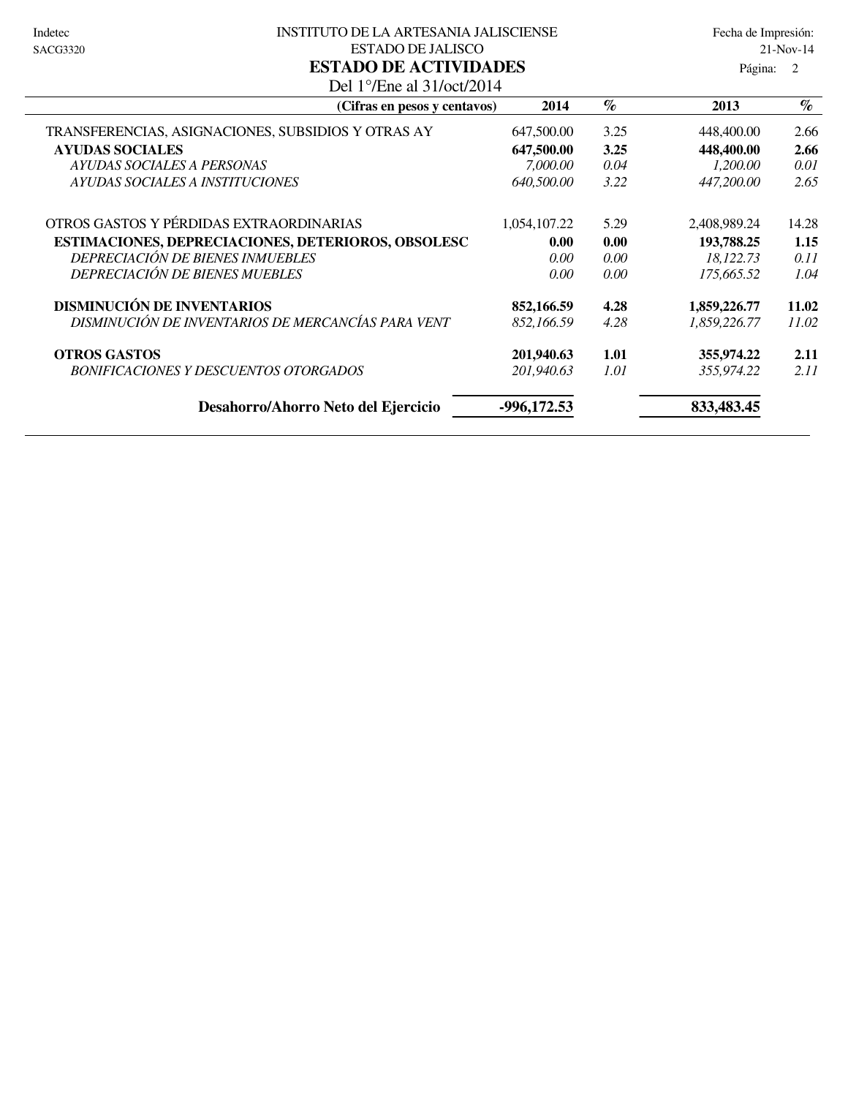## Indetec 
Solomon Institution DE LA ARTESANIA JALISCIENSE Fecha de Impresión: ESTADO DE JALISCO 21-Nov-14 **ESTADO DE ACTIVIDADES**

| agina: |  |
|--------|--|
|--------|--|

| Del 1 $^{\circ}$ /Ene al 31/oct/2014               |              |      |              |       |
|----------------------------------------------------|--------------|------|--------------|-------|
| (Cifras en pesos y centavos)                       | 2014         | $\%$ | 2013         | $\%$  |
| TRANSFERENCIAS, ASIGNACIONES, SUBSIDIOS Y OTRAS AY | 647,500.00   | 3.25 | 448,400.00   | 2.66  |
| <b>AYUDAS SOCIALES</b>                             | 647,500.00   | 3.25 | 448,400.00   | 2.66  |
| AYUDAS SOCIALES A PERSONAS                         | 7,000.00     | 0.04 | 1,200.00     | 0.01  |
| AYUDAS SOCIALES A INSTITUCIONES                    | 640,500.00   | 3.22 | 447,200.00   | 2.65  |
| OTROS GASTOS Y PÉRDIDAS EXTRAORDINARIAS            | 1,054,107.22 | 5.29 | 2,408,989.24 | 14.28 |
| ESTIMACIONES, DEPRECIACIONES, DETERIOROS, OBSOLESC | 0.00         | 0.00 | 193,788.25   | 1.15  |
| DEPRECIACIÓN DE BIENES INMUEBLES                   | 0.00         | 0.00 | 18,122.73    | 0.11  |
| <b>DEPRECIACIÓN DE BIENES MUEBLES</b>              | 0.00         | 0.00 | 175,665,52   | 1.04  |
| <b>DISMINUCIÓN DE INVENTARIOS</b>                  | 852,166.59   | 4.28 | 1,859,226.77 | 11.02 |
| DISMINUCIÓN DE INVENTARIOS DE MERCANCÍAS PARA VENT | 852.166.59   | 4.28 | 1,859,226.77 | 11.02 |
| <b>OTROS GASTOS</b>                                | 201,940.63   | 1.01 | 355,974.22   | 2.11  |
| <b>BONIFICACIONES Y DESCUENTOS OTORGADOS</b>       | 201,940.63   | 1.01 | 355,974.22   | 2.11  |
| Desahorro/Ahorro Neto del Ejercicio                | -996,172.53  |      | 833,483.45   |       |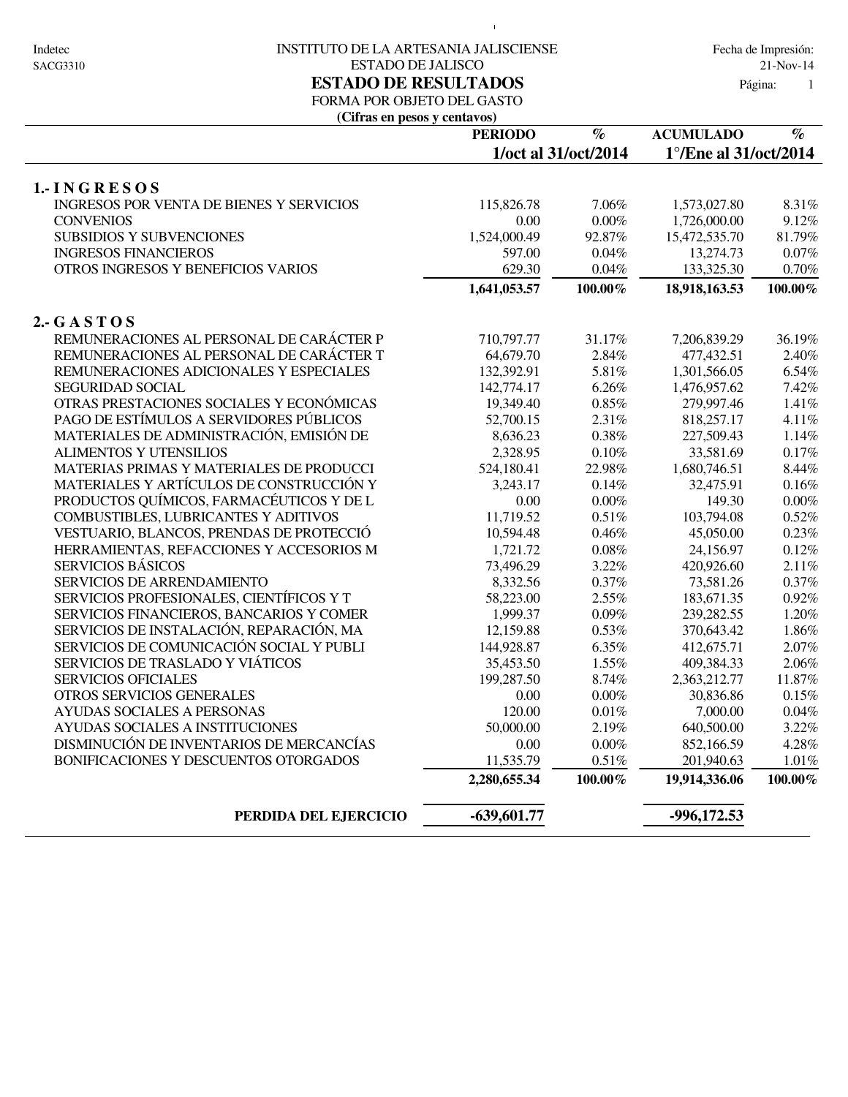## Indetec 
INSTITUTO DE LA ARTESANIA JALISCIENSE

Indetec

Fecha de Impresión: ESTADO DE JALISCO 21-Nov-14 **ESTADO DE RESULTADOS** Página:

 $\bar{1}$ 

1

# FORMA POR OBJETO DEL GASTO

**(Cifras en pesos y centavos)**

|                                                 | <b>PERIODO</b>       | $\%$       | <b>ACUMULADO</b>      | $\%$       |
|-------------------------------------------------|----------------------|------------|-----------------------|------------|
|                                                 | 1/oct al 31/oct/2014 |            | 1°/Ene al 31/oct/2014 |            |
| 1.-INGRESOS                                     |                      |            |                       |            |
| <b>INGRESOS POR VENTA DE BIENES Y SERVICIOS</b> | 115,826.78           | 7.06%      | 1,573,027.80          | 8.31%      |
| <b>CONVENIOS</b>                                | 0.00                 | $0.00\%$   | 1,726,000.00          | 9.12%      |
| <b>SUBSIDIOS Y SUBVENCIONES</b>                 | 1,524,000.49         | 92.87%     | 15,472,535.70         | 81.79%     |
| <b>INGRESOS FINANCIEROS</b>                     | 597.00               | 0.04%      | 13,274.73             | $0.07\%$   |
| OTROS INGRESOS Y BENEFICIOS VARIOS              | 629.30               | 0.04%      | 133,325.30            | $0.70\%$   |
|                                                 | 1,641,053.57         | $100.00\%$ | 18,918,163.53         | $100.00\%$ |
| 2. $GASTOS$                                     |                      |            |                       |            |
| REMUNERACIONES AL PERSONAL DE CARÁCTER P        | 710,797.77           | 31.17%     | 7,206,839.29          | 36.19%     |
| REMUNERACIONES AL PERSONAL DE CARÁCTER T        | 64,679.70            | 2.84%      | 477,432.51            | 2.40%      |
| REMUNERACIONES ADICIONALES Y ESPECIALES         | 132,392.91           | 5.81%      | 1,301,566.05          | 6.54%      |
| <b>SEGURIDAD SOCIAL</b>                         | 142,774.17           | 6.26%      | 1,476,957.62          | 7.42%      |
| OTRAS PRESTACIONES SOCIALES Y ECONÓMICAS        | 19,349.40            | $0.85\%$   | 279,997.46            | 1.41%      |
| PAGO DE ESTÍMULOS A SERVIDORES PÚBLICOS         | 52,700.15            | 2.31%      | 818,257.17            | 4.11%      |
| MATERIALES DE ADMINISTRACIÓN, EMISIÓN DE        | 8,636.23             | 0.38%      | 227,509.43            | $1.14\%$   |
| <b>ALIMENTOS Y UTENSILIOS</b>                   | 2,328.95             | $0.10\%$   | 33,581.69             | 0.17%      |
| MATERIAS PRIMAS Y MATERIALES DE PRODUCCI        | 524,180.41           | 22.98%     | 1,680,746.51          | 8.44%      |
| MATERIALES Y ARTÍCULOS DE CONSTRUCCIÓN Y        | 3,243.17             | 0.14%      | 32,475.91             | 0.16%      |
| PRODUCTOS QUÍMICOS, FARMACÉUTICOS Y DE L        | 0.00                 | $0.00\%$   | 149.30                | $0.00\%$   |
| COMBUSTIBLES, LUBRICANTES Y ADITIVOS            | 11,719.52            | 0.51%      | 103,794.08            | 0.52%      |
| VESTUARIO, BLANCOS, PRENDAS DE PROTECCIÓ        | 10,594.48            | 0.46%      | 45,050.00             | 0.23%      |
| HERRAMIENTAS, REFACCIONES Y ACCESORIOS M        | 1,721.72             | $0.08\%$   | 24,156.97             | 0.12%      |
| <b>SERVICIOS BÁSICOS</b>                        | 73,496.29            | 3.22%      | 420,926.60            | 2.11%      |
| SERVICIOS DE ARRENDAMIENTO                      | 8,332.56             | 0.37%      | 73,581.26             | 0.37%      |
| SERVICIOS PROFESIONALES, CIENTÍFICOS Y T        | 58,223.00            | 2.55%      | 183,671.35            | 0.92%      |
| SERVICIOS FINANCIEROS, BANCARIOS Y COMER        | 1,999.37             | $0.09\%$   | 239,282.55            | 1.20%      |
| SERVICIOS DE INSTALACIÓN, REPARACIÓN, MA        | 12,159.88            | 0.53%      | 370,643.42            | 1.86%      |
| SERVICIOS DE COMUNICACIÓN SOCIAL Y PUBLI        | 144,928.87           | 6.35%      | 412,675.71            | 2.07%      |
| SERVICIOS DE TRASLADO Y VIÁTICOS                | 35,453.50            | 1.55%      | 409,384.33            | 2.06%      |
| <b>SERVICIOS OFICIALES</b>                      | 199,287.50           | 8.74%      | 2,363,212.77          | 11.87%     |
| OTROS SERVICIOS GENERALES                       | 0.00                 | $0.00\%$   | 30,836.86             | 0.15%      |
| <b>AYUDAS SOCIALES A PERSONAS</b>               | 120.00               | $0.01\%$   | 7,000.00              | $0.04\%$   |
| AYUDAS SOCIALES A INSTITUCIONES                 | 50,000.00            | 2.19%      | 640,500.00            | 3.22%      |
| DISMINUCIÓN DE INVENTARIOS DE MERCANCÍAS        | $0.00\,$             | $0.00\%$   | 852,166.59            | 4.28%      |
| BONIFICACIONES Y DESCUENTOS OTORGADOS           | 11,535.79            | 0.51%      | 201,940.63            | 1.01%      |
|                                                 | 2,280,655.34         | $100.00\%$ | 19,914,336.06         | 100.00%    |
| PERDIDA DEL EJERCICIO                           | $-639,601.77$        |            | -996,172.53           |            |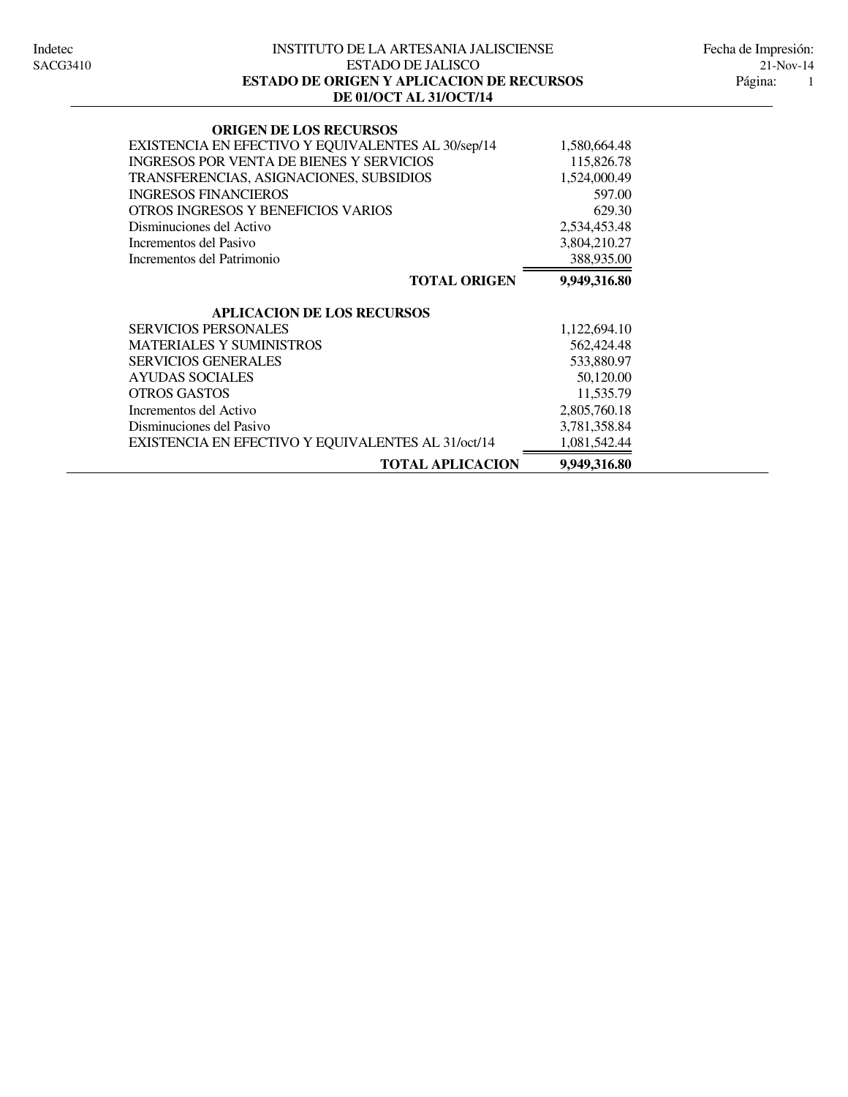#### INSTITUTO DE LA ARTESANIA JALISCIENSE Indetec Fecha de Impresión: ESTADO DE JALISCO 21-Nov-14<br> **IGEN Y APLICACION DE RECURSOS** Página: 1 **DE 01/OCT AL 31/OCT/14 ESTADO DE ORIGEN Y APLICACION DE RECURSOS**

| <b>ORIGEN DE LOS RECURSOS</b>                      |              |
|----------------------------------------------------|--------------|
| EXISTENCIA EN EFECTIVO Y EQUIVALENTES AL 30/sep/14 | 1,580,664.48 |
| <b>INGRESOS POR VENTA DE BIENES Y SERVICIOS</b>    | 115,826.78   |
| TRANSFERENCIAS, ASIGNACIONES, SUBSIDIOS            | 1,524,000.49 |
| <b>INGRESOS FINANCIEROS</b>                        | 597.00       |
| OTROS INGRESOS Y BENEFICIOS VARIOS                 | 629.30       |
| Disminuciones del Activo                           | 2,534,453.48 |
| Incrementos del Pasivo                             | 3,804,210.27 |
| Incrementos del Patrimonio                         | 388,935.00   |
| <b>TOTAL ORIGEN</b>                                | 9,949,316.80 |
| <b>APLICACION DE LOS RECURSOS</b>                  |              |
| <b>SERVICIOS PERSONALES</b>                        | 1,122,694.10 |
| <b>MATERIALES Y SUMINISTROS</b>                    | 562,424.48   |
| <b>SERVICIOS GENERALES</b>                         | 533,880.97   |
| <b>AYUDAS SOCIALES</b>                             | 50,120.00    |
| <b>OTROS GASTOS</b>                                | 11,535.79    |
| Incrementos del Activo                             | 2,805,760.18 |
| Disminuciones del Pasivo                           | 3,781,358.84 |
| EXISTENCIA EN EFECTIVO Y EQUIVALENTES AL 31/oct/14 | 1,081,542.44 |
| <b>TOTAL APLICACION</b>                            | 9,949,316.80 |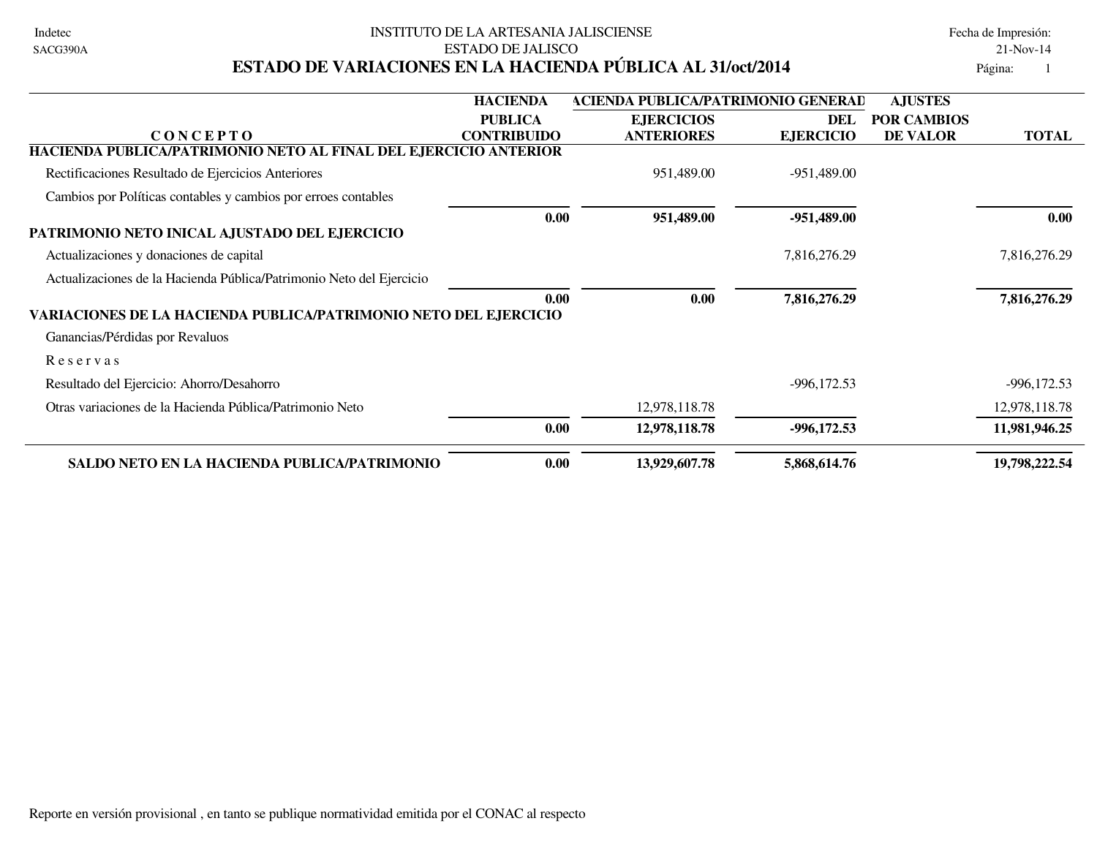| Indetec  |
|----------|
| SACG390A |

## INSTITUTO DE LA ARTESANIA JALISCIENSE EN ENTRE EN ENTRE Fecha de Impresión: ESTADO DE JALISCO 21-Nov-14 **ESTADO DE VARIACIONES EN LA HACIENDA PÚBLICA AL 31/oct/2014** Página: 1

|                                                                         | <b>HACIENDA</b>    | ACIENDA PUBLICA/PATRIMONIO GENERAD |                  | <b>AJUSTES</b>     |                |
|-------------------------------------------------------------------------|--------------------|------------------------------------|------------------|--------------------|----------------|
|                                                                         | <b>PUBLICA</b>     | <b>EJERCICIOS</b>                  | DEL              | <b>POR CAMBIOS</b> |                |
| <b>CONCEPTO</b>                                                         | <b>CONTRIBUIDO</b> | <b>ANTERIORES</b>                  | <b>EJERCICIO</b> | DE VALOR           | <b>TOTAL</b>   |
| HACIENDA PUBLICA/PATRIMONIO NETO AL FINAL DEL EJERCICIO ANTERIOR        |                    |                                    |                  |                    |                |
| Rectificaciones Resultado de Ejercicios Anteriores                      |                    | 951,489.00                         | $-951,489.00$    |                    |                |
| Cambios por Políticas contables y cambios por erroes contables          |                    |                                    |                  |                    |                |
|                                                                         | 0.00               | 951,489.00                         | -951,489.00      |                    | 0.00           |
| PATRIMONIO NETO INICAL AJUSTADO DEL EJERCICIO                           |                    |                                    |                  |                    |                |
| Actualizaciones y donaciones de capital                                 |                    |                                    | 7,816,276.29     |                    | 7,816,276.29   |
| Actualizaciones de la Hacienda Pública/Patrimonio Neto del Ejercicio    |                    |                                    |                  |                    |                |
|                                                                         | 0.00               | 0.00                               | 7,816,276.29     |                    | 7,816,276.29   |
| <b>VARIACIONES DE LA HACIENDA PUBLICA/PATRIMONIO NETO DEL EJERCICIO</b> |                    |                                    |                  |                    |                |
| Ganancias/Pérdidas por Revaluos                                         |                    |                                    |                  |                    |                |
| Reservas                                                                |                    |                                    |                  |                    |                |
| Resultado del Ejercicio: Ahorro/Desahorro                               |                    |                                    | $-996, 172.53$   |                    | $-996, 172.53$ |
| Otras variaciones de la Hacienda Pública/Patrimonio Neto                |                    | 12,978,118.78                      |                  |                    | 12,978,118.78  |
|                                                                         | 0.00               | 12,978,118.78                      | -996,172.53      |                    | 11,981,946.25  |
| SALDO NETO EN LA HACIENDA PUBLICA/PATRIMONIO                            | 0.00               | 13,929,607.78                      | 5,868,614.76     |                    | 19,798,222.54  |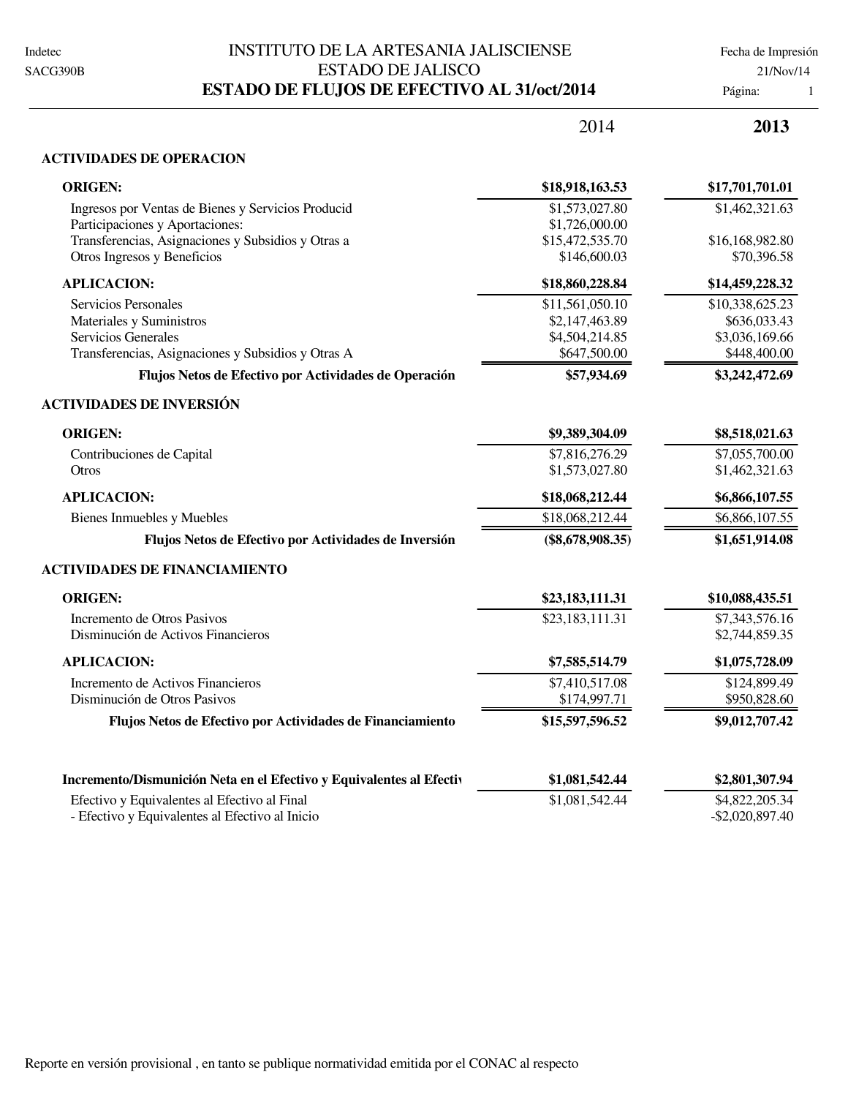# INSTITUTO DE LA ARTESANIA JALISCIENSE Fecha de Impresión ESTADO DE JALISCO 21/Nov/14 **ESTADO DE FLUJOS DE EFECTIVO AL 31/oct/2014** Página: 1

#### Página:

2014 **2013**

#### **ACTIVIDADES DE OPERACION**

| <b>ORIGEN:</b>                                                       | \$18,918,163.53    | \$17,701,701.01    |
|----------------------------------------------------------------------|--------------------|--------------------|
| Ingresos por Ventas de Bienes y Servicios Producid                   | \$1,573,027.80     | \$1,462,321.63     |
| Participaciones y Aportaciones:                                      | \$1,726,000.00     |                    |
| Transferencias, Asignaciones y Subsidios y Otras a                   | \$15,472,535.70    | \$16,168,982.80    |
| Otros Ingresos y Beneficios                                          | \$146,600.03       | \$70,396.58        |
| <b>APLICACION:</b>                                                   | \$18,860,228.84    | \$14,459,228.32    |
| Servicios Personales                                                 | \$11,561,050.10    | \$10,338,625.23    |
| Materiales y Suministros                                             | \$2,147,463.89     | \$636,033.43       |
| Servicios Generales                                                  | \$4,504,214.85     | \$3,036,169.66     |
| Transferencias, Asignaciones y Subsidios y Otras A                   | \$647,500.00       | \$448,400.00       |
| Flujos Netos de Efectivo por Actividades de Operación                | \$57,934.69        | \$3,242,472.69     |
| ACTIVIDADES DE INVERSIÓN                                             |                    |                    |
| <b>ORIGEN:</b>                                                       | \$9,389,304.09     | \$8,518,021.63     |
| Contribuciones de Capital                                            | \$7,816,276.29     | \$7,055,700.00     |
| Otros                                                                | \$1,573,027.80     | \$1,462,321.63     |
| <b>APLICACION:</b>                                                   | \$18,068,212.44    | \$6,866,107.55     |
| <b>Bienes Inmuebles y Muebles</b>                                    | \$18,068,212.44    | \$6,866,107.55     |
| Flujos Netos de Efectivo por Actividades de Inversión                | $(\$8,678,908.35)$ | \$1,651,914.08     |
| <b>ACTIVIDADES DE FINANCIAMIENTO</b>                                 |                    |                    |
| <b>ORIGEN:</b>                                                       | \$23,183,111.31    | \$10,088,435.51    |
| Incremento de Otros Pasivos                                          | \$23,183,111.31    | \$7,343,576.16     |
| Disminución de Activos Financieros                                   |                    | \$2,744,859.35     |
| <b>APLICACION:</b>                                                   | \$7,585,514.79     | \$1,075,728.09     |
| Incremento de Activos Financieros                                    | \$7,410,517.08     | \$124,899.49       |
| Disminución de Otros Pasivos                                         | \$174,997.71       | \$950,828.60       |
| Flujos Netos de Efectivo por Actividades de Financiamiento           | \$15,597,596.52    | \$9,012,707.42     |
| Incremento/Dismunición Neta en el Efectivo y Equivalentes al Efectiv | \$1,081,542.44     | \$2,801,307.94     |
|                                                                      |                    |                    |
| Efectivo y Equivalentes al Efectivo al Final                         | \$1,081,542.44     | \$4,822,205.34     |
| - Efectivo y Equivalentes al Efectivo al Inicio                      |                    | $-$ \$2,020,897.40 |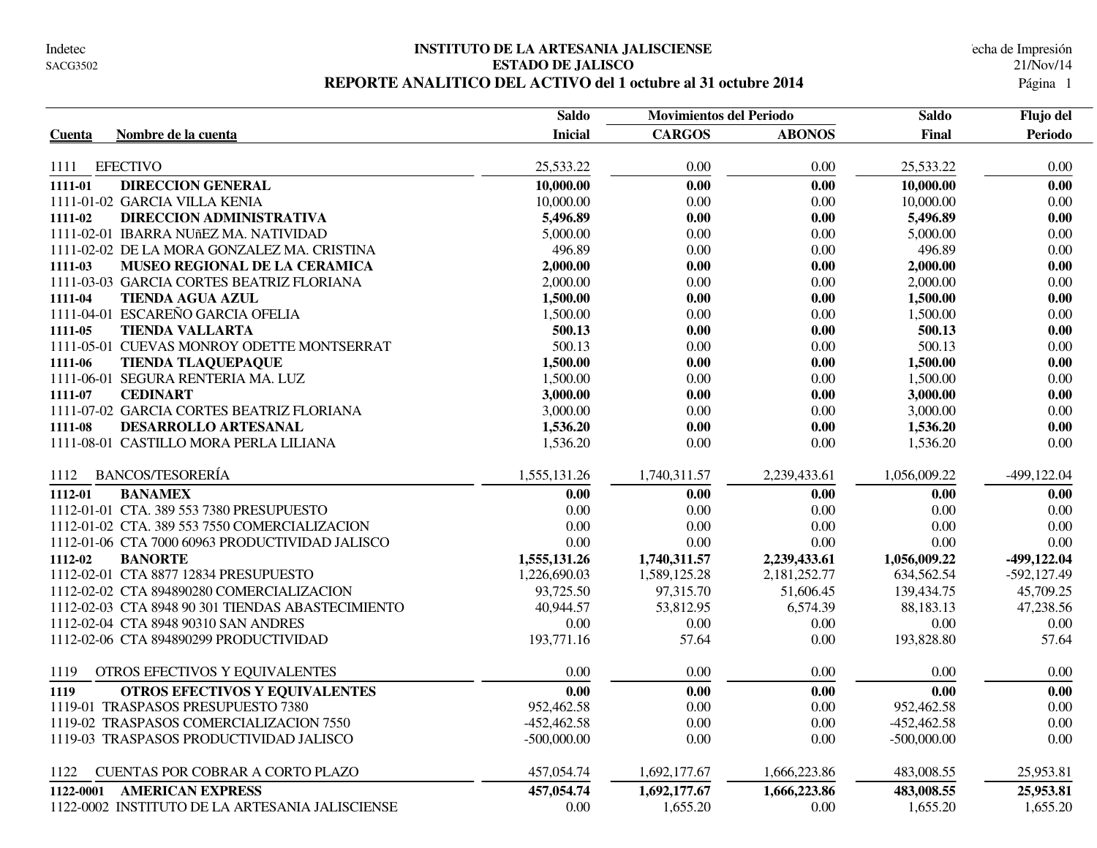#### **INSTITUTO DE LA ARTESANIA JALISCIENSE** Indetec Fecha de Impresión **ESTADO DE JALISCO** 21/Nov/14 **REPORTE ANALITICO DEL ACTIVO del 1 octubre al 31 octubre 2014**

|                                                   | <b>Saldo</b>   | <b>Movimientos del Periodo</b> |               | <b>Saldo</b>  | Flujo del      |
|---------------------------------------------------|----------------|--------------------------------|---------------|---------------|----------------|
| Nombre de la cuenta<br>Cuenta                     | <b>Inicial</b> | <b>CARGOS</b>                  | <b>ABONOS</b> | Final         | Periodo        |
|                                                   |                |                                |               |               |                |
| <b>EFECTIVO</b><br>1111                           | 25,533.22      | 0.00                           | 0.00          | 25,533.22     | 0.00           |
| <b>DIRECCION GENERAL</b><br>1111-01               | 10,000.00      | 0.00                           | 0.00          | 10,000.00     | 0.00           |
| 1111-01-02 GARCIA VILLA KENIA                     | 10,000.00      | $0.00\,$                       | $0.00\,$      | 10,000.00     | 0.00           |
| <b>DIRECCION ADMINISTRATIVA</b><br>1111-02        | 5,496.89       | 0.00                           | 0.00          | 5,496.89      | 0.00           |
| 1111-02-01 IBARRA NUñEZ MA. NATIVIDAD             | 5,000.00       | 0.00                           | 0.00          | 5,000.00      | 0.00           |
| 1111-02-02 DE LA MORA GONZALEZ MA. CRISTINA       | 496.89         | 0.00                           | 0.00          | 496.89        | 0.00           |
| 1111-03<br>MUSEO REGIONAL DE LA CERAMICA          | 2,000.00       | 0.00                           | 0.00          | 2,000.00      | 0.00           |
| 1111-03-03 GARCIA CORTES BEATRIZ FLORIANA         | 2,000.00       | $0.00\,$                       | $0.00\,$      | 2,000.00      | 0.00           |
| 1111-04<br><b>TIENDA AGUA AZUL</b>                | 1,500.00       | 0.00                           | 0.00          | 1,500.00      | 0.00           |
| 1111-04-01 ESCAREÑO GARCIA OFELIA                 | 1,500.00       | $0.00\,$                       | $0.00\,$      | 1,500.00      | 0.00           |
| <b>TIENDA VALLARTA</b><br>1111-05                 | 500.13         | 0.00                           | 0.00          | 500.13        | 0.00           |
| 1111-05-01 CUEVAS MONROY ODETTE MONTSERRAT        | 500.13         | 0.00                           | 0.00          | 500.13        | 0.00           |
| 1111-06<br><b>TIENDA TLAQUEPAQUE</b>              | 1,500.00       | 0.00                           | 0.00          | 1,500.00      | 0.00           |
| 1111-06-01 SEGURA RENTERIA MA. LUZ                | 1,500.00       | 0.00                           | 0.00          | 1,500.00      | 0.00           |
| <b>CEDINART</b><br>1111-07                        | 3,000.00       | 0.00                           | 0.00          | 3,000.00      | 0.00           |
| 1111-07-02 GARCIA CORTES BEATRIZ FLORIANA         | 3,000.00       | 0.00                           | 0.00          | 3,000.00      | 0.00           |
| 1111-08<br>DESARROLLO ARTESANAL                   | 1,536.20       | 0.00                           | 0.00          | 1,536.20      | 0.00           |
| 1111-08-01 CASTILLO MORA PERLA LILIANA            | 1,536.20       | 0.00                           | 0.00          | 1,536.20      | 0.00           |
|                                                   |                |                                |               |               |                |
| <b>BANCOS/TESORERÍA</b><br>1112                   | 1,555,131.26   | 1,740,311.57                   | 2,239,433.61  | 1,056,009.22  | -499,122.04    |
| <b>BANAMEX</b><br>1112-01                         | 0.00           | 0.00                           | 0.00          | 0.00          | 0.00           |
| 1112-01-01 CTA. 389 553 7380 PRESUPUESTO          | 0.00           | $0.00\,$                       | 0.00          | 0.00          | 0.00           |
| 1112-01-02 CTA. 389 553 7550 COMERCIALIZACION     | 0.00           | 0.00                           | 0.00          | 0.00          | 0.00           |
| 1112-01-06 CTA 7000 60963 PRODUCTIVIDAD JALISCO   | 0.00           | 0.00                           | 0.00          | 0.00          | 0.00           |
| <b>BANORTE</b><br>1112-02                         | 1,555,131.26   | 1,740,311.57                   | 2,239,433.61  | 1,056,009.22  | -499,122.04    |
| 1112-02-01 CTA 8877 12834 PRESUPUESTO             | 1,226,690.03   | 1,589,125.28                   | 2,181,252.77  | 634,562.54    | $-592, 127.49$ |
| 1112-02-02 CTA 894890280 COMERCIALIZACION         | 93,725.50      | 97,315.70                      | 51,606.45     | 139,434.75    | 45,709.25      |
| 1112-02-03 CTA 8948 90 301 TIENDAS ABASTECIMIENTO | 40,944.57      | 53,812.95                      | 6,574.39      | 88,183.13     | 47,238.56      |
| 1112-02-04 CTA 8948 90310 SAN ANDRES              | 0.00           | $0.00\,$                       | 0.00          | 0.00          | $0.00\,$       |
| 1112-02-06 CTA 894890299 PRODUCTIVIDAD            | 193,771.16     | 57.64                          | 0.00          | 193,828.80    | 57.64          |
|                                                   |                |                                |               |               |                |
| OTROS EFECTIVOS Y EQUIVALENTES<br>1119            | 0.00           | 0.00                           | 0.00          | 0.00          | 0.00           |
| 1119<br><b>OTROS EFECTIVOS Y EQUIVALENTES</b>     | 0.00           | 0.00                           | 0.00          | 0.00          | 0.00           |
| 1119-01 TRASPASOS PRESUPUESTO 7380                | 952,462.58     | 0.00                           | 0.00          | 952,462.58    | 0.00           |
| 1119-02 TRASPASOS COMERCIALIZACION 7550           | $-452,462.58$  | $0.00\,$                       | 0.00          | $-452,462.58$ | 0.00           |
| 1119-03 TRASPASOS PRODUCTIVIDAD JALISCO           | $-500,000.00$  | 0.00                           | 0.00          | $-500,000.00$ | 0.00           |
|                                                   |                |                                |               |               |                |
| CUENTAS POR COBRAR A CORTO PLAZO<br>1122          | 457,054.74     | 1,692,177.67                   | 1,666,223.86  | 483,008.55    | 25,953.81      |
| <b>AMERICAN EXPRESS</b><br>1122-0001              | 457,054.74     | 1,692,177.67                   | 1,666,223.86  | 483,008.55    | 25,953.81      |
| 1122-0002 INSTITUTO DE LA ARTESANIA JALISCIENSE   | 0.00           | 1,655.20                       | 0.00          | 1,655.20      | 1,655.20       |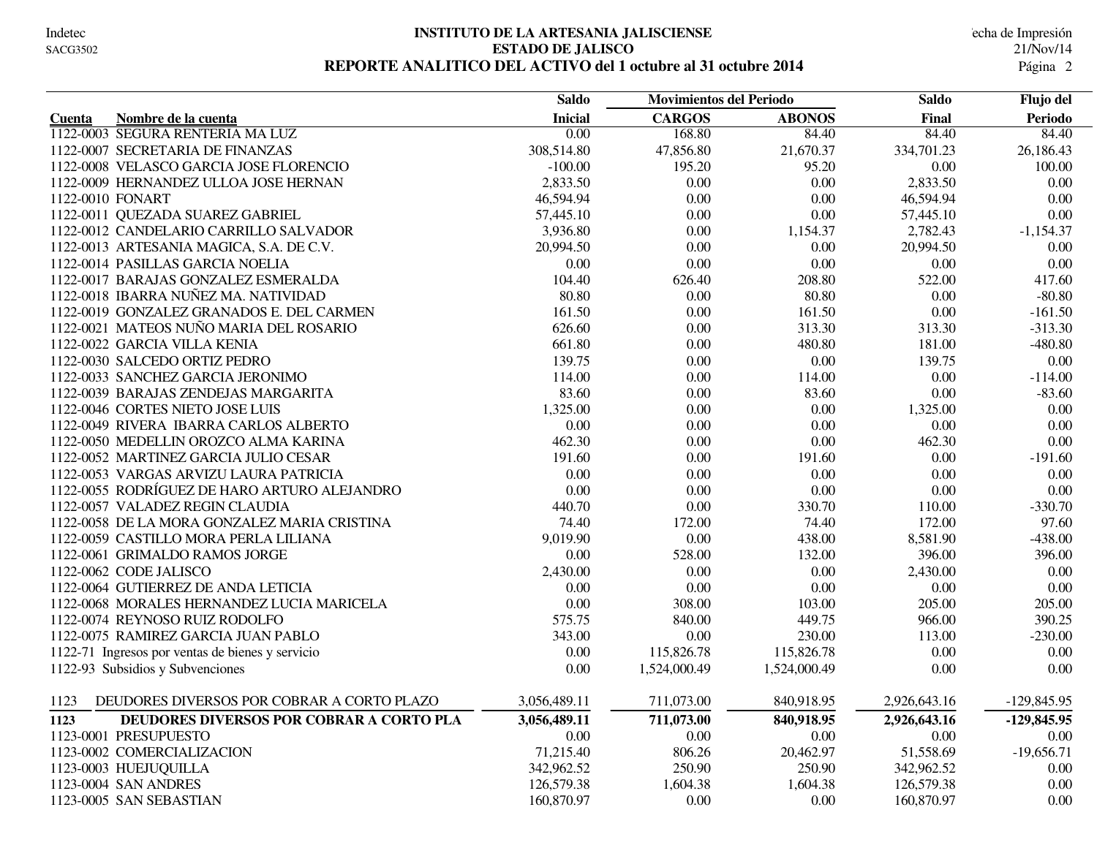#### **INSTITUTO DE LA ARTESANIA JALISCIENSE** Indetec Fecha de Impresión **ESTADO DE JALISCO** 21/Nov/14 **REPORTE ANALITICO DEL ACTIVO del 1 octubre al 31 octubre 2014**

|                                                    | <b>Saldo</b>   | <b>Movimientos del Periodo</b> |               | <b>Saldo</b> | Flujo del      |
|----------------------------------------------------|----------------|--------------------------------|---------------|--------------|----------------|
| Nombre de la cuenta<br>Cuenta                      | <b>Inicial</b> | <b>CARGOS</b>                  | <b>ABONOS</b> | Final        | <b>Periodo</b> |
| 1122-0003 SEGURA RENTERIA MA LUZ                   | 0.00           | 168.80                         | 84.40         | 84.40        | 84.40          |
| 1122-0007 SECRETARIA DE FINANZAS                   | 308,514.80     | 47,856.80                      | 21,670.37     | 334,701.23   | 26,186.43      |
| 1122-0008 VELASCO GARCIA JOSE FLORENCIO            | $-100.00$      | 195.20                         | 95.20         | 0.00         | 100.00         |
| 1122-0009 HERNANDEZ ULLOA JOSE HERNAN              | 2,833.50       | 0.00                           | 0.00          | 2,833.50     | 0.00           |
| 1122-0010 FONART                                   | 46,594.94      | 0.00                           | 0.00          | 46,594.94    | 0.00           |
| 1122-0011 QUEZADA SUAREZ GABRIEL                   | 57,445.10      | 0.00                           | 0.00          | 57,445.10    | 0.00           |
| 1122-0012 CANDELARIO CARRILLO SALVADOR             | 3,936.80       | 0.00                           | 1,154.37      | 2,782.43     | $-1,154.37$    |
| 1122-0013 ARTESANIA MAGICA, S.A. DE C.V.           | 20,994.50      | 0.00                           | 0.00          | 20,994.50    | 0.00           |
| 1122-0014 PASILLAS GARCIA NOELIA                   | 0.00           | 0.00                           | 0.00          | 0.00         | 0.00           |
| 1122-0017 BARAJAS GONZALEZ ESMERALDA               | 104.40         | 626.40                         | 208.80        | 522.00       | 417.60         |
| 1122-0018 IBARRA NUÑEZ MA. NATIVIDAD               | 80.80          | 0.00                           | 80.80         | 0.00         | $-80.80$       |
| 1122-0019 GONZALEZ GRANADOS E. DEL CARMEN          | 161.50         | 0.00                           | 161.50        | 0.00         | $-161.50$      |
| 1122-0021 MATEOS NUÑO MARIA DEL ROSARIO            | 626.60         | 0.00                           | 313.30        | 313.30       | $-313.30$      |
| 1122-0022 GARCIA VILLA KENIA                       | 661.80         | 0.00                           | 480.80        | 181.00       | $-480.80$      |
| 1122-0030 SALCEDO ORTIZ PEDRO                      | 139.75         | $0.00\,$                       | $0.00\,$      | 139.75       | 0.00           |
| 1122-0033 SANCHEZ GARCIA JERONIMO                  | 114.00         | 0.00                           | 114.00        | 0.00         | $-114.00$      |
| 1122-0039 BARAJAS ZENDEJAS MARGARITA               | 83.60          | 0.00                           | 83.60         | 0.00         | $-83.60$       |
| 1122-0046 CORTES NIETO JOSE LUIS                   | 1,325.00       | 0.00                           | 0.00          | 1,325.00     | 0.00           |
| 1122-0049 RIVERA IBARRA CARLOS ALBERTO             | 0.00           | 0.00                           | 0.00          | 0.00         | $0.00\,$       |
| 1122-0050 MEDELLIN OROZCO ALMA KARINA              | 462.30         | 0.00                           | 0.00          | 462.30       | 0.00           |
| 1122-0052 MARTINEZ GARCIA JULIO CESAR              | 191.60         | 0.00                           | 191.60        | 0.00         | $-191.60$      |
| 1122-0053 VARGAS ARVIZU LAURA PATRICIA             | 0.00           | 0.00                           | 0.00          | 0.00         | 0.00           |
| 1122-0055 RODRÍGUEZ DE HARO ARTURO ALEJANDRO       | 0.00           | 0.00                           | 0.00          | 0.00         | 0.00           |
| 1122-0057 VALADEZ REGIN CLAUDIA                    | 440.70         | 0.00                           | 330.70        | 110.00       | $-330.70$      |
| 1122-0058 DE LA MORA GONZALEZ MARIA CRISTINA       | 74.40          | 172.00                         | 74.40         | 172.00       | 97.60          |
| 1122-0059 CASTILLO MORA PERLA LILIANA              | 9,019.90       | $0.00\,$                       | 438.00        | 8,581.90     | $-438.00$      |
| 1122-0061 GRIMALDO RAMOS JORGE                     | 0.00           | 528.00                         | 132.00        | 396.00       | 396.00         |
| 1122-0062 CODE JALISCO                             | 2,430.00       | 0.00                           | 0.00          | 2,430.00     | 0.00           |
| 1122-0064 GUTIERREZ DE ANDA LETICIA                | 0.00           | 0.00                           | 0.00          | 0.00         | 0.00           |
| 1122-0068 MORALES HERNANDEZ LUCIA MARICELA         | 0.00           | 308.00                         | 103.00        | 205.00       | 205.00         |
| 1122-0074 REYNOSO RUIZ RODOLFO                     | 575.75         | 840.00                         | 449.75        | 966.00       | 390.25         |
| 1122-0075 RAMIREZ GARCIA JUAN PABLO                | 343.00         | 0.00                           | 230.00        | 113.00       | $-230.00$      |
| 1122-71 Ingresos por ventas de bienes y servicio   | 0.00           | 115,826.78                     | 115,826.78    | 0.00         | 0.00           |
| 1122-93 Subsidios y Subvenciones                   | 0.00           | 1,524,000.49                   | 1,524,000.49  | 0.00         | $0.00\,$       |
| DEUDORES DIVERSOS POR COBRAR A CORTO PLAZO<br>1123 | 3,056,489.11   | 711,073.00                     | 840,918.95    | 2,926,643.16 | $-129,845.95$  |
| DEUDORES DIVERSOS POR COBRAR A CORTO PLA<br>1123   | 3,056,489.11   | 711,073.00                     | 840,918.95    | 2,926,643.16 | -129,845.95    |
| 1123-0001 PRESUPUESTO                              | 0.00           | $0.00\,$                       | 0.00          | 0.00         | 0.00           |
| 1123-0002 COMERCIALIZACION                         | 71,215.40      | 806.26                         | 20,462.97     | 51,558.69    | $-19,656.71$   |
| 1123-0003 HUEJUQUILLA                              | 342,962.52     | 250.90                         | 250.90        | 342,962.52   | 0.00           |
| 1123-0004 SAN ANDRES                               | 126,579.38     | 1,604.38                       | 1,604.38      | 126,579.38   | $0.00\,$       |
| 1123-0005 SAN SEBASTIAN                            | 160,870.97     | 0.00                           | 0.00          | 160,870.97   | 0.00           |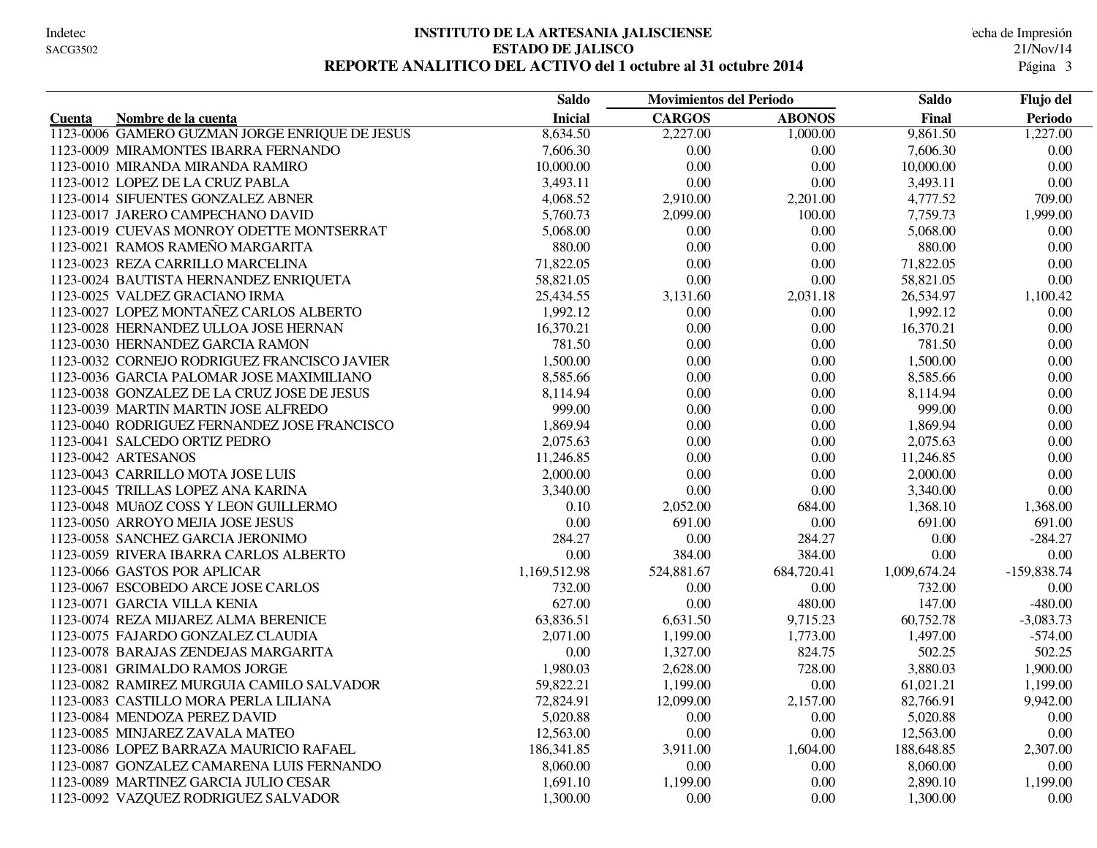#### **INSTITUTO DE LA ARTESANIA JALISCIENSE** Indetec Fecha de Impresión **ESTADO DE JALISCO** 21/Nov/14 **REPORTE ANALITICO DEL ACTIVO del 1 octubre al 31 octubre 2014**

|                                                | <b>Saldo</b>   | <b>Movimientos del Periodo</b> |               | <b>Saldo</b> | Flujo del      |
|------------------------------------------------|----------------|--------------------------------|---------------|--------------|----------------|
| Nombre de la cuenta<br>Cuenta                  | <b>Inicial</b> | <b>CARGOS</b>                  | <b>ABONOS</b> | Final        | <b>Periodo</b> |
| 1123-0006 GAMERO GUZMAN JORGE ENRIQUE DE JESUS | 8,634.50       | 2,227.00                       | 1,000.00      | 9,861.50     | 1,227.00       |
| 1123-0009 MIRAMONTES IBARRA FERNANDO           | 7,606.30       | 0.00                           | 0.00          | 7,606.30     | 0.00           |
| 1123-0010 MIRANDA MIRANDA RAMIRO               | 10,000.00      | 0.00                           | 0.00          | 10,000.00    | 0.00           |
| 1123-0012 LOPEZ DE LA CRUZ PABLA               | 3,493.11       | 0.00                           | 0.00          | 3,493.11     | $0.00\,$       |
| 1123-0014 SIFUENTES GONZALEZ ABNER             | 4,068.52       | 2,910.00                       | 2,201.00      | 4,777.52     | 709.00         |
| 1123-0017 JARERO CAMPECHANO DAVID              | 5,760.73       | 2,099.00                       | 100.00        | 7,759.73     | 1,999.00       |
| 1123-0019 CUEVAS MONROY ODETTE MONTSERRAT      | 5,068.00       | 0.00                           | $0.00\,$      | 5,068.00     | $0.00\,$       |
| 1123-0021 RAMOS RAMEÑO MARGARITA               | 880.00         | 0.00                           | 0.00          | 880.00       | 0.00           |
| 1123-0023 REZA CARRILLO MARCELINA              | 71,822.05      | 0.00                           | 0.00          | 71,822.05    | 0.00           |
| 1123-0024 BAUTISTA HERNANDEZ ENRIQUETA         | 58,821.05      | 0.00                           | 0.00          | 58,821.05    | 0.00           |
| 1123-0025 VALDEZ GRACIANO IRMA                 | 25,434.55      | 3,131.60                       | 2,031.18      | 26,534.97    | 1,100.42       |
| 1123-0027 LOPEZ MONTAÑEZ CARLOS ALBERTO        | 1,992.12       | 0.00                           | 0.00          | 1,992.12     | 0.00           |
| 1123-0028 HERNANDEZ ULLOA JOSE HERNAN          | 16,370.21      | 0.00                           | 0.00          | 16,370.21    | $0.00\,$       |
| 1123-0030 HERNANDEZ GARCIA RAMON               | 781.50         | 0.00                           | 0.00          | 781.50       | 0.00           |
| 1123-0032 CORNEJO RODRIGUEZ FRANCISCO JAVIER   | 1,500.00       | 0.00                           | 0.00          | 1,500.00     | 0.00           |
| 1123-0036 GARCIA PALOMAR JOSE MAXIMILIANO      | 8,585.66       | 0.00                           | 0.00          | 8,585.66     | 0.00           |
| 1123-0038 GONZALEZ DE LA CRUZ JOSE DE JESUS    | 8,114.94       | 0.00                           | 0.00          | 8,114.94     | $0.00\,$       |
| 1123-0039 MARTIN MARTIN JOSE ALFREDO           | 999.00         | 0.00                           | 0.00          | 999.00       | 0.00           |
| 1123-0040 RODRIGUEZ FERNANDEZ JOSE FRANCISCO   | 1,869.94       | 0.00                           | $0.00\,$      | 1,869.94     | $0.00\,$       |
| 1123-0041 SALCEDO ORTIZ PEDRO                  | 2,075.63       | 0.00                           | 0.00          | 2,075.63     | $0.00\,$       |
| 1123-0042 ARTESANOS                            | 11,246.85      | 0.00                           | 0.00          | 11,246.85    | 0.00           |
| 1123-0043 CARRILLO MOTA JOSE LUIS              | 2,000.00       | 0.00                           | 0.00          | 2,000.00     | 0.00           |
| 1123-0045 TRILLAS LOPEZ ANA KARINA             | 3,340.00       | 0.00                           | 0.00          | 3,340.00     | $0.00\,$       |
| 1123-0048 MUñOZ COSS Y LEON GUILLERMO          | 0.10           | 2,052.00                       | 684.00        | 1,368.10     | 1,368.00       |
| 1123-0050 ARROYO MEJIA JOSE JESUS              | $0.00\,$       | 691.00                         | $0.00\,$      | 691.00       | 691.00         |
| 1123-0058 SANCHEZ GARCIA JERONIMO              | 284.27         | 0.00                           | 284.27        | $0.00\,$     | $-284.27$      |
| 1123-0059 RIVERA IBARRA CARLOS ALBERTO         | 0.00           | 384.00                         | 384.00        | 0.00         | 0.00           |
| 1123-0066 GASTOS POR APLICAR                   | 1,169,512.98   | 524,881.67                     | 684,720.41    | 1,009,674.24 | $-159,838.74$  |
| 1123-0067 ESCOBEDO ARCE JOSE CARLOS            | 732.00         | 0.00                           | 0.00          | 732.00       | $0.00\,$       |
| 1123-0071 GARCIA VILLA KENIA                   | 627.00         | 0.00                           | 480.00        | 147.00       | $-480.00$      |
| 1123-0074 REZA MIJAREZ ALMA BERENICE           | 63,836.51      | 6,631.50                       | 9,715.23      | 60,752.78    | $-3,083.73$    |
| 1123-0075 FAJARDO GONZALEZ CLAUDIA             | 2,071.00       | 1,199.00                       | 1,773.00      | 1,497.00     | $-574.00$      |
| 1123-0078 BARAJAS ZENDEJAS MARGARITA           | 0.00           | 1,327.00                       | 824.75        | 502.25       | 502.25         |
| 1123-0081 GRIMALDO RAMOS JORGE                 | 1,980.03       | 2,628.00                       | 728.00        | 3,880.03     | 1,900.00       |
| 1123-0082 RAMIREZ MURGUIA CAMILO SALVADOR      | 59,822.21      | 1,199.00                       | 0.00          | 61,021.21    | 1,199.00       |
| 1123-0083 CASTILLO MORA PERLA LILIANA          | 72,824.91      | 12,099.00                      | 2,157.00      | 82,766.91    | 9,942.00       |
| 1123-0084 MENDOZA PEREZ DAVID                  | 5,020.88       | 0.00                           | 0.00          | 5,020.88     | 0.00           |
| 1123-0085 MINJAREZ ZAVALA MATEO                | 12,563.00      | 0.00                           | 0.00          | 12,563.00    | $0.00\,$       |
| 1123-0086 LOPEZ BARRAZA MAURICIO RAFAEL        | 186, 341.85    | 3,911.00                       | 1,604.00      | 188,648.85   | 2,307.00       |
| 1123-0087 GONZALEZ CAMARENA LUIS FERNANDO      | 8,060.00       | 0.00                           | 0.00          | 8,060.00     | 0.00           |
| 1123-0089 MARTINEZ GARCIA JULIO CESAR          | 1,691.10       | 1,199.00                       | $0.00\,$      | 2,890.10     | 1,199.00       |
| 1123-0092 VAZQUEZ RODRIGUEZ SALVADOR           | 1,300.00       | 0.00                           | 0.00          | 1,300.00     | 0.00           |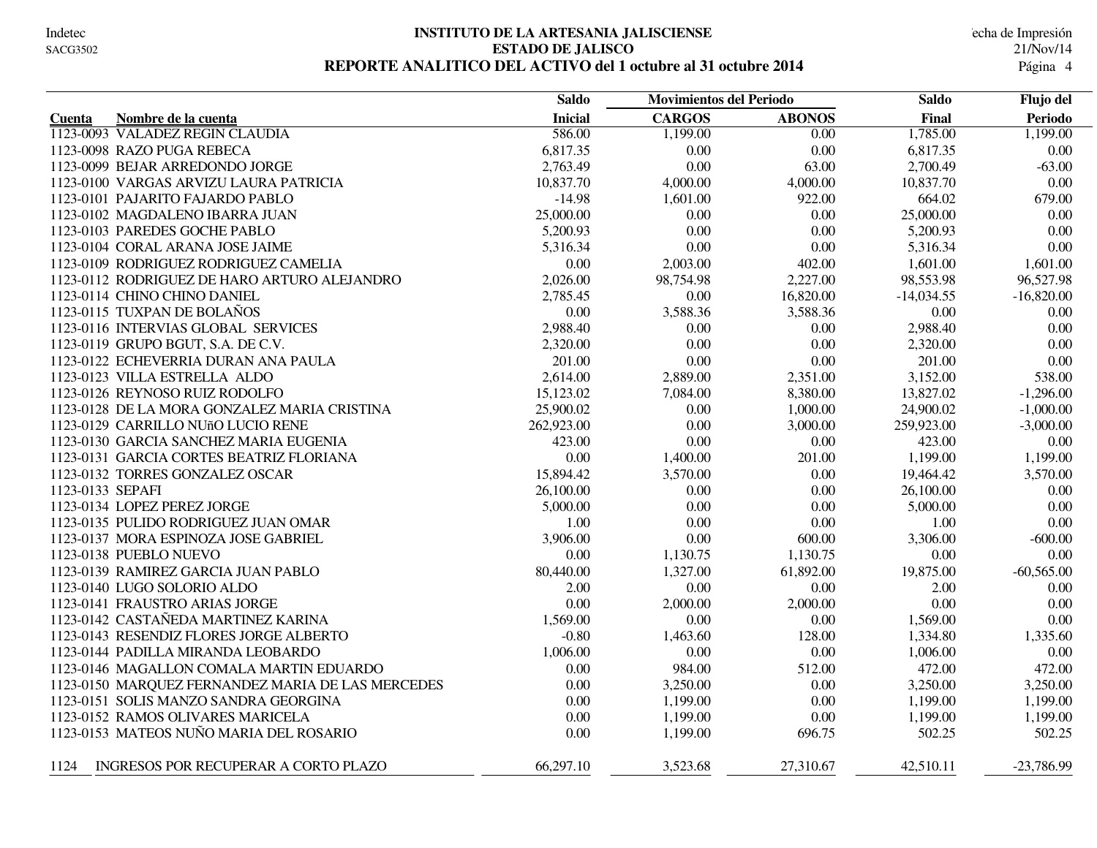#### **INSTITUTO DE LA ARTESANIA JALISCIENSE** Indetec Fecha de Impresión **ESTADO DE JALISCO** 21/Nov/14 REPORTE ANALITICO DEL ACTIVO del 1 octubre al 31 octubre 2014

|                                                   | <b>Saldo</b>   | <b>Movimientos del Periodo</b> |               | <b>Saldo</b> | Flujo del    |
|---------------------------------------------------|----------------|--------------------------------|---------------|--------------|--------------|
| Nombre de la cuenta<br><b>Cuenta</b>              | <b>Inicial</b> | <b>CARGOS</b>                  | <b>ABONOS</b> | Final        | Periodo      |
| 1123-0093 VALADEZ REGIN CLAUDIA                   | 586.00         | 1,199.00                       | 0.00          | 1,785.00     | 1,199.00     |
| 1123-0098 RAZO PUGA REBECA                        | 6,817.35       | 0.00                           | 0.00          | 6,817.35     | 0.00         |
| 1123-0099 BEJAR ARREDONDO JORGE                   | 2,763.49       | 0.00                           | 63.00         | 2,700.49     | $-63.00$     |
| 1123-0100 VARGAS ARVIZU LAURA PATRICIA            | 10,837.70      | 4,000.00                       | 4,000.00      | 10,837.70    | 0.00         |
| 1123-0101 PAJARITO FAJARDO PABLO                  | $-14.98$       | 1,601.00                       | 922.00        | 664.02       | 679.00       |
| 1123-0102 MAGDALENO IBARRA JUAN                   | 25,000.00      | 0.00                           | 0.00          | 25,000.00    | 0.00         |
| 1123-0103 PAREDES GOCHE PABLO                     | 5,200.93       | 0.00                           | 0.00          | 5,200.93     | 0.00         |
| 1123-0104 CORAL ARANA JOSE JAIME                  | 5,316.34       | 0.00                           | 0.00          | 5,316.34     | 0.00         |
| 1123-0109 RODRIGUEZ RODRIGUEZ CAMELIA             | 0.00           | 2,003.00                       | 402.00        | 1,601.00     | 1,601.00     |
| 1123-0112 RODRIGUEZ DE HARO ARTURO ALEJANDRO      | 2,026.00       | 98,754.98                      | 2,227.00      | 98,553.98    | 96,527.98    |
| 1123-0114 CHINO CHINO DANIEL                      | 2,785.45       | 0.00                           | 16,820.00     | $-14,034.55$ | $-16,820.00$ |
| 1123-0115 TUXPAN DE BOLAÑOS                       | 0.00           | 3,588.36                       | 3,588.36      | 0.00         | 0.00         |
| 1123-0116 INTERVIAS GLOBAL SERVICES               | 2,988.40       | 0.00                           | 0.00          | 2,988.40     | 0.00         |
| 1123-0119 GRUPO BGUT, S.A. DE C.V.                | 2,320.00       | 0.00                           | 0.00          | 2,320.00     | 0.00         |
| 1123-0122 ECHEVERRIA DURAN ANA PAULA              | 201.00         | 0.00                           | 0.00          | 201.00       | 0.00         |
| 1123-0123 VILLA ESTRELLA ALDO                     | 2,614.00       | 2,889.00                       | 2,351.00      | 3,152.00     | 538.00       |
| 1123-0126 REYNOSO RUIZ RODOLFO                    | 15,123.02      | 7,084.00                       | 8,380.00      | 13,827.02    | $-1,296.00$  |
| 1123-0128 DE LA MORA GONZALEZ MARIA CRISTINA      | 25,900.02      | 0.00                           | 1,000.00      | 24,900.02    | $-1,000.00$  |
| 1123-0129 CARRILLO NUñO LUCIO RENE                | 262,923.00     | 0.00                           | 3,000.00      | 259,923.00   | $-3,000.00$  |
| 1123-0130 GARCIA SANCHEZ MARIA EUGENIA            | 423.00         | 0.00                           | 0.00          | 423.00       | 0.00         |
| 1123-0131 GARCIA CORTES BEATRIZ FLORIANA          | 0.00           | 1,400.00                       | 201.00        | 1,199.00     | 1,199.00     |
| 1123-0132 TORRES GONZALEZ OSCAR                   | 15,894.42      | 3,570.00                       | 0.00          | 19,464.42    | 3,570.00     |
| 1123-0133 SEPAFI                                  | 26,100.00      | 0.00                           | 0.00          | 26,100.00    | 0.00         |
| 1123-0134 LOPEZ PEREZ JORGE                       | 5,000.00       | 0.00                           | 0.00          | 5,000.00     | 0.00         |
| 1123-0135 PULIDO RODRIGUEZ JUAN OMAR              | 1.00           | 0.00                           | 0.00          | 1.00         | 0.00         |
| 1123-0137 MORA ESPINOZA JOSE GABRIEL              | 3,906.00       | $0.00\,$                       | 600.00        | 3,306.00     | $-600.00$    |
| 1123-0138 PUEBLO NUEVO                            | 0.00           | 1,130.75                       | 1,130.75      | 0.00         | 0.00         |
| 1123-0139 RAMIREZ GARCIA JUAN PABLO               | 80,440.00      | 1,327.00                       | 61,892.00     | 19,875.00    | $-60,565.00$ |
| 1123-0140 LUGO SOLORIO ALDO                       | 2.00           | $0.00\,$                       | 0.00          | 2.00         | 0.00         |
| 1123-0141 FRAUSTRO ARIAS JORGE                    | 0.00           | 2,000.00                       | 2,000.00      | 0.00         | 0.00         |
| 1123-0142 CASTAÑEDA MARTINEZ KARINA               | 1,569.00       | 0.00                           | 0.00          | 1,569.00     | 0.00         |
| 1123-0143 RESENDIZ FLORES JORGE ALBERTO           | $-0.80$        | 1,463.60                       | 128.00        | 1,334.80     | 1,335.60     |
| 1123-0144 PADILLA MIRANDA LEOBARDO                | 1,006.00       | $0.00\,$                       | 0.00          | 1,006.00     | 0.00         |
| 1123-0146 MAGALLON COMALA MARTIN EDUARDO          | 0.00           | 984.00                         | 512.00        | 472.00       | 472.00       |
| 1123-0150 MARQUEZ FERNANDEZ MARIA DE LAS MERCEDES | 0.00           | 3,250.00                       | 0.00          | 3,250.00     | 3,250.00     |
| 1123-0151 SOLIS MANZO SANDRA GEORGINA             | $0.00\,$       | 1,199.00                       | 0.00          | 1,199.00     | 1,199.00     |
| 1123-0152 RAMOS OLIVARES MARICELA                 | $0.00\,$       | 1,199.00                       | 0.00          | 1,199.00     | 1,199.00     |
| 1123-0153 MATEOS NUÑO MARIA DEL ROSARIO           | 0.00           | 1,199.00                       | 696.75        | 502.25       | 502.25       |
| INGRESOS POR RECUPERAR A CORTO PLAZO<br>1124      | 66,297.10      | 3,523.68                       | 27,310.67     | 42,510.11    | $-23,786.99$ |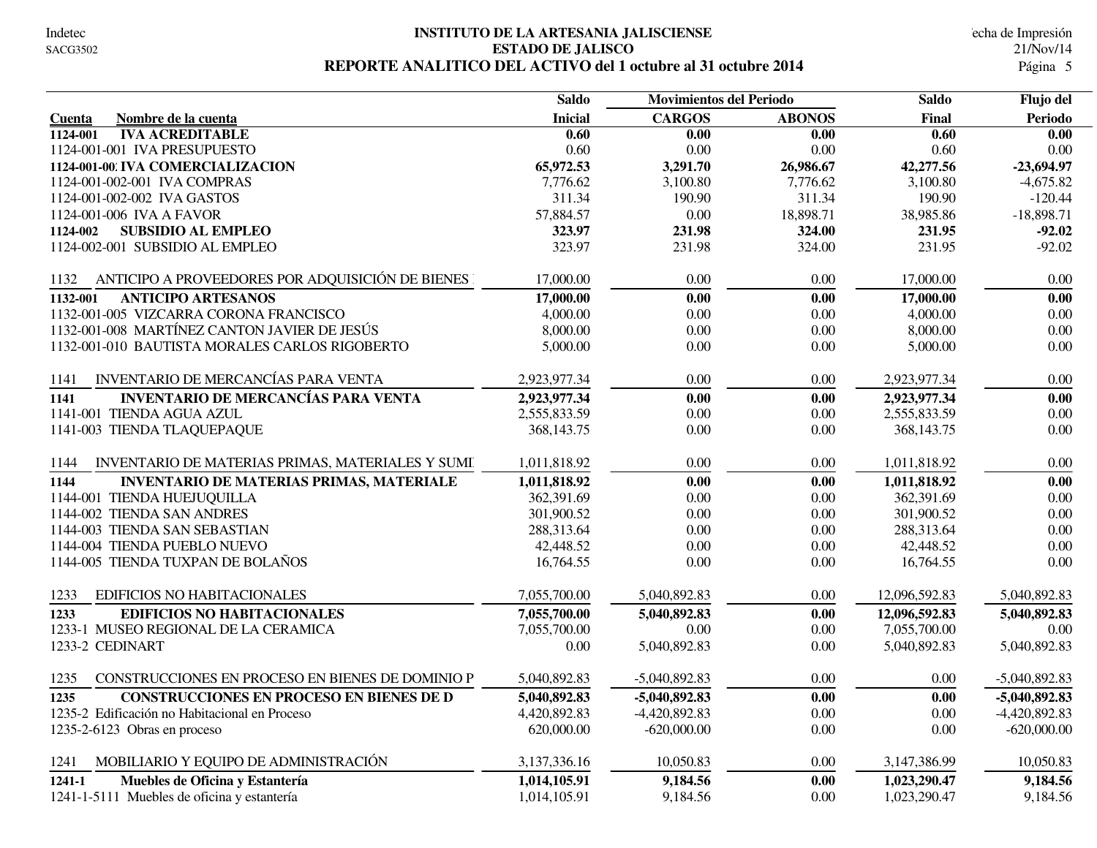#### **INSTITUTO DE LA ARTESANIA JALISCIENSE** Indetec Fecha de Impresión **ESTADO DE JALISCO** 21/Nov/14 **REPORTE ANALITICO DEL ACTIVO del 1 octubre al 31 octubre 2014**

|                                                          | <b>Saldo</b>   | <b>Movimientos del Periodo</b> |               | <b>Saldo</b>  | Flujo del       |
|----------------------------------------------------------|----------------|--------------------------------|---------------|---------------|-----------------|
| Nombre de la cuenta<br>Cuenta                            | <b>Inicial</b> | <b>CARGOS</b>                  | <b>ABONOS</b> | Final         | Periodo         |
| <b>IVA ACREDITABLE</b><br>1124-001                       | 0.60           | 0.00                           | 0.00          | 0.60          | 0.00            |
| 1124-001-001 IVA PRESUPUESTO                             | 0.60           | 0.00                           | 0.00          | 0.60          | 0.00            |
| 1124-001-00: IVA COMERCIALIZACION                        | 65,972.53      | 3,291.70                       | 26,986.67     | 42,277.56     | $-23,694.97$    |
| 1124-001-002-001 IVA COMPRAS                             | 7,776.62       | 3,100.80                       | 7,776.62      | 3,100.80      | $-4,675.82$     |
| 1124-001-002-002 IVA GASTOS                              | 311.34         | 190.90                         | 311.34        | 190.90        | $-120.44$       |
| 1124-001-006 IVA A FAVOR                                 | 57,884.57      | 0.00                           | 18,898.71     | 38,985.86     | $-18,898.71$    |
| <b>SUBSIDIO AL EMPLEO</b><br>1124-002                    | 323.97         | 231.98                         | 324.00        | 231.95        | $-92.02$        |
| 1124-002-001 SUBSIDIO AL EMPLEO                          | 323.97         | 231.98                         | 324.00        | 231.95        | $-92.02$        |
| ANTICIPO A PROVEEDORES POR ADQUISICIÓN DE BIENES<br>1132 | 17,000.00      | 0.00                           | 0.00          | 17,000.00     | 0.00            |
| <b>ANTICIPO ARTESANOS</b><br>1132-001                    | 17,000.00      | 0.00                           | 0.00          | 17,000.00     | 0.00            |
| 1132-001-005 VIZCARRA CORONA FRANCISCO                   | 4,000.00       | 0.00                           | 0.00          | 4,000.00      | 0.00            |
| 1132-001-008 MARTÍNEZ CANTON JAVIER DE JESÚS             | 8,000.00       | $0.00\,$                       | $0.00\,$      | 8,000.00      | $0.00\,$        |
| 1132-001-010 BAUTISTA MORALES CARLOS RIGOBERTO           | 5,000.00       | 0.00                           | 0.00          | 5,000.00      | $0.00\,$        |
| INVENTARIO DE MERCANCÍAS PARA VENTA<br>1141              | 2,923,977.34   | 0.00                           | 0.00          | 2,923,977.34  | 0.00            |
| <b>INVENTARIO DE MERCANCÍAS PARA VENTA</b><br>1141       | 2,923,977.34   | 0.00                           | 0.00          | 2,923,977.34  | 0.00            |
| 1141-001 TIENDA AGUA AZUL                                | 2,555,833.59   | 0.00                           | 0.00          | 2,555,833.59  | 0.00            |
| 1141-003 TIENDA TLAQUEPAQUE                              | 368, 143.75    | 0.00                           | 0.00          | 368, 143. 75  | $0.00\,$        |
| INVENTARIO DE MATERIAS PRIMAS, MATERIALES Y SUMI<br>1144 | 1,011,818.92   | 0.00                           | 0.00          | 1,011,818.92  | 0.00            |
| 1144<br><b>INVENTARIO DE MATERIAS PRIMAS, MATERIALE</b>  | 1,011,818.92   | 0.00                           | 0.00          | 1,011,818.92  | 0.00            |
| 1144-001 TIENDA HUEJUQUILLA                              | 362,391.69     | 0.00                           | 0.00          | 362,391.69    | 0.00            |
| 1144-002 TIENDA SAN ANDRES                               | 301,900.52     | 0.00                           | 0.00          | 301,900.52    | $0.00\,$        |
| 1144-003 TIENDA SAN SEBASTIAN                            | 288,313.64     | 0.00                           | 0.00          | 288,313.64    | 0.00            |
| 1144-004 TIENDA PUEBLO NUEVO                             | 42,448.52      | 0.00                           | 0.00          | 42,448.52     | 0.00            |
| 1144-005 TIENDA TUXPAN DE BOLAÑOS                        | 16,764.55      | 0.00                           | 0.00          | 16,764.55     | 0.00            |
| 1233<br>EDIFICIOS NO HABITACIONALES                      | 7,055,700.00   | 5,040,892.83                   | 0.00          | 12,096,592.83 | 5,040,892.83    |
| 1233<br><b>EDIFICIOS NO HABITACIONALES</b>               | 7,055,700.00   | 5,040,892.83                   | 0.00          | 12,096,592.83 | 5,040,892.83    |
| 1233-1 MUSEO REGIONAL DE LA CERAMICA                     | 7,055,700.00   | 0.00                           | 0.00          | 7,055,700.00  | 0.00            |
| 1233-2 CEDINART                                          | 0.00           | 5,040,892.83                   | 0.00          | 5,040,892.83  | 5,040,892.83    |
| CONSTRUCCIONES EN PROCESO EN BIENES DE DOMINIO P<br>1235 | 5,040,892.83   | $-5,040,892.83$                | 0.00          | 0.00          | $-5,040,892.83$ |
| <b>CONSTRUCCIONES EN PROCESO EN BIENES DE D</b><br>1235  | 5,040,892.83   | $-5,040,892.83$                | 0.00          | 0.00          | $-5,040,892.83$ |
| 1235-2 Edificación no Habitacional en Proceso            | 4,420,892.83   | $-4,420,892.83$                | 0.00          | 0.00          | $-4,420,892.83$ |
| 1235-2-6123 Obras en proceso                             | 620,000.00     | $-620,000.00$                  | 0.00          | $0.00\,$      | $-620,000.00$   |
| MOBILIARIO Y EQUIPO DE ADMINISTRACIÓN<br>1241            | 3,137,336.16   | 10,050.83                      | 0.00          | 3,147,386.99  | 10,050.83       |
| Muebles de Oficina y Estantería<br>1241-1                | 1,014,105.91   | 9,184.56                       | 0.00          | 1,023,290.47  | 9,184.56        |
| 1241-1-5111 Muebles de oficina y estantería              | 1,014,105.91   | 9,184.56                       | 0.00          | 1,023,290.47  | 9,184.56        |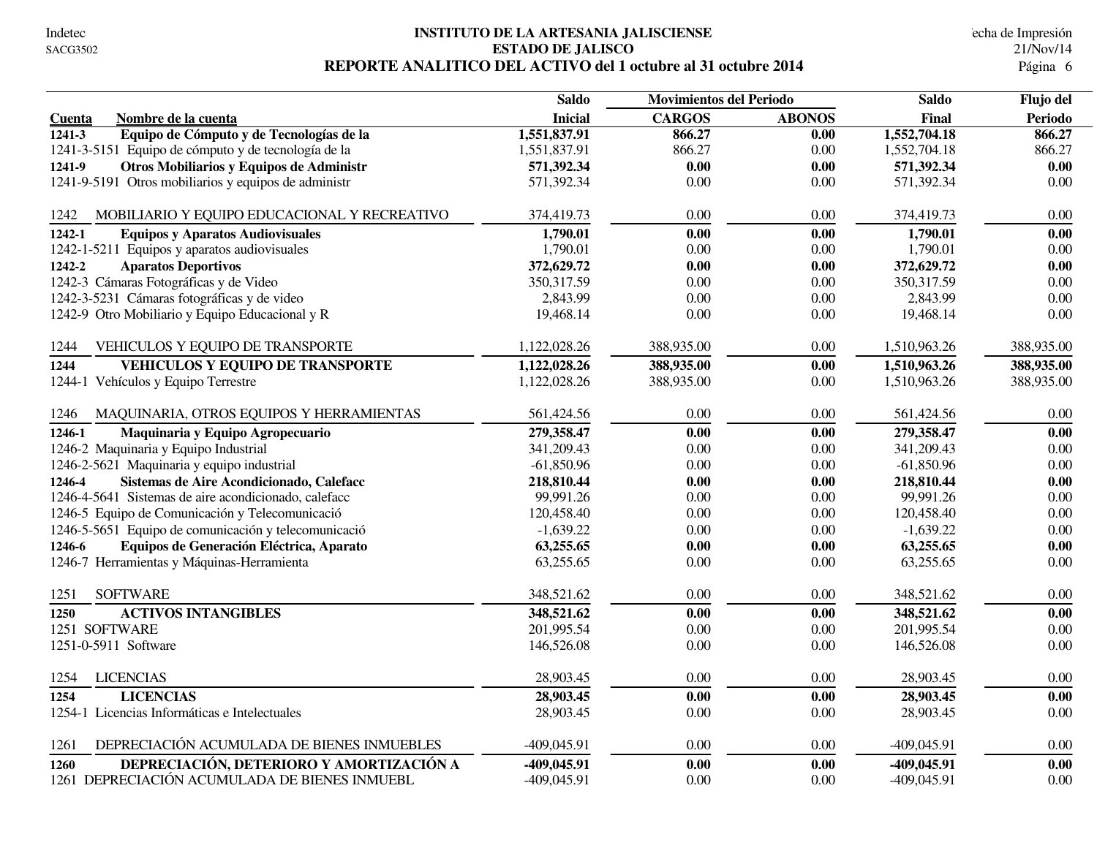#### **INSTITUTO DE LA ARTESANIA JALISCIENSE** Indetec Fecha de Impresión **ESTADO DE JALISCO** 21/Nov/14 REPORTE ANALITICO DEL ACTIVO del 1 octubre al 31 octubre 2014

|                                                      | <b>Saldo</b>   | <b>Movimientos del Periodo</b> |               | <b>Saldo</b>  | Flujo del  |
|------------------------------------------------------|----------------|--------------------------------|---------------|---------------|------------|
| Cuenta<br>Nombre de la cuenta                        | <b>Inicial</b> | <b>CARGOS</b>                  | <b>ABONOS</b> | Final         | Periodo    |
| Equipo de Cómputo y de Tecnologías de la<br>1241-3   | 1,551,837.91   | 866.27                         | 0.00          | 1,552,704.18  | 866.27     |
| 1241-3-5151 Equipo de cómputo y de tecnología de la  | 1,551,837.91   | 866.27                         | 0.00          | 1,552,704.18  | 866.27     |
| Otros Mobiliarios y Equipos de Administr<br>1241-9   | 571,392.34     | 0.00                           | 0.00          | 571,392.34    | 0.00       |
| 1241-9-5191 Otros mobiliarios y equipos de administr | 571,392.34     | 0.00                           | 0.00          | 571,392.34    | 0.00       |
| MOBILIARIO Y EQUIPO EDUCACIONAL Y RECREATIVO<br>1242 | 374,419.73     | 0.00                           | 0.00          | 374,419.73    | 0.00       |
| 1242-1<br><b>Equipos y Aparatos Audiovisuales</b>    | 1,790.01       | 0.00                           | 0.00          | 1,790.01      | 0.00       |
| 1242-1-5211 Equipos y aparatos audiovisuales         | 1,790.01       | 0.00                           | 0.00          | 1,790.01      | 0.00       |
| 1242-2<br><b>Aparatos Deportivos</b>                 | 372,629.72     | 0.00                           | 0.00          | 372,629.72    | 0.00       |
| 1242-3 Cámaras Fotográficas y de Video               | 350, 317.59    | 0.00                           | 0.00          | 350,317.59    | 0.00       |
| 1242-3-5231 Cámaras fotográficas y de video          | 2,843.99       | 0.00                           | 0.00          | 2,843.99      | $0.00\,$   |
| 1242-9 Otro Mobiliario y Equipo Educacional y R      | 19,468.14      | 0.00                           | 0.00          | 19,468.14     | 0.00       |
| VEHICULOS Y EQUIPO DE TRANSPORTE<br>1244             | 1,122,028.26   | 388,935.00                     | 0.00          | 1,510,963.26  | 388,935.00 |
| VEHICULOS Y EQUIPO DE TRANSPORTE<br>1244             | 1,122,028.26   | 388,935.00                     | 0.00          | 1,510,963.26  | 388,935.00 |
| 1244-1 Vehículos y Equipo Terrestre                  | 1,122,028.26   | 388,935.00                     | 0.00          | 1,510,963.26  | 388,935.00 |
| MAQUINARIA, OTROS EQUIPOS Y HERRAMIENTAS<br>1246     | 561,424.56     | 0.00                           | 0.00          | 561,424.56    | 0.00       |
| 1246-1<br>Maquinaria y Equipo Agropecuario           | 279,358.47     | 0.00                           | 0.00          | 279,358.47    | 0.00       |
| 1246-2 Maquinaria y Equipo Industrial                | 341,209.43     | 0.00                           | 0.00          | 341,209.43    | $0.00\,$   |
| 1246-2-5621 Maquinaria y equipo industrial           | $-61,850.96$   | 0.00                           | 0.00          | $-61,850.96$  | 0.00       |
| Sistemas de Aire Acondicionado, Calefacc<br>1246-4   | 218,810.44     | 0.00                           | 0.00          | 218,810.44    | 0.00       |
| 1246-4-5641 Sistemas de aire acondicionado, calefacc | 99,991.26      | 0.00                           | 0.00          | 99,991.26     | $0.00\,$   |
| 1246-5 Equipo de Comunicación y Telecomunicació      | 120,458.40     | 0.00                           | 0.00          | 120,458.40    | 0.00       |
| 1246-5-5651 Equipo de comunicación y telecomunicació | $-1,639.22$    | 0.00                           | 0.00          | $-1,639.22$   | $0.00\,$   |
| Equipos de Generación Eléctrica, Aparato<br>1246-6   | 63,255.65      | 0.00                           | 0.00          | 63,255.65     | 0.00       |
| 1246-7 Herramientas y Máquinas-Herramienta           | 63,255.65      | 0.00                           | 0.00          | 63,255.65     | 0.00       |
| <b>SOFTWARE</b><br>1251                              | 348,521.62     | 0.00                           | 0.00          | 348,521.62    | 0.00       |
| <b>ACTIVOS INTANGIBLES</b><br>1250                   | 348,521.62     | 0.00                           | 0.00          | 348,521.62    | 0.00       |
| 1251 SOFTWARE                                        | 201,995.54     | 0.00                           | 0.00          | 201,995.54    | 0.00       |
| 1251-0-5911 Software                                 | 146,526.08     | 0.00                           | 0.00          | 146,526.08    | 0.00       |
| <b>LICENCIAS</b><br>1254                             | 28,903.45      | 0.00                           | 0.00          | 28,903.45     | 0.00       |
| <b>LICENCIAS</b><br>1254                             | 28,903.45      | 0.00                           | 0.00          | 28,903.45     | 0.00       |
| 1254-1 Licencias Informáticas e Intelectuales        | 28,903.45      | 0.00                           | 0.00          | 28,903.45     | 0.00       |
| DEPRECIACIÓN ACUMULADA DE BIENES INMUEBLES<br>1261   | -409,045.91    | 0.00                           | 0.00          | $-409,045.91$ | 0.00       |
| DEPRECIACIÓN, DETERIORO Y AMORTIZACIÓN A<br>1260     | -409,045.91    | 0.00                           | 0.00          | -409,045.91   | 0.00       |
| 1261 DEPRECIACIÓN ACUMULADA DE BIENES INMUEBL        | -409,045.91    | 0.00                           | 0.00          | $-409,045.91$ | 0.00       |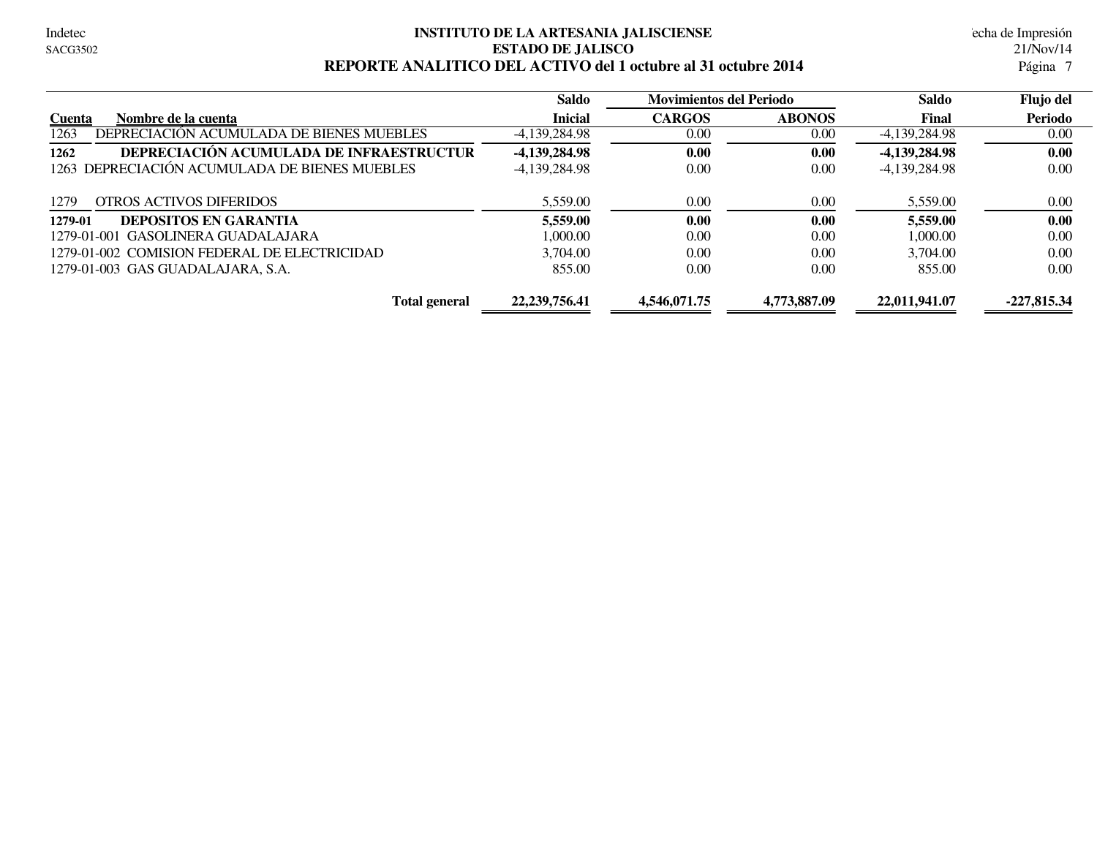#### **INSTITUTO DE LA ARTESANIA JALISCIENSE** Indetec Fecha de Impresión **ESTADO DE JALISCO** 21/Nov/14 REPORTE ANALITICO DEL ACTIVO del 1 octubre al 31 octubre 2014

|                                                  | <b>Saldo</b>     | <b>Movimientos del Periodo</b> |               | <b>Saldo</b>    | <b>Flujo del</b> |
|--------------------------------------------------|------------------|--------------------------------|---------------|-----------------|------------------|
| Nombre de la cuenta<br><b>Cuenta</b>             | <b>Inicial</b>   | <b>CARGOS</b>                  | <b>ABONOS</b> | Final           | Periodo          |
| 1263<br>DEPRECIACIÓN ACUMULADA DE BIENES MUEBLES | -4,139,284.98    | 0.00                           | 0.00          | -4,139,284.98   | 0.00             |
| DEPRECIACIÓN ACUMULADA DE INFRAESTRUCTUR<br>1262 | -4,139,284.98    | 0.00                           | 0.00          | -4,139,284.98   | 0.00             |
| DEPRECIACIÓN ACUMULADA DE BIENES MUEBLES<br>1263 | $-4,139,284.98$  | 0.00                           | 0.00          | $-4,139,284.98$ | 0.00             |
| 1279<br>OTROS ACTIVOS DIFERIDOS                  | 5,559.00         | 0.00                           | 0.00          | 5,559.00        | 0.00             |
| <b>DEPOSITOS EN GARANTIA</b><br>1279-01          | 5,559.00         | 0.00                           | 0.00          | 5,559.00        | 0.00             |
| 1279-01-001 GASOLINERA GUADALAJARA               | 1.000.00         | 0.00                           | 0.00          | 1.000.00        | 0.00             |
| 1279-01-002 COMISION FEDERAL DE ELECTRICIDAD     | 3.704.00         | 0.00                           | 0.00          | 3.704.00        | 0.00             |
| 1279-01-003 GAS GUADALAJARA, S.A.                | 855.00           | 0.00                           | 0.00          | 855.00          | 0.00             |
| <b>Total general</b>                             | 22, 239, 756. 41 | 4,546,071.75                   | 4,773,887.09  | 22,011,941.07   | $-227,815.34$    |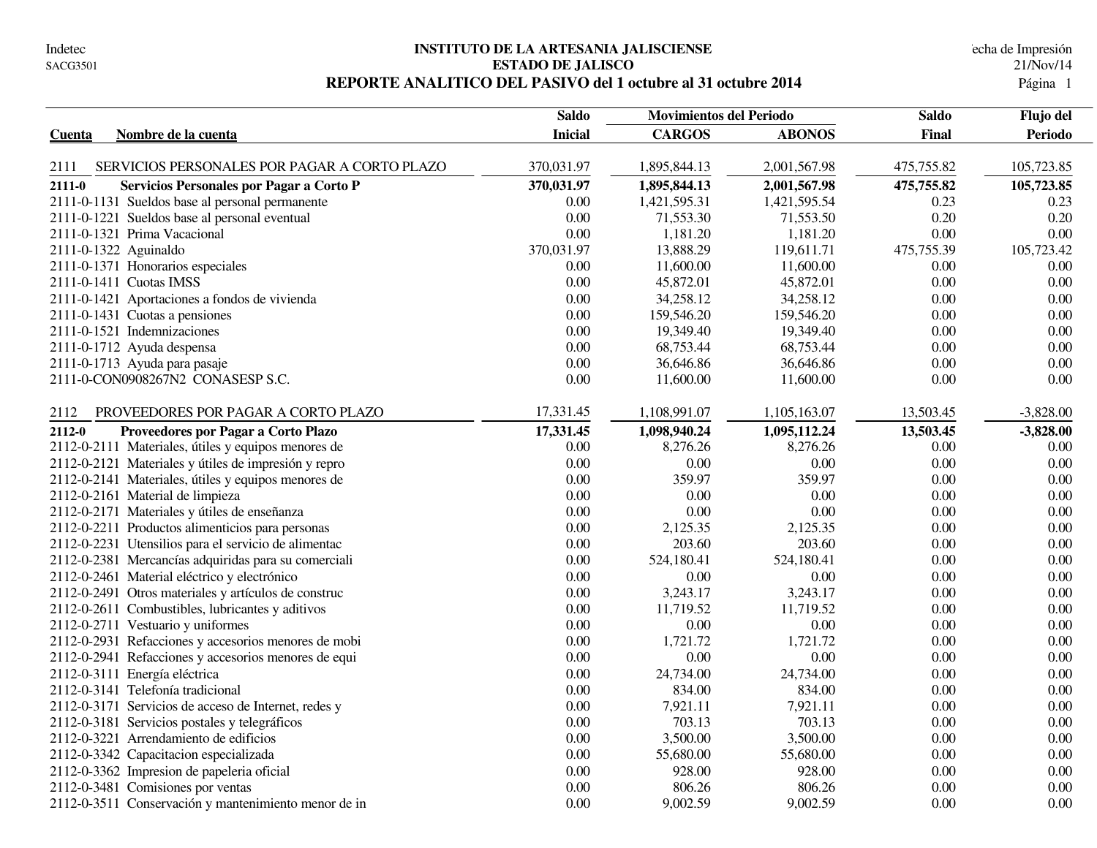#### **INSTITUTO DE LA ARTESANIA JALISCIENSE** echa de Impresión **ESTADO DE JALISCO** 21/Nov/14 **REPORTE ANALITICO DEL PASIVO del 1 octubre al 31 octubre 2014**

|                                                        | <b>Saldo</b>   | <b>Movimientos del Periodo</b> |               | <b>Saldo</b> | Flujo del      |
|--------------------------------------------------------|----------------|--------------------------------|---------------|--------------|----------------|
| Nombre de la cuenta<br>Cuenta                          | <b>Inicial</b> | <b>CARGOS</b>                  | <b>ABONOS</b> | Final        | <b>Periodo</b> |
|                                                        |                |                                |               |              |                |
| SERVICIOS PERSONALES POR PAGAR A CORTO PLAZO<br>2111   | 370,031.97     | 1,895,844.13                   | 2,001,567.98  | 475,755.82   | 105,723.85     |
| $2111 - 0$<br>Servicios Personales por Pagar a Corto P | 370,031.97     | 1,895,844.13                   | 2,001,567.98  | 475,755.82   | 105,723.85     |
| 2111-0-1131 Sueldos base al personal permanente        | 0.00           | 1,421,595.31                   | 1,421,595.54  | 0.23         | 0.23           |
| 2111-0-1221 Sueldos base al personal eventual          | 0.00           | 71,553.30                      | 71,553.50     | 0.20         | 0.20           |
| 2111-0-1321 Prima Vacacional                           | 0.00           | 1,181.20                       | 1,181.20      | 0.00         | 0.00           |
| 2111-0-1322 Aguinaldo                                  | 370,031.97     | 13,888.29                      | 119,611.71    | 475,755.39   | 105,723.42     |
| 2111-0-1371 Honorarios especiales                      | 0.00           | 11,600.00                      | 11,600.00     | 0.00         | 0.00           |
| 2111-0-1411 Cuotas IMSS                                | 0.00           | 45,872.01                      | 45,872.01     | 0.00         | 0.00           |
| 2111-0-1421 Aportaciones a fondos de vivienda          | $0.00\,$       | 34,258.12                      | 34,258.12     | 0.00         | $0.00\,$       |
| 2111-0-1431 Cuotas a pensiones                         | 0.00           | 159,546.20                     | 159,546.20    | 0.00         | $0.00\,$       |
| 2111-0-1521 Indemnizaciones                            | 0.00           | 19,349.40                      | 19,349.40     | 0.00         | $0.00\,$       |
| 2111-0-1712 Ayuda despensa                             | 0.00           | 68,753.44                      | 68,753.44     | 0.00         | $0.00\,$       |
| 2111-0-1713 Ayuda para pasaje                          | 0.00           | 36,646.86                      | 36,646.86     | 0.00         | 0.00           |
| 2111-0-CON0908267N2 CONASESP S.C.                      | 0.00           | 11,600.00                      | 11,600.00     | 0.00         | 0.00           |
| PROVEEDORES POR PAGAR A CORTO PLAZO<br>2112            | 17,331.45      | 1,108,991.07                   | 1,105,163.07  | 13,503.45    | $-3,828.00$    |
| 2112-0<br>Proveedores por Pagar a Corto Plazo          | 17,331.45      | 1,098,940.24                   | 1,095,112.24  | 13,503.45    | $-3,828.00$    |
| 2112-0-2111 Materiales, útiles y equipos menores de    | 0.00           | 8,276.26                       | 8,276.26      | 0.00         | 0.00           |
| 2112-0-2121 Materiales y útiles de impresión y repro   | 0.00           | 0.00                           | 0.00          | 0.00         | 0.00           |
| 2112-0-2141 Materiales, útiles y equipos menores de    | 0.00           | 359.97                         | 359.97        | 0.00         | $0.00\,$       |
| 2112-0-2161 Material de limpieza                       | 0.00           | 0.00                           | 0.00          | 0.00         | $0.00\,$       |
| 2112-0-2171 Materiales y útiles de enseñanza           | 0.00           | 0.00                           | 0.00          | 0.00         | $0.00\,$       |
| 2112-0-2211 Productos alimenticios para personas       | 0.00           | 2,125.35                       | 2,125.35      | 0.00         | 0.00           |
| 2112-0-2231 Utensilios para el servicio de alimentac   | 0.00           | 203.60                         | 203.60        | 0.00         | 0.00           |
| 2112-0-2381 Mercancías adquiridas para su comerciali   | $0.00\,$       | 524,180.41                     | 524,180.41    | 0.00         | $0.00\,$       |
| 2112-0-2461 Material eléctrico y electrónico           | 0.00           | $0.00\,$                       | 0.00          | 0.00         | $0.00\,$       |
| 2112-0-2491 Otros materiales y artículos de construc   | 0.00           | 3,243.17                       | 3,243.17      | 0.00         | $0.00\,$       |
| 2112-0-2611 Combustibles, lubricantes y aditivos       | 0.00           | 11,719.52                      | 11,719.52     | 0.00         | 0.00           |
| 2112-0-2711 Vestuario y uniformes                      | 0.00           | 0.00                           | 0.00          | 0.00         | 0.00           |
| 2112-0-2931 Refacciones y accesorios menores de mobi   | 0.00           | 1,721.72                       | 1,721.72      | 0.00         | $0.00\,$       |
| 2112-0-2941 Refacciones y accesorios menores de equi   | 0.00           | 0.00                           | 0.00          | 0.00         | $0.00\,$       |
| 2112-0-3111 Energía eléctrica                          | 0.00           | 24,734.00                      | 24,734.00     | 0.00         | $0.00\,$       |
| 2112-0-3141 Telefonía tradicional                      | 0.00           | 834.00                         | 834.00        | 0.00         |                |
|                                                        | 0.00           |                                |               | 0.00         | 0.00<br>0.00   |
| 2112-0-3171 Servicios de acceso de Internet, redes y   |                | 7,921.11                       | 7,921.11      |              |                |
| 2112-0-3181 Servicios postales y telegráficos          | $0.00\,$       | 703.13                         | 703.13        | 0.00         | $0.00\,$       |
| 2112-0-3221 Arrendamiento de edificios                 | 0.00           | 3,500.00                       | 3,500.00      | 0.00         | $0.00\,$       |
| 2112-0-3342 Capacitacion especializada                 | 0.00           | 55,680.00                      | 55,680.00     | 0.00         | 0.00           |
| 2112-0-3362 Impresion de papeleria oficial             | 0.00           | 928.00                         | 928.00        | 0.00         | 0.00           |
| 2112-0-3481 Comisiones por ventas                      | 0.00           | 806.26                         | 806.26        | 0.00         | 0.00           |
| 2112-0-3511 Conservación y mantenimiento menor de in   | 0.00           | 9,002.59                       | 9,002.59      | 0.00         | 0.00           |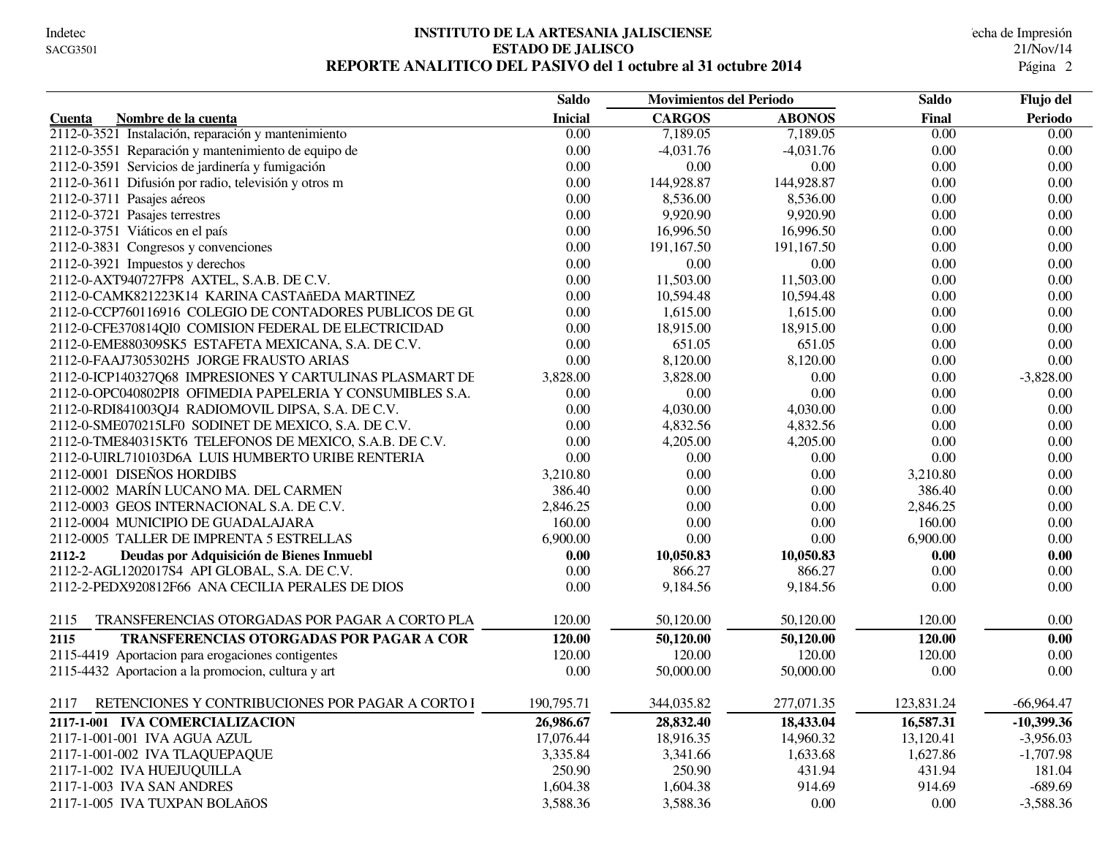#### **INSTITUTO DE LA ARTESANIA JALISCIENSE** echa de Impresión **ESTADO DE JALISCO** 21/Nov/14 **REPORTE ANALITICO DEL PASIVO del 1 octubre al 31 octubre 2014**

|                                                           | <b>Saldo</b>      | <b>Movimientos del Periodo</b> |               | <b>Saldo</b>      | Flujo del    |
|-----------------------------------------------------------|-------------------|--------------------------------|---------------|-------------------|--------------|
| Nombre de la cuenta<br>Cuenta                             | <b>Inicial</b>    | <b>CARGOS</b>                  | <b>ABONOS</b> | Final             | Periodo      |
| 2112-0-3521 Instalación, reparación y mantenimiento       | $\overline{0.00}$ | 7,189.05                       | 7,189.05      | $\overline{0.00}$ | 0.00         |
| 2112-0-3551 Reparación y mantenimiento de equipo de       | 0.00              | $-4,031.76$                    | $-4,031.76$   | 0.00              | 0.00         |
| 2112-0-3591 Servicios de jardinería y fumigación          | 0.00              | 0.00                           | 0.00          | 0.00              | 0.00         |
| 2112-0-3611 Difusión por radio, televisión y otros m      | 0.00              | 144,928.87                     | 144,928.87    | 0.00              | 0.00         |
| 2112-0-3711 Pasajes aéreos                                | 0.00              | 8,536.00                       | 8,536.00      | 0.00              | 0.00         |
| 2112-0-3721 Pasajes terrestres                            | 0.00              | 9,920.90                       | 9,920.90      | 0.00              | 0.00         |
| 2112-0-3751 Viáticos en el país                           | $0.00\,$          | 16,996.50                      | 16,996.50     | 0.00              | 0.00         |
| 2112-0-3831 Congresos y convenciones                      | 0.00              | 191,167.50                     | 191,167.50    | 0.00              | 0.00         |
| 2112-0-3921 Impuestos y derechos                          | $0.00\,$          | 0.00                           | 0.00          | 0.00              | 0.00         |
| 2112-0-AXT940727FP8 AXTEL, S.A.B. DE C.V.                 | 0.00              | 11,503.00                      | 11,503.00     | 0.00              | 0.00         |
| 2112-0-CAMK821223K14 KARINA CASTAñEDA MARTINEZ            | 0.00              | 10,594.48                      | 10,594.48     | 0.00              | 0.00         |
| 2112-0-CCP760116916 COLEGIO DE CONTADORES PUBLICOS DE GU  | 0.00              | 1,615.00                       | 1,615.00      | 0.00              | 0.00         |
| 2112-0-CFE370814QI0 COMISION FEDERAL DE ELECTRICIDAD      | 0.00              | 18,915.00                      | 18,915.00     | 0.00              | 0.00         |
| 2112-0-EME880309SK5 ESTAFETA MEXICANA, S.A. DE C.V.       | 0.00              | 651.05                         | 651.05        | 0.00              | 0.00         |
| 2112-0-FAAJ7305302H5 JORGE FRAUSTO ARIAS                  | 0.00              | 8,120.00                       | 8,120.00      | 0.00              | 0.00         |
| 2112-0-ICP140327Q68 IMPRESIONES Y CARTULINAS PLASMART DE  | 3,828.00          | 3,828.00                       | 0.00          | 0.00              | $-3,828.00$  |
| 2112-0-OPC040802PI8 OFIMEDIA PAPELERIA Y CONSUMIBLES S.A. | 0.00              | 0.00                           | 0.00          | 0.00              | 0.00         |
| 2112-0-RDI841003QJ4 RADIOMOVIL DIPSA, S.A. DE C.V.        | 0.00              | 4,030.00                       | 4,030.00      | 0.00              | 0.00         |
| 2112-0-SME070215LF0 SODINET DE MEXICO, S.A. DE C.V.       | 0.00              | 4,832.56                       | 4,832.56      | 0.00              | 0.00         |
| 2112-0-TME840315KT6 TELEFONOS DE MEXICO, S.A.B. DE C.V.   | 0.00              | 4,205.00                       | 4,205.00      | 0.00              | 0.00         |
| 2112-0-UIRL710103D6A LUIS HUMBERTO URIBE RENTERIA         | 0.00              | 0.00                           | 0.00          | 0.00              | 0.00         |
| 2112-0001 DISEÑOS HORDIBS                                 | 3,210.80          | 0.00                           | 0.00          | 3,210.80          | 0.00         |
| 2112-0002 MARÍN LUCANO MA. DEL CARMEN                     | 386.40            | 0.00                           | 0.00          | 386.40            | 0.00         |
| 2112-0003 GEOS INTERNACIONAL S.A. DE C.V.                 | 2,846.25          | 0.00                           | 0.00          | 2,846.25          | 0.00         |
| 2112-0004 MUNICIPIO DE GUADALAJARA                        | 160.00            | 0.00                           | 0.00          | 160.00            | 0.00         |
| 2112-0005 TALLER DE IMPRENTA 5 ESTRELLAS                  | 6,900.00          | 0.00                           | 0.00          | 6,900.00          | 0.00         |
| 2112-2<br>Deudas por Adquisición de Bienes Inmuebl        | 0.00              | 10,050.83                      | 10,050.83     | 0.00              | 0.00         |
| 2112-2-AGL1202017S4 API GLOBAL, S.A. DE C.V.              | 0.00              | 866.27                         | 866.27        | 0.00              | 0.00         |
| 2112-2-PEDX920812F66 ANA CECILIA PERALES DE DIOS          | 0.00              | 9,184.56                       | 9,184.56      | 0.00              | 0.00         |
| TRANSFERENCIAS OTORGADAS POR PAGAR A CORTO PLA<br>2115    | 120.00            | 50,120.00                      | 50,120.00     | 120.00            | 0.00         |
| 2115<br><b>TRANSFERENCIAS OTORGADAS POR PAGAR A COR</b>   | 120.00            | 50,120.00                      | 50,120.00     | 120.00            | 0.00         |
| 2115-4419 Aportacion para erogaciones contigentes         | 120.00            | 120.00                         | 120.00        | 120.00            | 0.00         |
| 2115-4432 Aportacion a la promocion, cultura y art        | 0.00              | 50,000.00                      | 50,000.00     | 0.00              | 0.00         |
| RETENCIONES Y CONTRIBUCIONES POR PAGAR A CORTO I<br>2117  | 190,795.71        | 344,035.82                     | 277,071.35    | 123,831.24        | $-66,964.47$ |
| 2117-1-001 IVA COMERCIALIZACION                           | 26,986.67         | 28,832.40                      | 18,433.04     | 16,587.31         | $-10,399.36$ |
| 2117-1-001-001 IVA AGUA AZUL                              | 17,076.44         | 18,916.35                      | 14,960.32     | 13,120.41         | $-3,956.03$  |
| 2117-1-001-002 IVA TLAQUEPAQUE                            | 3,335.84          | 3,341.66                       | 1,633.68      | 1,627.86          | $-1,707.98$  |
| 2117-1-002 IVA HUEJUQUILLA                                | 250.90            | 250.90                         | 431.94        | 431.94            | 181.04       |
| 2117-1-003 IVA SAN ANDRES                                 | 1,604.38          | 1,604.38                       | 914.69        | 914.69            | $-689.69$    |
| 2117-1-005 IVA TUXPAN BOLAñOS                             | 3,588.36          | 3,588.36                       | 0.00          | 0.00              | $-3,588.36$  |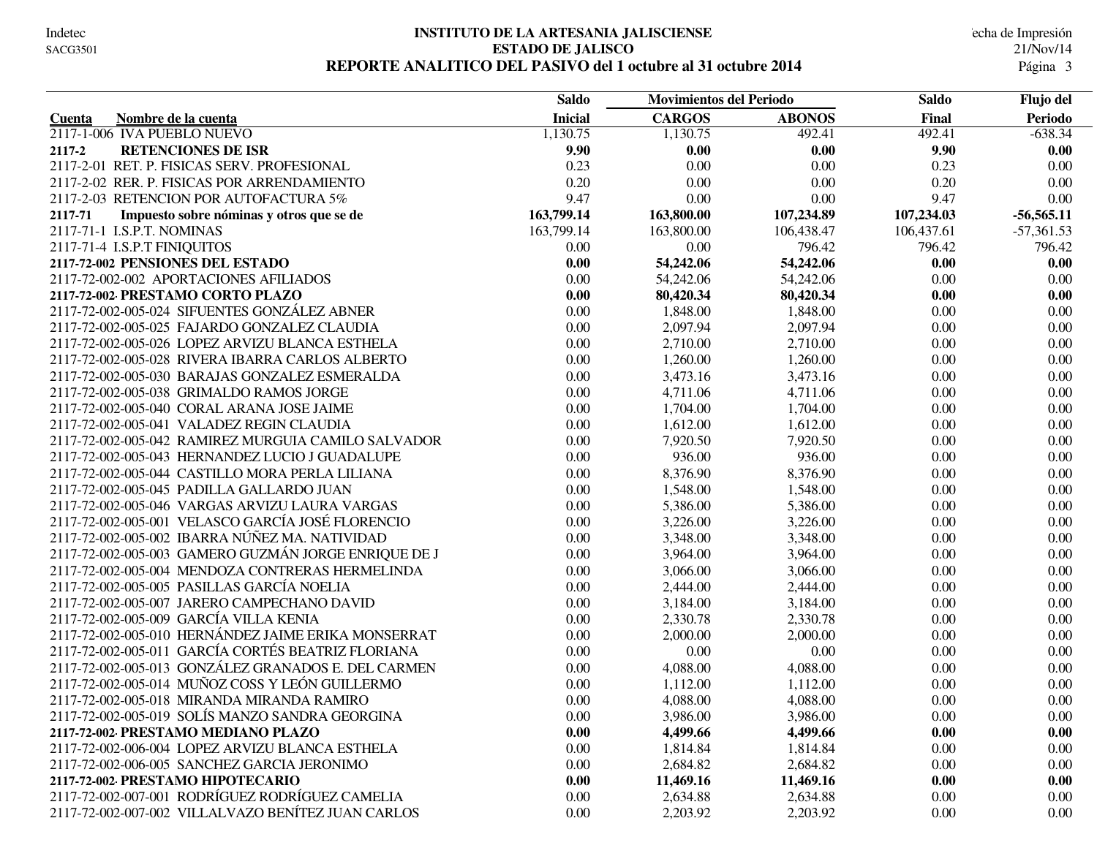#### **INSTITUTO DE LA ARTESANIA JALISCIENSE** echa de Impresión **ESTADO DE JALISCO** 21/Nov/14 **REPORTE ANALITICO DEL PASIVO del 1 octubre al 31 octubre 2014**

|                                                      | <b>Saldo</b>   | <b>Movimientos del Periodo</b> |               | <b>Saldo</b> | Flujo del    |
|------------------------------------------------------|----------------|--------------------------------|---------------|--------------|--------------|
| Nombre de la cuenta<br>Cuenta                        | <b>Inicial</b> | <b>CARGOS</b>                  | <b>ABONOS</b> | Final        | Periodo      |
| 2117-1-006 IVA PUEBLO NUEVO                          | 1,130.75       | 1,130.75                       | 492.41        | 492.41       | $-638.34$    |
| <b>RETENCIONES DE ISR</b><br>2117-2                  | 9.90           | 0.00                           | 0.00          | 9.90         | 0.00         |
| 2117-2-01 RET. P. FISICAS SERV. PROFESIONAL          | 0.23           | 0.00                           | 0.00          | 0.23         | 0.00         |
| 2117-2-02 RER. P. FISICAS POR ARRENDAMIENTO          | 0.20           | 0.00                           | 0.00          | 0.20         | 0.00         |
| 2117-2-03 RETENCION POR AUTOFACTURA 5%               | 9.47           | 0.00                           | 0.00          | 9.47         | $0.00\,$     |
| 2117-71<br>Impuesto sobre nóminas y otros que se de  | 163,799.14     | 163,800.00                     | 107,234.89    | 107,234.03   | $-56,565.11$ |
| 2117-71-1 I.S.P.T. NOMINAS                           | 163,799.14     | 163,800.00                     | 106,438.47    | 106,437.61   | $-57,361.53$ |
| 2117-71-4 I.S.P.T FINIQUITOS                         | 0.00           | 0.00                           | 796.42        | 796.42       | 796.42       |
| 2117-72-002 PENSIONES DEL ESTADO                     | 0.00           | 54,242.06                      | 54,242.06     | 0.00         | 0.00         |
| 2117-72-002-002 APORTACIONES AFILIADOS               | $0.00\,$       | 54,242.06                      | 54,242.06     | $0.00\,$     | 0.00         |
| 2117-72-002 PRESTAMO CORTO PLAZO                     | 0.00           | 80,420.34                      | 80,420.34     | 0.00         | 0.00         |
| 2117-72-002-005-024 SIFUENTES GONZÁLEZ ABNER         | $0.00\,$       | 1,848.00                       | 1,848.00      | 0.00         | 0.00         |
| 2117-72-002-005-025 FAJARDO GONZALEZ CLAUDIA         | $0.00\,$       | 2,097.94                       | 2,097.94      | $0.00\,$     | 0.00         |
| 2117-72-002-005-026 LOPEZ ARVIZU BLANCA ESTHELA      | $0.00\,$       | 2,710.00                       | 2,710.00      | $0.00\,$     | 0.00         |
| 2117-72-002-005-028 RIVERA IBARRA CARLOS ALBERTO     | 0.00           | 1,260.00                       | 1,260.00      | $0.00\,$     | 0.00         |
| 2117-72-002-005-030 BARAJAS GONZALEZ ESMERALDA       | 0.00           | 3,473.16                       | 3,473.16      | 0.00         | 0.00         |
| 2117-72-002-005-038 GRIMALDO RAMOS JORGE             | 0.00           | 4,711.06                       | 4,711.06      | 0.00         | 0.00         |
| 2117-72-002-005-040 CORAL ARANA JOSE JAIME           | $0.00\,$       | 1,704.00                       | 1,704.00      | $0.00\,$     | 0.00         |
| 2117-72-002-005-041 VALADEZ REGIN CLAUDIA            | $0.00\,$       | 1,612.00                       | 1,612.00      | $0.00\,$     | 0.00         |
| 2117-72-002-005-042 RAMIREZ MURGUIA CAMILO SALVADOR  | $0.00\,$       | 7,920.50                       | 7,920.50      | $0.00\,$     | 0.00         |
| 2117-72-002-005-043 HERNANDEZ LUCIO J GUADALUPE      | $0.00\,$       | 936.00                         | 936.00        | 0.00         | 0.00         |
| 2117-72-002-005-044 CASTILLO MORA PERLA LILIANA      | 0.00           | 8,376.90                       | 8,376.90      | 0.00         | 0.00         |
| 2117-72-002-005-045 PADILLA GALLARDO JUAN            | $0.00\,$       | 1,548.00                       | 1,548.00      | 0.00         | 0.00         |
| 2117-72-002-005-046 VARGAS ARVIZU LAURA VARGAS       | $0.00\,$       | 5,386.00                       | 5,386.00      | 0.00         | 0.00         |
| 2117-72-002-005-001 VELASCO GARCÍA JOSÉ FLORENCIO    | $0.00\,$       | 3,226.00                       | 3,226.00      | 0.00         | 0.00         |
| 2117-72-002-005-002 IBARRA NÚÑEZ MA. NATIVIDAD       | 0.00           | 3,348.00                       | 3,348.00      | 0.00         | 0.00         |
| 2117-72-002-005-003 GAMERO GUZMÁN JORGE ENRIQUE DE J | 0.00           | 3,964.00                       | 3,964.00      | 0.00         | 0.00         |
| 2117-72-002-005-004 MENDOZA CONTRERAS HERMELINDA     | 0.00           | 3,066.00                       | 3,066.00      | 0.00         | 0.00         |
| 2117-72-002-005-005 PASILLAS GARCÍA NOELIA           | 0.00           | 2,444.00                       | 2,444.00      | 0.00         | 0.00         |
| 2117-72-002-005-007 JARERO CAMPECHANO DAVID          | 0.00           | 3,184.00                       | 3,184.00      | 0.00         | 0.00         |
| 2117-72-002-005-009 GARCÍA VILLA KENIA               | $0.00\,$       | 2,330.78                       | 2,330.78      | 0.00         | 0.00         |
| 2117-72-002-005-010 HERNÁNDEZ JAIME ERIKA MONSERRAT  | 0.00           | 2,000.00                       | 2,000.00      | 0.00         | 0.00         |
| 2117-72-002-005-011 GARCÍA CORTÉS BEATRIZ FLORIANA   | 0.00           | 0.00                           | 0.00          | $0.00\,$     | 0.00         |
| 2117-72-002-005-013 GONZÁLEZ GRANADOS E. DEL CARMEN  | 0.00           | 4,088.00                       | 4,088.00      | $0.00\,$     | 0.00         |
| 2117-72-002-005-014 MUÑOZ COSS Y LEÓN GUILLERMO      | 0.00           | 1,112.00                       | 1,112.00      | 0.00         | 0.00         |
| 2117-72-002-005-018 MIRANDA MIRANDA RAMIRO           | 0.00           | 4,088.00                       | 4,088.00      | 0.00         | 0.00         |
| 2117-72-002-005-019 SOLÍS MANZO SANDRA GEORGINA      | 0.00           | 3,986.00                       | 3,986.00      | 0.00         | 0.00         |
| 2117-72-002 PRESTAMO MEDIANO PLAZO                   | 0.00           | 4,499.66                       | 4,499.66      | 0.00         | 0.00         |
| 2117-72-002-006-004 LOPEZ ARVIZU BLANCA ESTHELA      | $0.00\,$       | 1,814.84                       | 1,814.84      | $0.00\,$     | 0.00         |
| 2117-72-002-006-005 SANCHEZ GARCIA JERONIMO          | $0.00\,$       | 2,684.82                       | 2,684.82      | 0.00         | 0.00         |
| 2117-72-002 PRESTAMO HIPOTECARIO                     | 0.00           | 11,469.16                      | 11,469.16     | 0.00         | 0.00         |
| 2117-72-002-007-001 RODRÍGUEZ RODRÍGUEZ CAMELIA      | 0.00           | 2,634.88                       | 2,634.88      | 0.00         | 0.00         |
| 2117-72-002-007-002 VILLALVAZO BENÍTEZ JUAN CARLOS   | 0.00           | 2,203.92                       | 2,203.92      | $0.00\,$     | 0.00         |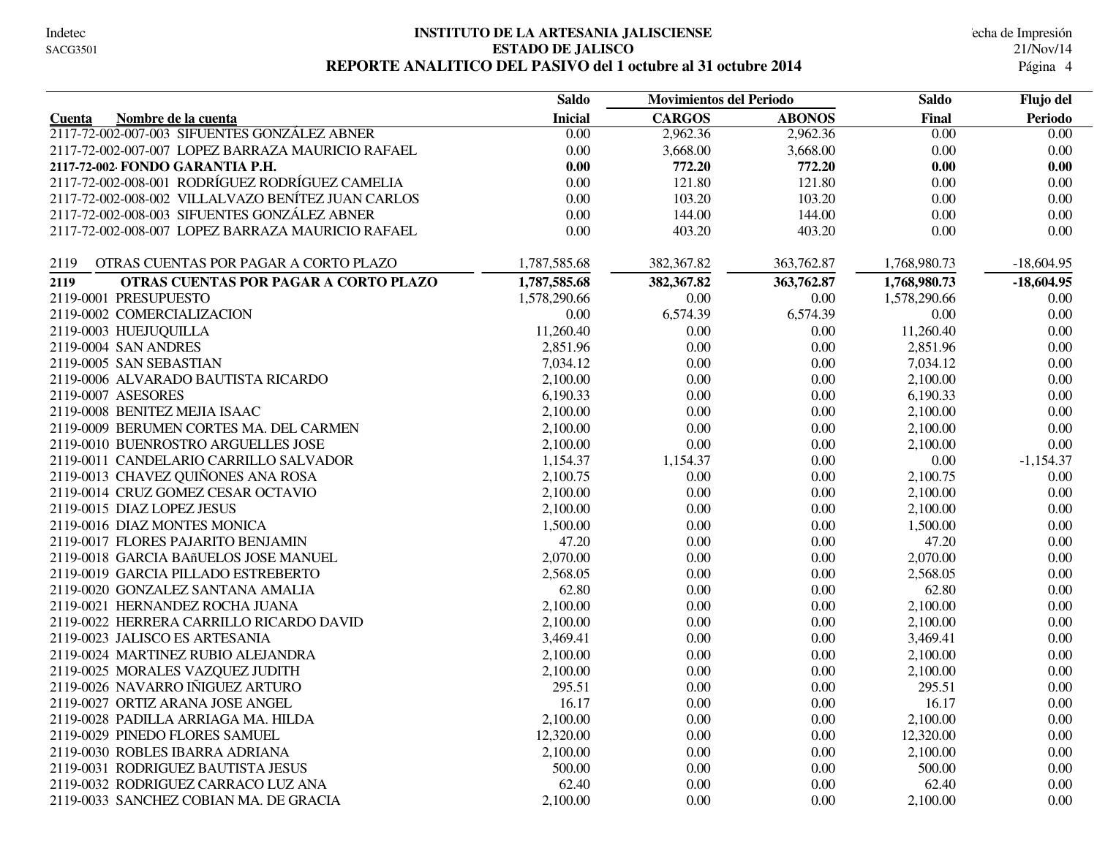#### **INSTITUTO DE LA ARTESANIA JALISCIENSE** echa de Impresión **ESTADO DE JALISCO** 21/Nov/14 **REPORTE ANALITICO DEL PASIVO del 1 octubre al 31 octubre 2014** 4

|                                                    | <b>Saldo</b>      | <b>Movimientos del Periodo</b> |               | <b>Saldo</b> | Flujo del      |
|----------------------------------------------------|-------------------|--------------------------------|---------------|--------------|----------------|
| Nombre de la cuenta<br>Cuenta                      | <b>Inicial</b>    | <b>CARGOS</b>                  | <b>ABONOS</b> | Final        | <b>Periodo</b> |
| 2117-72-002-007-003 SIFUENTES GONZÁLEZ ABNER       | $\overline{0.00}$ | 2,962.36                       | 2,962.36      | 0.00         | 0.00           |
| 2117-72-002-007-007 LOPEZ BARRAZA MAURICIO RAFAEL  | 0.00              | 3,668.00                       | 3,668.00      | 0.00         | 0.00           |
| 2117-72-002 FONDO GARANTIA P.H.                    | 0.00              | 772.20                         | 772.20        | 0.00         | 0.00           |
| 2117-72-002-008-001 RODRÍGUEZ RODRÍGUEZ CAMELIA    | 0.00              | 121.80                         | 121.80        | 0.00         | 0.00           |
| 2117-72-002-008-002 VILLALVAZO BENÍTEZ JUAN CARLOS | 0.00              | 103.20                         | 103.20        | 0.00         | 0.00           |
| 2117-72-002-008-003 SIFUENTES GONZÁLEZ ABNER       | 0.00              | 144.00                         | 144.00        | 0.00         | 0.00           |
| 2117-72-002-008-007 LOPEZ BARRAZA MAURICIO RAFAEL  | 0.00              | 403.20                         | 403.20        | 0.00         | $0.00\,$       |
| OTRAS CUENTAS POR PAGAR A CORTO PLAZO<br>2119      | 1,787,585.68      | 382,367.82                     | 363,762.87    | 1,768,980.73 | $-18,604.95$   |
| OTRAS CUENTAS POR PAGAR A CORTO PLAZO<br>2119      | 1,787,585.68      | 382,367.82                     | 363,762.87    | 1,768,980.73 | $-18,604.95$   |
| 2119-0001 PRESUPUESTO                              | 1,578,290.66      | 0.00                           | 0.00          | 1,578,290.66 | 0.00           |
| 2119-0002 COMERCIALIZACION                         | 0.00              | 6,574.39                       | 6,574.39      | 0.00         | $0.00\,$       |
| 2119-0003 HUEJUQUILLA                              | 11,260.40         | 0.00                           | $0.00\,$      | 11,260.40    | 0.00           |
| 2119-0004 SAN ANDRES                               | 2,851.96          | 0.00                           | $0.00\,$      | 2,851.96     | 0.00           |
| 2119-0005 SAN SEBASTIAN                            | 7,034.12          | 0.00                           | $0.00\,$      | 7,034.12     | 0.00           |
| 2119-0006 ALVARADO BAUTISTA RICARDO                | 2,100.00          | 0.00                           | 0.00          | 2,100.00     | 0.00           |
| 2119-0007 ASESORES                                 | 6,190.33          | 0.00                           | 0.00          | 6,190.33     | 0.00           |
| 2119-0008 BENITEZ MEJIA ISAAC                      | 2,100.00          | 0.00                           | 0.00          | 2,100.00     | 0.00           |
| 2119-0009 BERUMEN CORTES MA. DEL CARMEN            | 2,100.00          | 0.00                           | 0.00          | 2,100.00     | 0.00           |
| 2119-0010 BUENROSTRO ARGUELLES JOSE                | 2,100.00          | 0.00                           | $0.00\,$      | 2,100.00     | 0.00           |
| 2119-0011 CANDELARIO CARRILLO SALVADOR             | 1,154.37          | 1,154.37                       | $0.00\,$      | 0.00         | $-1,154.37$    |
| 2119-0013 CHAVEZ QUIÑONES ANA ROSA                 | 2,100.75          | 0.00                           | $0.00\,$      | 2,100.75     | 0.00           |
| 2119-0014 CRUZ GOMEZ CESAR OCTAVIO                 | 2,100.00          | $0.00\,$                       | 0.00          | 2,100.00     | $0.00\,$       |
| 2119-0015 DIAZ LOPEZ JESUS                         | 2,100.00          | 0.00                           | 0.00          | 2,100.00     | $0.00\,$       |
| 2119-0016 DIAZ MONTES MONICA                       | 1,500.00          | 0.00                           | 0.00          | 1,500.00     | $0.00\,$       |
| 2119-0017 FLORES PAJARITO BENJAMIN                 | 47.20             | 0.00                           | $0.00\,$      | 47.20        | 0.00           |
| 2119-0018 GARCIA BAñUELOS JOSE MANUEL              | 2,070.00          | 0.00                           | 0.00          | 2,070.00     | 0.00           |
| 2119-0019 GARCIA PILLADO ESTREBERTO                | 2,568.05          | 0.00                           | 0.00          | 2,568.05     | 0.00           |
| 2119-0020 GONZALEZ SANTANA AMALIA                  | 62.80             | 0.00                           | 0.00          | 62.80        | 0.00           |
| 2119-0021 HERNANDEZ ROCHA JUANA                    | 2,100.00          | 0.00                           | 0.00          | 2,100.00     | 0.00           |
| 2119-0022 HERRERA CARRILLO RICARDO DAVID           | 2,100.00          | 0.00                           | $0.00\,$      | 2,100.00     | 0.00           |
| 2119-0023 JALISCO ES ARTESANIA                     | 3,469.41          | 0.00                           | $0.00\,$      | 3,469.41     | 0.00           |
| 2119-0024 MARTINEZ RUBIO ALEJANDRA                 | 2,100.00          | 0.00                           | $0.00\,$      | 2,100.00     | 0.00           |
| 2119-0025 MORALES VAZQUEZ JUDITH                   | 2,100.00          | 0.00                           | $0.00\,$      | 2,100.00     | 0.00           |
| 2119-0026 NAVARRO IÑIGUEZ ARTURO                   | 295.51            | 0.00                           | 0.00          | 295.51       | 0.00           |
| 2119-0027 ORTIZ ARANA JOSE ANGEL                   | 16.17             | 0.00                           | 0.00          | 16.17        | $0.00\,$       |
| 2119-0028 PADILLA ARRIAGA MA. HILDA                | 2,100.00          | 0.00                           | 0.00          | 2,100.00     | 0.00           |
| 2119-0029 PINEDO FLORES SAMUEL                     | 12,320.00         | 0.00                           | 0.00          | 12,320.00    | 0.00           |
| 2119-0030 ROBLES IBARRA ADRIANA                    | 2,100.00          | 0.00                           | 0.00          | 2,100.00     | 0.00           |
| 2119-0031 RODRIGUEZ BAUTISTA JESUS                 | 500.00            | 0.00                           | 0.00          | 500.00       | 0.00           |
| 2119-0032 RODRIGUEZ CARRACO LUZ ANA                | 62.40             | 0.00                           | 0.00          | 62.40        | 0.00           |
| 2119-0033 SANCHEZ COBIAN MA. DE GRACIA             | 2,100.00          | 0.00                           | 0.00          | 2,100.00     | 0.00           |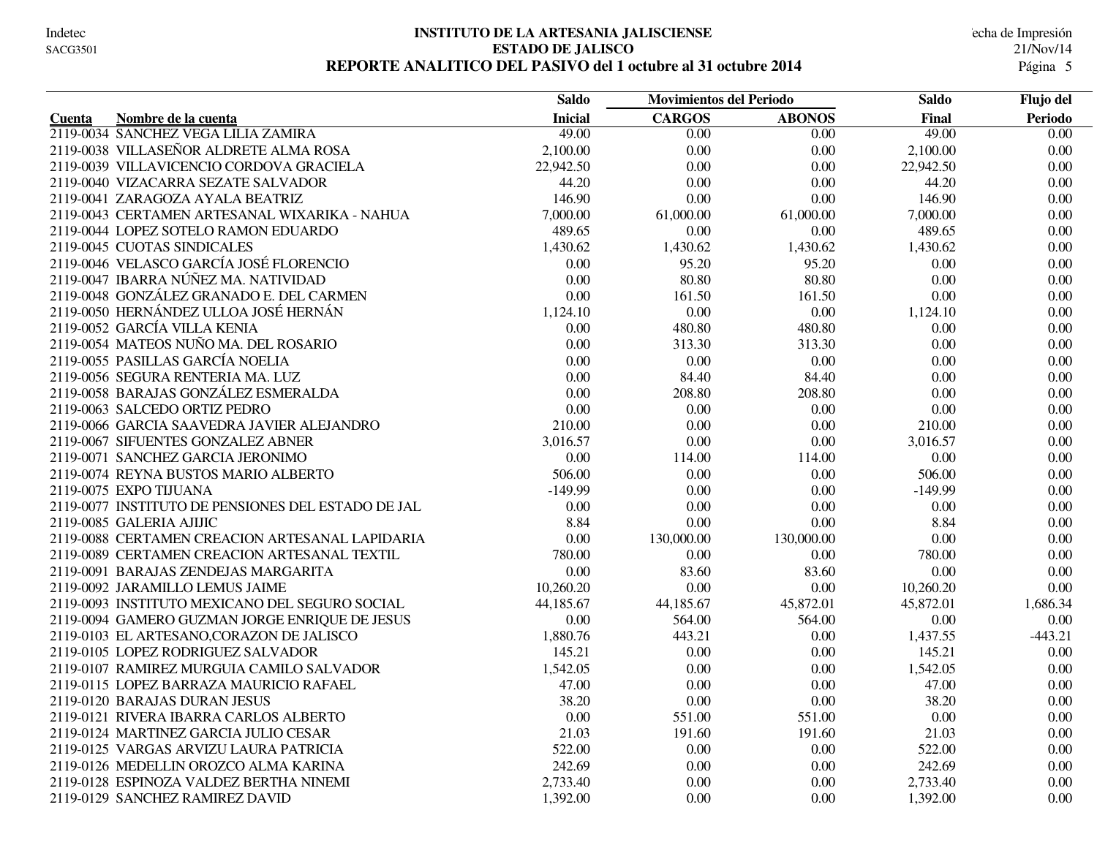#### **INSTITUTO DE LA ARTESANIA JALISCIENSE** echa de Impresión **ESTADO DE JALISCO** 21/Nov/14 **REPORTE ANALITICO DEL PASIVO del 1 octubre al 31 octubre 2014**

|                                                    | <b>Saldo</b>   | <b>Movimientos del Periodo</b> |                   | <b>Saldo</b> | Flujo del         |
|----------------------------------------------------|----------------|--------------------------------|-------------------|--------------|-------------------|
| Nombre de la cuenta<br>Cuenta                      | <b>Inicial</b> | <b>CARGOS</b>                  | <b>ABONOS</b>     | Final        | <b>Periodo</b>    |
| 2119-0034 SANCHEZ VEGA LILIA ZAMIRA                | 49.00          | 0.00                           | $\overline{0.00}$ | 49.00        | $\overline{0.00}$ |
| 2119-0038 VILLASEÑOR ALDRETE ALMA ROSA             | 2,100.00       | 0.00                           | 0.00              | 2,100.00     | 0.00              |
| 2119-0039 VILLAVICENCIO CORDOVA GRACIELA           | 22,942.50      | 0.00                           | 0.00              | 22,942.50    | 0.00              |
| 2119-0040 VIZACARRA SEZATE SALVADOR                | 44.20          | 0.00                           | 0.00              | 44.20        | $0.00\,$          |
| 2119-0041 ZARAGOZA AYALA BEATRIZ                   | 146.90         | 0.00                           | 0.00              | 146.90       | $0.00\,$          |
| 2119-0043 CERTAMEN ARTESANAL WIXARIKA - NAHUA      | 7,000.00       | 61,000.00                      | 61,000.00         | 7,000.00     | 0.00              |
| 2119-0044 LOPEZ SOTELO RAMON EDUARDO               | 489.65         | 0.00                           | 0.00              | 489.65       | 0.00              |
| 2119-0045 CUOTAS SINDICALES                        | 1,430.62       | 1,430.62                       | 1,430.62          | 1,430.62     | $0.00\,$          |
| 2119-0046 VELASCO GARCÍA JOSÉ FLORENCIO            | 0.00           | 95.20                          | 95.20             | 0.00         | $0.00\,$          |
| 2119-0047 IBARRA NÚÑEZ MA. NATIVIDAD               | 0.00           | 80.80                          | 80.80             | 0.00         | 0.00              |
| 2119-0048 GONZÁLEZ GRANADO E. DEL CARMEN           | 0.00           | 161.50                         | 161.50            | 0.00         | 0.00              |
| 2119-0050 HERNÁNDEZ ULLOA JOSÉ HERNÁN              | 1,124.10       | 0.00                           | 0.00              | 1,124.10     | 0.00              |
| 2119-0052 GARCÍA VILLA KENIA                       | 0.00           | 480.80                         | 480.80            | 0.00         | $0.00\,$          |
| 2119-0054 MATEOS NUÑO MA. DEL ROSARIO              | 0.00           | 313.30                         | 313.30            | 0.00         | 0.00              |
| 2119-0055 PASILLAS GARCÍA NOELIA                   | 0.00           | $0.00\,$                       | 0.00              | 0.00         | $0.00\,$          |
| 2119-0056 SEGURA RENTERIA MA. LUZ                  | 0.00           | 84.40                          | 84.40             | 0.00         | $0.00\,$          |
| 2119-0058 BARAJAS GONZÁLEZ ESMERALDA               | 0.00           | 208.80                         | 208.80            | 0.00         | 0.00              |
| 2119-0063 SALCEDO ORTIZ PEDRO                      | 0.00           | 0.00                           | 0.00              | 0.00         | 0.00              |
| 2119-0066 GARCIA SAAVEDRA JAVIER ALEJANDRO         | 210.00         | 0.00                           | 0.00              | 210.00       | $0.00\,$          |
| 2119-0067 SIFUENTES GONZALEZ ABNER                 | 3,016.57       | 0.00                           | 0.00              | 3,016.57     | $0.00\,$          |
| 2119-0071 SANCHEZ GARCIA JERONIMO                  | 0.00           | 114.00                         | 114.00            | 0.00         | 0.00              |
| 2119-0074 REYNA BUSTOS MARIO ALBERTO               | 506.00         | 0.00                           | 0.00              | 506.00       | $0.00\,$          |
| 2119-0075 EXPO TIJUANA                             | $-149.99$      | 0.00                           | 0.00              | $-149.99$    | $0.00\,$          |
| 2119-0077 INSTITUTO DE PENSIONES DEL ESTADO DE JAL | 0.00           | 0.00                           | 0.00              | 0.00         | 0.00              |
| 2119-0085 GALERIA AJIJIC                           | 8.84           | 0.00                           | 0.00              | 8.84         | 0.00              |
| 2119-0088 CERTAMEN CREACION ARTESANAL LAPIDARIA    | 0.00           | 130,000.00                     | 130,000.00        | 0.00         | 0.00              |
| 2119-0089 CERTAMEN CREACION ARTESANAL TEXTIL       | 780.00         | 0.00                           | 0.00              | 780.00       | $0.00\,$          |
| 2119-0091 BARAJAS ZENDEJAS MARGARITA               | 0.00           | 83.60                          | 83.60             | 0.00         | 0.00              |
| 2119-0092 JARAMILLO LEMUS JAIME                    | 10,260.20      | 0.00                           | 0.00              | 10,260.20    | 0.00              |
| 2119-0093 INSTITUTO MEXICANO DEL SEGURO SOCIAL     | 44,185.67      | 44,185.67                      | 45,872.01         | 45,872.01    | 1,686.34          |
| 2119-0094 GAMERO GUZMAN JORGE ENRIQUE DE JESUS     | 0.00           | 564.00                         | 564.00            | 0.00         | 0.00              |
| 2119-0103 EL ARTESANO, CORAZON DE JALISCO          | 1,880.76       | 443.21                         | $0.00\,$          | 1,437.55     | $-443.21$         |
| 2119-0105 LOPEZ RODRIGUEZ SALVADOR                 | 145.21         | 0.00                           | 0.00              | 145.21       | $0.00\,$          |
| 2119-0107 RAMIREZ MURGUIA CAMILO SALVADOR          | 1,542.05       | 0.00                           | 0.00              | 1,542.05     | 0.00              |
| 2119-0115 LOPEZ BARRAZA MAURICIO RAFAEL            | 47.00          | 0.00                           | 0.00              | 47.00        | 0.00              |
| 2119-0120 BARAJAS DURAN JESUS                      | 38.20          | $0.00\,$                       | 0.00              | 38.20        | 0.00              |
| 2119-0121 RIVERA IBARRA CARLOS ALBERTO             | 0.00           | 551.00                         | 551.00            | 0.00         | 0.00              |
| 2119-0124 MARTINEZ GARCIA JULIO CESAR              | 21.03          | 191.60                         | 191.60            | 21.03        | $0.00\,$          |
| 2119-0125 VARGAS ARVIZU LAURA PATRICIA             | 522.00         | 0.00                           | 0.00              | 522.00       | 0.00              |
| 2119-0126 MEDELLIN OROZCO ALMA KARINA              | 242.69         | 0.00                           | 0.00              | 242.69       | 0.00              |
| 2119-0128 ESPINOZA VALDEZ BERTHA NINEMI            | 2,733.40       | 0.00                           | 0.00              | 2,733.40     | 0.00              |
| 2119-0129 SANCHEZ RAMIREZ DAVID                    | 1,392.00       | 0.00                           | 0.00              | 1,392.00     | 0.00              |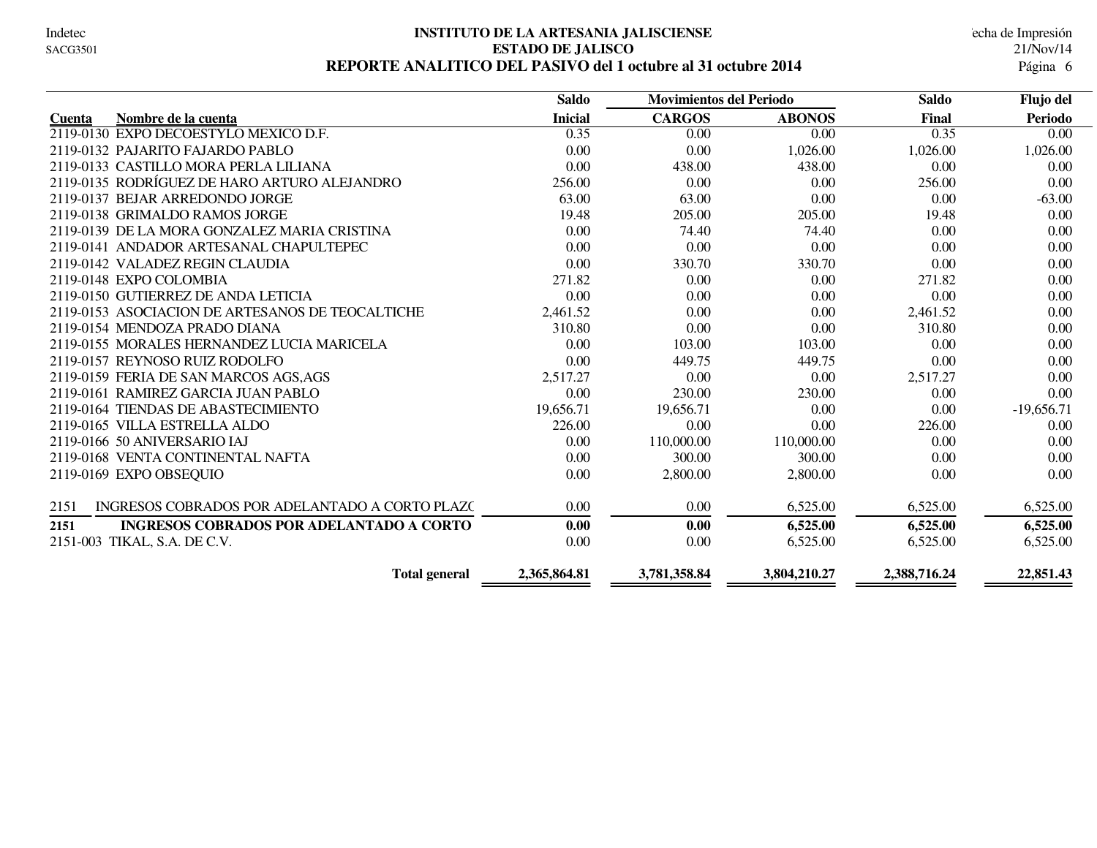#### **INSTITUTO DE LA ARTESANIA JALISCIENSE** echa de Impresión **ESTADO DE JALISCO** 21/Nov/14 REPORTE ANALITICO DEL PASIVO del 1 octubre al 31 octubre 2014

|                                                         | <b>Saldo</b>   | <b>Movimientos del Periodo</b> |               | <b>Saldo</b> | Flujo del    |
|---------------------------------------------------------|----------------|--------------------------------|---------------|--------------|--------------|
| Nombre de la cuenta<br><b>Cuenta</b>                    | <b>Inicial</b> | <b>CARGOS</b>                  | <b>ABONOS</b> | Final        | Periodo      |
| 2119-0130 EXPO DECOESTYLO MEXICO D.F.                   | 0.35           | 0.00                           | 0.00          | 0.35         | 0.00         |
| 2119-0132 PAJARITO FAJARDO PABLO                        | 0.00           | 0.00                           | 1,026.00      | 1,026.00     | 1,026.00     |
| 2119-0133 CASTILLO MORA PERLA LILIANA                   | 0.00           | 438.00                         | 438.00        | 0.00         | 0.00         |
| 2119-0135 RODRÍGUEZ DE HARO ARTURO ALEJANDRO            | 256.00         | 0.00                           | 0.00          | 256.00       | 0.00         |
| 2119-0137 BEJAR ARREDONDO JORGE                         | 63.00          | 63.00                          | 0.00          | 0.00         | $-63.00$     |
| 2119-0138 GRIMALDO RAMOS JORGE                          | 19.48          | 205.00                         | 205.00        | 19.48        | 0.00         |
| 2119-0139 DE LA MORA GONZALEZ MARIA CRISTINA            | 0.00           | 74.40                          | 74.40         | 0.00         | 0.00         |
| 2119-0141 ANDADOR ARTESANAL CHAPULTEPEC                 | 0.00           | 0.00                           | 0.00          | 0.00         | 0.00         |
| 2119-0142 VALADEZ REGIN CLAUDIA                         | 0.00           | 330.70                         | 330.70        | 0.00         | 0.00         |
| 2119-0148 EXPO COLOMBIA                                 | 271.82         | 0.00                           | 0.00          | 271.82       | 0.00         |
| 2119-0150 GUTIERREZ DE ANDA LETICIA                     | 0.00           | 0.00                           | 0.00          | 0.00         | 0.00         |
| 2119-0153 ASOCIACION DE ARTESANOS DE TEOCALTICHE        | 2,461.52       | 0.00                           | 0.00          | 2,461.52     | 0.00         |
| 2119-0154 MENDOZA PRADO DIANA                           | 310.80         | 0.00                           | 0.00          | 310.80       | 0.00         |
| 2119-0155 MORALES HERNANDEZ LUCIA MARICELA              | 0.00           | 103.00                         | 103.00        | 0.00         | 0.00         |
| 2119-0157 REYNOSO RUIZ RODOLFO                          | 0.00           | 449.75                         | 449.75        | 0.00         | 0.00         |
| 2119-0159 FERIA DE SAN MARCOS AGS, AGS                  | 2,517.27       | 0.00                           | 0.00          | 2,517.27     | 0.00         |
| 2119-0161 RAMIREZ GARCIA JUAN PABLO                     | 0.00           | 230.00                         | 230.00        | 0.00         | 0.00         |
| 2119-0164 TIENDAS DE ABASTECIMIENTO                     | 19,656.71      | 19,656.71                      | 0.00          | 0.00         | $-19,656.71$ |
| 2119-0165 VILLA ESTRELLA ALDO                           | 226.00         | 0.00                           | 0.00          | 226.00       | 0.00         |
| 2119-0166 50 ANIVERSARIO IAJ                            | 0.00           | 110,000.00                     | 110,000.00    | 0.00         | 0.00         |
| 2119-0168 VENTA CONTINENTAL NAFTA                       | 0.00           | 300.00                         | 300.00        | 0.00         | 0.00         |
| 2119-0169 EXPO OBSEQUIO                                 | 0.00           | 2,800.00                       | 2,800.00      | 0.00         | 0.00         |
| INGRESOS COBRADOS POR ADELANTADO A CORTO PLAZO<br>2151  | 0.00           | 0.00                           | 6,525.00      | 6,525.00     | 6,525.00     |
| <b>INGRESOS COBRADOS POR ADELANTADO A CORTO</b><br>2151 | 0.00           | 0.00                           | 6,525.00      | 6,525.00     | 6,525.00     |
| 2151-003 TIKAL, S.A. DE C.V.                            | 0.00           | 0.00                           | 6,525.00      | 6,525.00     | 6,525.00     |
| <b>Total general</b>                                    | 2,365,864.81   | 3,781,358.84                   | 3,804,210.27  | 2,388,716.24 | 22,851.43    |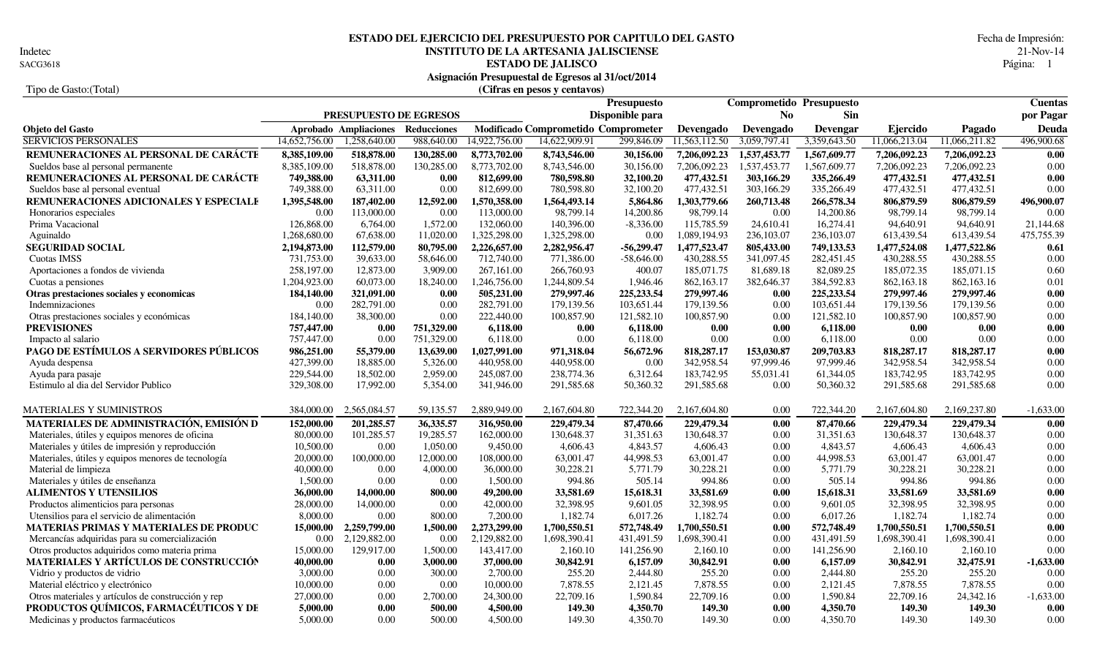Indetec<br>SACG3618

## **INSTITUTO DE LA ARTESANIA JALISCIENSE** 21-Nov-14<br>**ESTADO DE JALISCO** Página: 1 **ESTADO DE JALISCO** Página: 1 **ESTADO DEL EJERCICIO DEL PRESUPUESTO POR CAPITULO DEL GASTO** Fecha de Impresión:

**Asignació** 

|                        | Asignación Presupuestal de Egresos al 31/oct/2014 |
|------------------------|---------------------------------------------------|
| Tipo de Gasto: (Total) | (Cifras en pesos y centavos)                      |
|                        | ʻresunuesto                                       |

|                                                    |               |                        |             |               |                                     | <b>Presupuesto</b> |               |                | <b>Comprometido Presupuesto</b> |               |               | <b>Cuentas</b> |
|----------------------------------------------------|---------------|------------------------|-------------|---------------|-------------------------------------|--------------------|---------------|----------------|---------------------------------|---------------|---------------|----------------|
|                                                    |               | PRESUPUESTO DE EGRESOS |             |               |                                     | Disponible para    |               | N <sub>0</sub> | Sin                             |               |               | por Pagar      |
| Objeto del Gasto                                   |               | Aprobado Ampliaciones  | Reducciones |               | Modificado Comprometido Comprometer |                    | Devengado     | Devengado      | Devengar                        | Ejercido      | Pagado        | Deuda          |
| <b>SERVICIOS PERSONALES</b>                        | 14,652,756.00 | 1,258,640.00           | 988,640.00  | 14,922,756.00 | 14,622,909.91                       | 299,846.09         | 11,563,112.50 | 3,059,797.41   | 3,359,643.50                    | 11,066,213.04 | 11,066,211.82 | 496,900.68     |
| REMUNERACIONES AL PERSONAL DE CARÁCTE              | 8,385,109.00  | 518,878.00             | 130,285.00  | 8,773,702.00  | 8,743,546.00                        | 30,156.00          | 7,206,092.23  | 1,537,453.77   | 1,567,609.77                    | 7,206,092.23  | 7,206,092.23  | 0.00           |
| Sueldos base al personal permanente                | 8,385,109.00  | 518,878.00             | 130,285.00  | 8,773,702.00  | 8,743,546.00                        | 30,156.00          | 7,206,092.23  | 1,537,453.77   | 1,567,609.77                    | 7,206,092.23  | 7,206,092.23  | 0.00           |
| REMUNERACIONES AL PERSONAL DE CARÁCTE              | 749,388.00    | 63.311.00              | 0.00        | 812,699.00    | 780,598.80                          | 32,100.20          | 477,432.51    | 303,166.29     | 335,266.49                      | 477,432.51    | 477,432.51    | 0.00           |
| Sueldos base al personal eventual                  | 749,388.00    | 63,311.00              | 0.00        | 812,699.00    | 780,598.80                          | 32,100.20          | 477,432.51    | 303,166.29     | 335,266.49                      | 477,432.51    | 477,432.51    | 0.00           |
| REMUNERACIONES ADICIONALES Y ESPECIALE             | 1,395,548.00  | 187,402.00             | 12,592.00   | 1,570,358.00  | 1,564,493.14                        | 5,864.86           | 1,303,779.66  | 260,713.48     | 266,578.34                      | 806,879.59    | 806,879.59    | 496,900.07     |
| Honorarios especiales                              | 0.00          | 113,000.00             | 0.00        | 113,000.00    | 98,799.14                           | 14,200.86          | 98,799.14     | 0.00           | 14,200.86                       | 98,799.14     | 98,799.14     | 0.00           |
| Prima Vacacional                                   | 126,868.00    | 6,764.00               | 1,572.00    | 132,060.00    | 140,396.00                          | $-8,336.00$        | 115,785.59    | 24,610.41      | 16,274.41                       | 94,640.91     | 94,640.91     | 21,144.68      |
| Aguinaldo                                          | 1,268,680.00  | 67,638.00              | 11,020.00   | 1,325,298.00  | 1,325,298.00                        | 0.00               | 1,089,194.93  | 236,103.07     | 236,103.07                      | 613,439.54    | 613,439.54    | 475,755.39     |
| <b>SEGURIDAD SOCIAL</b>                            | 2,194,873.00  | 112,579.00             | 80,795.00   | 2,226,657.00  | 2,282,956.47                        | $-56,299.47$       | 1,477,523.47  | 805,433.00     | 749,133.53                      | 1,477,524.08  | 1,477,522.86  | 0.61           |
| <b>Cuotas IMSS</b>                                 | 731,753.00    | 39,633.00              | 58,646.00   | 712,740.00    | 771,386.00                          | $-58,646.00$       | 430,288.55    | 341,097.45     | 282,451.45                      | 430,288.55    | 430,288.55    | 0.00           |
| Aportaciones a fondos de vivienda                  | 258,197.00    | 12,873.00              | 3,909.00    | 267,161.00    | 266,760.93                          | 400.07             | 185,071.75    | 81,689.18      | 82,089.25                       | 185,072.35    | 185,071.15    | 0.60           |
| Cuotas a pensiones                                 | 1,204,923.00  | 60,073.00              | 18,240.00   | 1,246,756.00  | 1,244,809.54                        | 1,946.46           | 862, 163. 17  | 382,646.37     | 384,592.83                      | 862,163.18    | 862, 163. 16  | 0.01           |
| Otras prestaciones sociales y economicas           | 184,140.00    | 321,091.00             | 0.00        | 505,231.00    | 279,997.46                          | 225, 233.54        | 279,997.46    | 0.00           | 225, 233.54                     | 279,997.46    | 279,997.46    | 0.00           |
| Indemnizaciones                                    | 0.00          | 282,791.00             | 0.00        | 282,791.00    | 179,139.56                          | 103.651.44         | 179,139.56    | 0.00           | 103,651.44                      | 179,139.56    | 179,139.56    | 0.00           |
| Otras prestaciones sociales y económicas           | 184,140.00    | 38,300.00              | 0.00        | 222,440.00    | 100,857.90                          | 121,582.10         | 100,857.90    | 0.00           | 121,582.10                      | 100,857.90    | 100,857.90    | 0.00           |
| PREVISIONES                                        | 757,447.00    | 0.00                   | 751,329.00  | 6,118.00      | 0.00                                | 6,118.00           | 0.00          | 0.00           | 6,118.00                        | 0.00          | 0.00          | 0.00           |
| Impacto al salario                                 | 757,447.00    | 0.00                   | 751,329.00  | 6,118.00      | 0.00                                | 6,118.00           | 0.00          | 0.00           | 6,118.00                        | 0.00          | 0.00          | 0.00           |
| PAGO DE ESTÍMULOS A SERVIDORES PÚBLICOS            | 986,251.00    | 55,379.00              | 13,639.00   | 1,027,991.00  | 971,318.04                          | 56,672.96          | 818,287.17    | 153,030.87     | 209,703.83                      | 818,287.17    | 818,287.17    | 0.00           |
| Ayuda despensa                                     | 427,399.00    | 18,885.00              | 5.326.00    | 440,958.00    | 440,958.00                          | 0.00               | 342,958.54    | 97,999.46      | 97,999.46                       | 342,958.54    | 342,958.54    | 0.00           |
| Ayuda para pasaje                                  | 229,544.00    | 18,502.00              | 2,959.00    | 245,087.00    | 238,774.36                          | 6,312.64           | 183,742.95    | 55,031.41      | 61,344.05                       | 183,742.95    | 183,742.95    | 0.00           |
| Estimulo al dia del Servidor Publico               | 329,308.00    | 17,992.00              | 5,354.00    | 341,946.00    | 291,585.68                          | 50,360.32          | 291,585.68    | 0.00           | 50,360.32                       | 291,585.68    | 291,585.68    | 0.00           |
|                                                    |               |                        |             |               |                                     |                    |               |                |                                 |               |               |                |
| MATERIALES Y SUMINISTROS                           | 384,000.00    | 2,565,084.57           | 59,135.57   | 2,889,949.00  | 2,167,604.80                        | 722,344.20         | 2,167,604.80  | 0.00           | 722,344.20                      | 2,167,604.80  | 2,169,237.80  | $-1,633.00$    |
| MATERIALES DE ADMINISTRACIÓN, EMISIÓN D            | 152,000.00    | 201,285.57             | 36,335.57   | 316,950.00    | 229,479.34                          | 87,470.66          | 229,479.34    | 0.00           | 87,470.66                       | 229,479.34    | 229,479.34    | 0.00           |
| Materiales, útiles y equipos menores de oficina    | 80,000.00     | 101,285.57             | 19,285.57   | 162,000.00    | 130,648.37                          | 31,351.63          | 130,648.37    | 0.00           | 31,351.63                       | 130,648.37    | 130,648.37    | 0.00           |
| Materiales y útiles de impresión y reproducción    | 10,500.00     | 0.00                   | 1,050.00    | 9,450.00      | 4,606.43                            | 4,843.57           | 4,606.43      | 0.00           | 4,843.57                        | 4,606.43      | 4,606.43      | 0.00           |
| Materiales, útiles y equipos menores de tecnología | 20,000.00     | 100,000.00             | 12,000.00   | 108,000.00    | 63,001.47                           | 44,998.53          | 63,001.47     | 0.00           | 44,998.53                       | 63,001.47     | 63,001.47     | 0.00           |
| Material de limpieza                               | 40,000.00     | 0.00                   | 4,000.00    | 36,000.00     | 30,228.21                           | 5,771.79           | 30,228.21     | 0.00           | 5,771.79                        | 30,228.21     | 30,228.21     | 0.00           |
| Materiales y útiles de enseñanza                   | 1,500.00      | 0.00                   | 0.00        | 1,500.00      | 994.86                              | 505.14             | 994.86        | 0.00           | 505.14                          | 994.86        | 994.86        | 0.00           |
| <b>ALIMENTOS Y UTENSILIOS</b>                      | 36,000.00     | 14,000.00              | 800.00      | 49,200.00     | 33,581.69                           | 15,618.31          | 33,581.69     | 0.00           | 15,618.31                       | 33,581.69     | 33,581.69     | 0.00           |
| Productos alimenticios para personas               | 28,000.00     | 14,000.00              | 0.00        | 42,000.00     | 32,398.95                           | 9.601.05           | 32,398.95     | 0.00           | 9,601.05                        | 32,398.95     | 32,398.95     | 0.00           |
| Utensilios para el servicio de alimentación        | 8,000.00      | 0.00                   | 800.00      | 7,200.00      | 1,182.74                            | 6,017.26           | 1,182.74      | 0.00           | 6,017.26                        | 1,182.74      | 1,182.74      | 0.00           |
| MATERIAS PRIMAS Y MATERIALES DE PRODUC             | 15,000.00     | 2,259,799.00           | 1,500.00    | 2,273,299.00  | 1,700,550.51                        | 572,748.49         | 1,700,550.51  | 0.00           | 572,748.49                      | 1,700,550.51  | 1,700,550.51  | 0.00           |
| Mercancías adquiridas para su comercialización     | $0.00\,$      | 2,129,882.00           | 0.00        | 2,129,882.00  | 1,698,390.41                        | 431,491.59         | 1,698,390.41  | 0.00           | 431,491.59                      | 1,698,390.41  | 1,698,390.41  | 0.00           |
| Otros productos adquiridos como materia prima      | 15,000.00     | 129,917.00             | 1,500.00    | 143,417.00    | 2,160.10                            | 141,256.90         | 2,160.10      | 0.00           | 141,256.90                      | 2,160.10      | 2,160.10      | 0.00           |
| <b>MATERIALES Y ARTÍCULOS DE CONSTRUCCIÓN</b>      | 40,000.00     | 0.00                   | 3,000.00    | 37,000.00     | 30,842.91                           | 6,157.09           | 30,842.91     | 0.00           | 6,157.09                        | 30,842.91     | 32,475.91     | $-1,633.00$    |
| Vidrio y productos de vidrio                       | 3,000.00      | 0.00                   | 300.00      | 2,700.00      | 255.20                              | 2,444.80           | 255.20        | 0.00           | 2,444.80                        | 255.20        | 255.20        | 0.00           |
| Material eléctrico y electrónico                   | 10,000.00     | 0.00                   | 0.00        | 10,000.00     | 7,878.55                            | 2,121.45           | 7,878.55      | 0.00           | 2,121.45                        | 7,878.55      | 7,878.55      | 0.00           |
| Otros materiales y artículos de construcción y rep | 27,000.00     | 0.00                   | 2,700.00    | 24,300.00     | 22,709.16                           | 1,590.84           | 22,709.16     | 0.00           | 1,590.84                        | 22,709.16     | 24, 342. 16   | $-1,633.00$    |
| PRODUCTOS QUÍMICOS, FARMACÉUTICOS Y DE             | 5,000.00      | 0.00                   | 500.00      | 4,500.00      | 149.30                              | 4,350.70           | 149.30        | 0.00           | 4,350.70                        | 149.30        | 149.30        | 0.00           |
| Medicinas y productos farmacéuticos                | 5,000.00      | 0.00                   | 500.00      | 4,500.00      | 149.30                              | 4,350.70           | 149.30        | 0.00           | 4,350.70                        | 149.30        | 149.30        | 0.00           |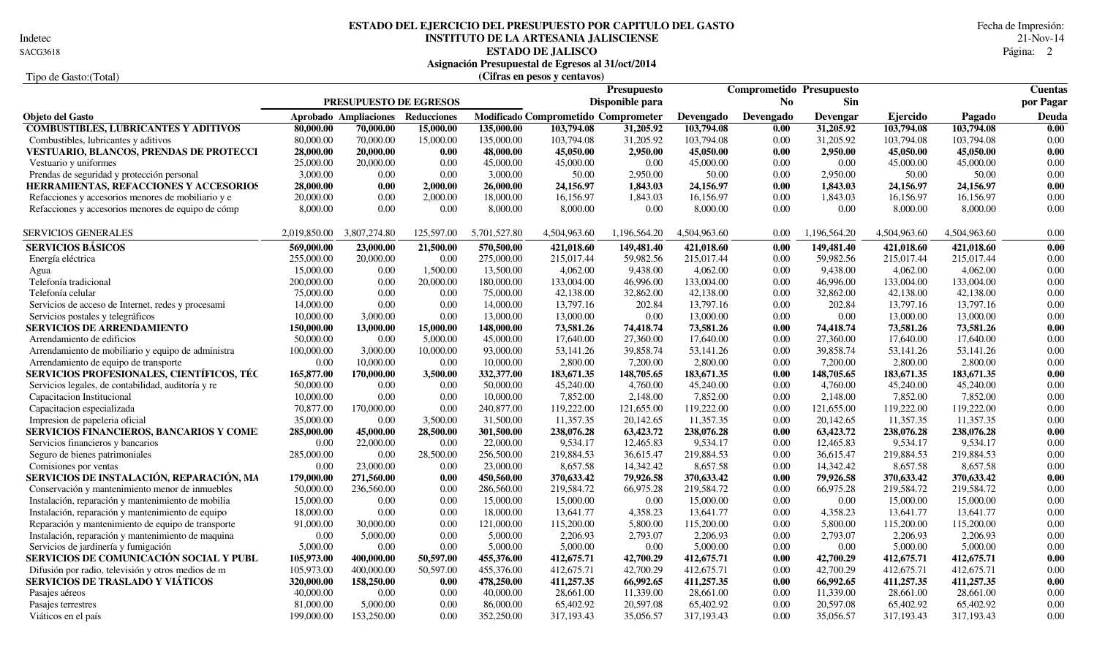Indetec

# **INSTITUTO DE LA ARTESANIA JALISCIENSE** 21-Nov-14<br>**ESTADO DE JALISCO** Página: 2 **ESTADO DEL EJERCICIO DEL PRESUPUESTO POR CAPITULO DEL GASTO** Fecha de Impresión:

**ESTADO DE JALISCO** 2 SACG3618 Página:

|                                                    |                        |                                   |            |              | Asignación Presupuestal de Egresos al 31/oct/2014 |                    |              |                                 |              |              |              |                   |
|----------------------------------------------------|------------------------|-----------------------------------|------------|--------------|---------------------------------------------------|--------------------|--------------|---------------------------------|--------------|--------------|--------------|-------------------|
| Tipo de Gasto: (Total)                             |                        |                                   |            |              | (Cifras en pesos y centavos)                      |                    |              |                                 |              |              |              |                   |
|                                                    |                        |                                   |            |              |                                                   | <b>Presupuesto</b> |              | <b>Comprometido Presupuesto</b> |              |              |              | <b>Cuentas</b>    |
|                                                    | PRESUPUESTO DE EGRESOS |                                   |            |              |                                                   | Disponible para    |              | N <sub>0</sub>                  | Sin          |              |              | por Pagar         |
| Objeto del Gasto                                   |                        | Aprobado Ampliaciones Reducciones |            |              | Modificado Comprometido Comprometer               |                    | Devengado    | Devengado                       | Devengar     | Ejercido     | Pagado       | Deuda             |
| <b>COMBUSTIBLES, LUBRICANTES Y ADITIVOS</b>        | 80,000.00              | 70,000.00                         | 15,000.00  | 135,000.00   | 103,794.08                                        | 31,205.92          | 103,794.08   | 0.00                            | 31,205.92    | 103,794.08   | 103,794.08   | $\overline{0.00}$ |
| Combustibles, lubricantes y aditivos               | 80,000.00              | 70,000.00                         | 15,000.00  | 135,000.00   | 103,794.08                                        | 31,205.92          | 103,794.08   | 0.00                            | 31,205.92    | 103,794.08   | 103,794.08   | 0.00              |
| VESTUARIO, BLANCOS, PRENDAS DE PROTECCI            | 28,000.00              | 20,000.00                         | 0.00       | 48,000.00    | 45,050.00                                         | 2,950.00           | 45,050.00    | 0.00                            | 2,950.00     | 45,050.00    | 45,050.00    | 0.00              |
| Vestuario y uniformes                              | 25,000.00              | 20,000.00                         | 0.00       | 45,000.00    | 45,000.00                                         | 0.00               | 45,000.00    | 0.00                            | 0.00         | 45,000.00    | 45,000.00    | 0.00              |
| Prendas de seguridad y protección personal         | 3,000.00               | 0.00                              | 0.00       | 3,000.00     | 50.00                                             | 2,950.00           | 50.00        | 0.00                            | 2,950.00     | 50.00        | 50.00        | 0.00              |
| <b>HERRAMIENTAS, REFACCIONES Y ACCESORIOS</b>      | 28,000.00              | 0.00                              | 2,000.00   | 26,000.00    | 24,156.97                                         | 1,843.03           | 24,156.97    | 0.00                            | 1,843.03     | 24,156.97    | 24,156.97    | 0.00              |
| Refacciones y accesorios menores de mobiliario y e | 20,000.00              | 0.00                              | 2,000.00   | 18,000.00    | 16,156.97                                         | 1,843.03           | 16,156.97    | $0.00\,$                        | 1,843.03     | 16,156.97    | 16,156.97    | 0.00              |
| Refacciones y accesorios menores de equipo de cómp | 8,000.00               | $0.00\,$                          | 0.00       | 8,000.00     | 8,000.00                                          | 0.00               | 8,000.00     | $0.00\,$                        | 0.00         | 8,000.00     | 8,000.00     | 0.00              |
| SERVICIOS GENERALES                                | 2,019,850.00           | 3,807,274.80                      | 125,597.00 | 5,701,527.80 | 4,504,963.60                                      | 1,196,564.20       | 4,504,963.60 | 0.00                            | 1,196,564.20 | 4,504,963.60 | 4,504,963.60 | 0.00              |
| <b>SERVICIOS BÁSICOS</b>                           | 569,000.00             | 23,000.00                         | 21,500.00  | 570,500.00   | 421,018.60                                        | 149,481.40         | 421,018.60   | 0.00                            | 149,481.40   | 421,018.60   | 421,018.60   | 0.00              |
| Energía eléctrica                                  | 255,000.00             | 20,000.00                         | 0.00       | 275,000.00   | 215,017.44                                        | 59,982.56          | 215,017.44   | 0.00                            | 59,982.56    | 215,017.44   | 215,017.44   | 0.00              |
| Agua                                               | 15,000.00              | 0.00                              | 1,500.00   | 13,500.00    | 4,062.00                                          | 9,438.00           | 4,062.00     | $0.00\,$                        | 9,438.00     | 4,062.00     | 4,062.00     | 0.00              |
| Telefonía tradicional                              | 200,000.00             | 0.00                              | 20,000.00  | 180,000.00   | 133,004.00                                        | 46,996.00          | 133,004.00   | 0.00                            | 46,996.00    | 133,004.00   | 133,004.00   | 0.00              |
| Telefonía celular                                  | 75,000.00              | $0.00\,$                          | 0.00       | 75,000.00    | 42,138.00                                         | 32,862.00          | 42,138.00    | 0.00                            | 32,862.00    | 42,138.00    | 42,138.00    | 0.00              |
| Servicios de acceso de Internet, redes y procesami | 14,000.00              | 0.00                              | 0.00       | 14,000.00    | 13,797.16                                         | 202.84             | 13,797.16    | $0.00\,$                        | 202.84       | 13,797.16    | 13,797.16    | 0.00              |
| Servicios postales y telegráficos                  | 10,000.00              | 3,000.00                          | 0.00       | 13,000.00    | 13,000.00                                         | 0.00               | 13,000.00    | 0.00                            | 0.00         | 13,000.00    | 13,000.00    | 0.00              |
| <b>SERVICIOS DE ARRENDAMIENTO</b>                  | 150,000.00             | 13,000.00                         | 15,000.00  | 148,000.00   | 73,581.26                                         | 74,418.74          | 73,581.26    | 0.00                            | 74,418.74    | 73,581.26    | 73,581.26    | 0.00              |
| Arrendamiento de edificios                         | 50,000.00              | 0.00                              | 5,000.00   | 45,000.00    | 17,640.00                                         | 27,360.00          | 17,640.00    | 0.00                            | 27,360.00    | 17,640.00    | 17,640.00    | 0.00              |
| Arrendamiento de mobiliario y equipo de administra | 100,000.00             | 3,000.00                          | 10,000.00  | 93,000.00    | 53,141.26                                         | 39,858.74          | 53,141.26    | 0.00                            | 39,858.74    | 53,141.26    | 53,141.26    | 0.00              |
| Arrendamiento de equipo de transporte              | 0.00                   | 10,000.00                         | 0.00       | 10,000.00    | 2,800.00                                          | 7,200.00           | 2,800.00     | 0.00                            | 7,200.00     | 2,800.00     | 2,800.00     | 0.00              |
| SERVICIOS PROFESIONALES, CIENTÍFICOS, TÉC          | 165,877.00             | 170,000.00                        | 3,500.00   | 332,377.00   | 183,671.35                                        | 148,705.65         | 183,671.35   | 0.00                            | 148,705.65   | 183,671.35   | 183,671.35   | 0.00              |
| Servicios legales, de contabilidad, auditoría y re | 50,000.00              | 0.00                              | 0.00       | 50,000.00    | 45,240.00                                         | 4,760.00           | 45,240.00    | 0.00                            | 4,760.00     | 45,240.00    | 45,240.00    | 0.00              |
| Capacitacion Institucional                         | 10,000.00              | 0.00                              | 0.00       | 10,000.00    | 7,852.00                                          | 2,148.00           | 7,852.00     | 0.00                            | 2,148.00     | 7,852.00     | 7,852.00     | 0.00              |
| Capacitacion especializada                         | 70,877.00              | 170,000.00                        | 0.00       | 240,877.00   | 119,222.00                                        | 121,655.00         | 119,222.00   | 0.00                            | 121,655.00   | 119,222.00   | 119,222.00   | 0.00              |
| Impresion de papeleria oficial                     | 35,000.00              | 0.00                              | 3,500.00   | 31,500.00    | 11,357.35                                         | 20,142.65          | 11,357.35    | 0.00                            | 20,142.65    | 11,357.35    | 11,357.35    | 0.00              |
| <b>SERVICIOS FINANCIEROS, BANCARIOS Y COME</b>     | 285,000.00             | 45,000.00                         | 28,500.00  | 301,500.00   | 238,076.28                                        | 63,423.72          | 238,076.28   | 0.00                            | 63,423.72    | 238,076.28   | 238,076.28   | 0.00              |
| Servicios financieros y bancarios                  | 0.00                   | 22,000.00                         | 0.00       | 22,000.00    | 9,534.17                                          | 12,465.83          | 9,534.17     | 0.00                            | 12,465.83    | 9,534.17     | 9,534.17     | 0.00              |
| Seguro de bienes patrimoniales                     | 285,000.00             | 0.00                              | 28,500.00  | 256,500.00   | 219,884.53                                        | 36,615.47          | 219,884.53   | 0.00                            | 36,615.47    | 219,884.53   | 219,884.53   | 0.00              |
| Comisiones por ventas                              | 0.00                   | 23,000.00                         | 0.00       | 23,000.00    | 8,657.58                                          | 14,342.42          | 8,657.58     | 0.00                            | 14,342.42    | 8,657.58     | 8,657.58     | 0.00              |
| SERVICIOS DE INSTALACIÓN, REPARACIÓN, MA           | 179,000.00             | 271,560.00                        | 0.00       | 450,560.00   | 370,633.42                                        | 79,926.58          | 370,633.42   | 0.00                            | 79,926.58    | 370,633.42   | 370,633.42   | 0.00              |
| Conservación y mantenimiento menor de inmuebles    | 50,000.00              | 236,560.00                        | 0.00       | 286,560.00   | 219,584.72                                        | 66,975.28          | 219,584.72   | 0.00                            | 66,975.28    | 219,584.72   | 219,584.72   | 0.00              |
| Instalación, reparación y mantenimiento de mobilia | 15,000.00              | 0.00                              | 0.00       | 15,000.00    | 15,000.00                                         | 0.00               | 15,000.00    | $0.00\,$                        | 0.00         | 15,000.00    | 15,000.00    | 0.00              |
| Instalación, reparación y mantenimiento de equipo  | 18,000.00              | 0.00                              | 0.00       | 18,000.00    | 13,641.77                                         | 4,358.23           | 13,641.77    | 0.00                            | 4,358.23     | 13,641.77    | 13,641.77    | 0.00              |
| Reparación y mantenimiento de equipo de transporte | 91,000.00              | 30,000.00                         | 0.00       | 121,000.00   | 115,200.00                                        | 5,800.00           | 115,200.00   | 0.00                            | 5,800.00     | 115,200.00   | 115,200.00   | 0.00              |
| Instalación, reparación y mantenimiento de maquina | 0.00                   | 5,000.00                          | 0.00       | 5,000.00     | 2,206.93                                          | 2,793.07           | 2,206.93     | 0.00                            | 2,793.07     | 2,206.93     | 2,206.93     | 0.00              |
| Servicios de jardinería y fumigación               | 5,000.00               | 0.00                              | 0.00       | 5,000.00     | 5,000.00                                          | 0.00               | 5,000.00     | 0.00                            | 0.00         | 5,000.00     | 5,000.00     | 0.00              |
| SERVICIOS DE COMUNICACIÓN SOCIAL Y PUBL            | 105,973.00             | 400,000.00                        | 50,597.00  | 455,376.00   | 412,675.71                                        | 42,700.29          | 412,675.71   | 0.00                            | 42,700.29    | 412,675.71   | 412,675.71   | 0.00              |
| Difusión por radio, televisión y otros medios de m | 105,973.00             | 400,000.00                        | 50,597.00  | 455,376.00   | 412,675.71                                        | 42,700.29          | 412,675.71   | 0.00                            | 42,700.29    | 412,675.71   | 412,675.71   | 0.00              |
| <b>SERVICIOS DE TRASLADO Y VIÁTICOS</b>            | 320,000.00             | 158,250.00                        | 0.00       | 478,250.00   | 411,257.35                                        | 66,992.65          | 411,257.35   | 0.00                            | 66,992.65    | 411,257.35   | 411,257.35   | 0.00              |
| Pasajes aéreos                                     | 40,000.00              | 0.00                              | 0.00       | 40,000.00    | 28,661.00                                         | 11,339.00          | 28,661.00    | 0.00                            | 11,339.00    | 28,661.00    | 28,661.00    | 0.00              |
| Pasajes terrestres                                 | 81,000.00              | 5,000.00                          | 0.00       | 86,000.00    | 65,402.92                                         | 20,597.08          | 65,402.92    | 0.00                            | 20,597.08    | 65,402.92    | 65,402.92    | 0.00              |
| Viáticos en el país                                | 199,000.00             | 153,250.00                        | 0.00       | 352,250.00   | 317,193.43                                        | 35,056.57          | 317,193.43   | 0.00                            | 35,056.57    | 317,193.43   | 317,193.43   | 0.00              |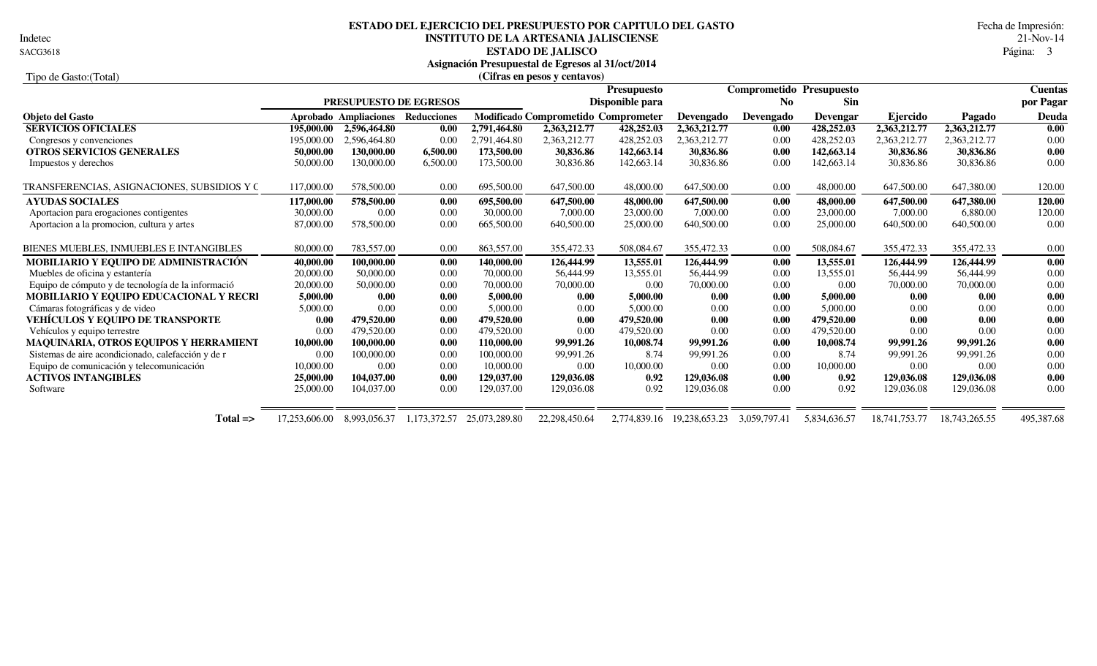Indetec

# **INSTITUTO DE LA ARTESANIA JALISCIENSE** 21-Nov-14 **ESTADO DEL EJERCICIO DEL PRESUPUESTO POR CAPITULO DEL GASTO** Fecha de Impresión:

**ESTADO DE JALISCO** Página: 3

**Asignación Presupuestal de Egresos al 31/oct/2014**

| Tipo de Gasto: (Total)                             |                               |                                          |              |                 | (Cifras en pesos y centavos)        |              |                |              |                          |               |               |                |
|----------------------------------------------------|-------------------------------|------------------------------------------|--------------|-----------------|-------------------------------------|--------------|----------------|--------------|--------------------------|---------------|---------------|----------------|
|                                                    |                               | <b>Presupuesto</b>                       |              |                 |                                     |              |                |              | Comprometido Presupuesto |               |               | <b>Cuentas</b> |
|                                                    | <b>PRESUPUESTO DE EGRESOS</b> |                                          |              | Disponible para |                                     |              | N <sub>0</sub> |              | <b>Sin</b>               |               |               | por Pagar      |
| Objeto del Gasto                                   |                               | <b>Aprobado Ampliaciones Reducciones</b> |              |                 | Modificado Comprometido Comprometer |              | Devengado      | Devengado    | <b>Devengar</b>          | Ejercido      | Pagado        | Deuda          |
| <b>SERVICIOS OFICIALES</b>                         | 195,000.00                    | 2.596.464.80                             | 0.00         | 2.791.464.80    | 2,363,212.77                        | 428,252.03   | 2,363,212.77   | 0.00         | 428,252.03               | 2,363,212.77  | 2,363,212.77  | 0.00           |
| Congresos y convenciones                           | 195,000.00                    | 2,596,464.80                             | 0.00         | 2,791,464.80    | 2,363,212.77                        | 428,252.03   | 2,363,212.77   | 0.00         | 428,252.03               | 2,363,212.77  | 2,363,212.77  | 0.00           |
| <b>OTROS SERVICIOS GENERALES</b>                   | 50,000.00                     | 130,000.00                               | 6,500.00     | 173,500.00      | 30,836.86                           | 142,663.14   | 30,836.86      | 0.00         | 142,663.14               | 30,836.86     | 30.836.86     | 0.00           |
| Impuestos y derechos                               | 50,000.00                     | 130,000.00                               | 6.500.00     | 173,500.00      | 30,836.86                           | 142,663.14   | 30,836.86      | 0.00         | 142,663.14               | 30,836.86     | 30.836.86     | 0.00           |
| TRANSFERENCIAS, ASIGNACIONES, SUBSIDIOS Y C        | 117,000.00                    | 578,500.00                               | 0.00         | 695,500.00      | 647,500.00                          | 48,000.00    | 647,500.00     | 0.00         | 48,000.00                | 647,500.00    | 647,380.00    | 120.00         |
| <b>AYUDAS SOCIALES</b>                             | 117,000.00                    | 578,500.00                               | 0.00         | 695,500.00      | 647,500.00                          | 48,000.00    | 647,500.00     | 0.00         | 48,000.00                | 647,500.00    | 647,380.00    | 120.00         |
| Aportacion para erogaciones contigentes            | 30,000.00                     | 0.00                                     | 0.00         | 30,000.00       | 7,000.00                            | 23,000.00    | 7,000.00       | 0.00         | 23,000.00                | 7,000.00      | 6,880.00      | 120.00         |
| Aportacion a la promocion, cultura y artes         | 87,000.00                     | 578,500.00                               | 0.00         | 665,500.00      | 640,500.00                          | 25,000.00    | 640,500.00     | 0.00         | 25,000.00                | 640,500.00    | 640,500.00    | 0.00           |
| BIENES MUEBLES, INMUEBLES E INTANGIBLES            | 80,000.00                     | 783,557.00                               | 0.00         | 863,557.00      | 355,472.33                          | 508,084.67   | 355,472.33     | 0.00         | 508,084.67               | 355,472.33    | 355,472.33    | 0.00           |
| MOBILIARIO Y EQUIPO DE ADMINISTRACIÓN              | 40,000.00                     | 100,000.00                               | 0.00         | 140,000.00      | 126,444.99                          | 13,555.01    | 126,444.99     | 0.00         | 13,555.01                | 126,444.99    | 126,444.99    | 0.00           |
| Muebles de oficina y estantería                    | 20,000.00                     | 50,000.00                                | 0.00         | 70,000.00       | 56,444.99                           | 13,555.01    | 56,444.99      | 0.00         | 13.555.01                | 56,444.99     | 56,444.99     | 0.00           |
| Equipo de cómputo y de tecnología de la informació | 20,000.00                     | 50,000.00                                | 0.00         | 70,000.00       | 70,000.00                           | 0.00         | 70,000.00      | 0.00         | 0.00                     | 70,000.00     | 70,000.00     | 0.00           |
| <b>MOBILIARIO Y EQUIPO EDUCACIONAL Y RECRI</b>     | 5,000.00                      | 0.00                                     | 0.00         | 5,000.00        | 0.00                                | 5,000.00     | 0.00           | 0.00         | 5,000.00                 | 0.00          | 0.00          | 0.00           |
| Cámaras fotográficas y de video                    | 5,000.00                      | 0.00                                     | 0.00         | 5,000.00        | 0.00                                | 5,000.00     | 0.00           | 0.00         | 5,000.00                 | 0.00          | 0.00          | 0.00           |
| <b>VEHÍCULOS Y EQUIPO DE TRANSPORTE</b>            | 0.00                          | 479,520.00                               | 0.00         | 479,520.00      | 0.00                                | 479,520.00   | 0.00           | 0.00         | 479,520.00               | 0.00          | 0.00          | 0.00           |
| Vehículos y equipo terrestre                       | 0.00                          | 479,520.00                               | 0.00         | 479,520.00      | 0.00                                | 479,520.00   | 0.00           | 0.00         | 479,520.00               | 0.00          | 0.00          | 0.00           |
| <b>MAQUINARIA, OTROS EQUIPOS Y HERRAMIENT</b>      | 10,000.00                     | 100,000.00                               | 0.00         | 110,000.00      | 99,991.26                           | 10,008.74    | 99,991.26      | 0.00         | 10,008.74                | 99,991.26     | 99.991.26     | 0.00           |
| Sistemas de aire acondicionado, calefacción y de r | 0.00                          | 100,000.00                               | 0.00         | 100,000.00      | 99,991.26                           | 8.74         | 99,991.26      | 0.00         | 8.74                     | 99,991.26     | 99,991.26     | 0.00           |
| Equipo de comunicación y telecomunicación          | 10,000.00                     | 0.00                                     | 0.00         | 10,000.00       | 0.00                                | 10,000.00    | 0.00           | 0.00         | 10,000.00                | 0.00          | 0.00          | 0.00           |
| <b>ACTIVOS INTANGIBLES</b>                         | 25,000.00                     | 104,037.00                               | 0.00         | 129,037.00      | 129,036.08                          | 0.92         | 129,036.08     | 0.00         | 0.92                     | 129,036.08    | 129,036.08    | 0.00           |
| Software                                           | 25,000.00                     | 104,037.00                               | 0.00         | 129,037.00      | 129,036.08                          | 0.92         | 129,036.08     | 0.00         | 0.92                     | 129,036.08    | 129,036.08    | 0.00           |
| $Total \Rightarrow$                                | 17,253,606.00                 | 8,993,056.37                             | 1,173,372.57 | 25,073,289.80   | 22,298,450.64                       | 2,774,839.16 | 19,238,653.23  | 3,059,797.41 | 5,834,636.57             | 18,741,753.77 | 18,743,265.55 | 495,387.68     |